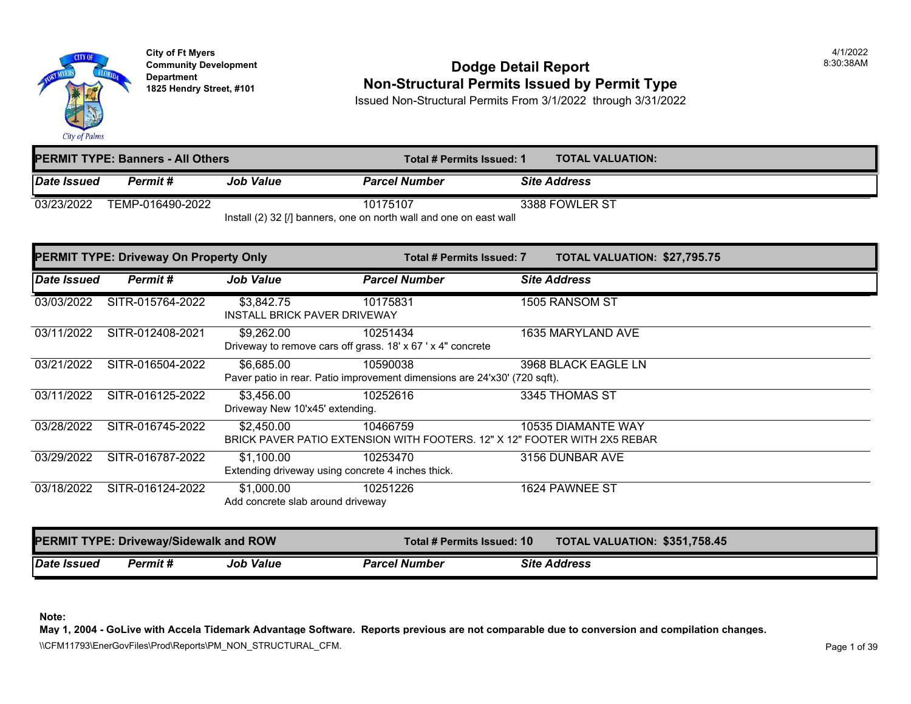

**City of Ft Myers** 4/1/2022 Department<br>1825 Hendry Street, #101

#### **Community Development Dodge Detail Report** 8:30:38AM **1825 Non-Structural Permits Issued by Permit Type**

Issued Non-Structural Permits From 3/1/2022 through 3/31/2022

|             | <b>PERMIT TYPE: Banners - All Others</b> |                  | Total # Permits Issued: 1                                                        | <b>TOTAL VALUATION:</b> |  |
|-------------|------------------------------------------|------------------|----------------------------------------------------------------------------------|-------------------------|--|
| Date Issued | Permit#                                  | <b>Job Value</b> | <b>Parcel Number</b>                                                             | <b>Site Address</b>     |  |
| 03/23/2022  | TEMP-016490-2022                         |                  | 10175107<br>lnotell (2) 22 [/] honners, and an north usell and and an ocat usell | 3388 FOWLER ST          |  |

Install (2) 32 [/] banners, one on north wall and one on east wall

|                     | <b>PERMIT TYPE: Driveway On Property Only</b> |                                                                 | Total # Permits Issued: 7                                                             | TOTAL VALUATION: \$27,795.75  |
|---------------------|-----------------------------------------------|-----------------------------------------------------------------|---------------------------------------------------------------------------------------|-------------------------------|
| Date Issued         | Permit#                                       | <b>Job Value</b>                                                | <b>Parcel Number</b>                                                                  | <b>Site Address</b>           |
| 03/03/2022          | SITR-015764-2022                              | \$3,842.75<br><b>INSTALL BRICK PAVER DRIVEWAY</b>               | 10175831                                                                              | 1505 RANSOM ST                |
| 03/11/2022          | SITR-012408-2021                              | \$9,262.00                                                      | 10251434<br>Driveway to remove cars off grass. 18' x 67 ' x 4" concrete               | 1635 MARYLAND AVE             |
| 03/21/2022          | SITR-016504-2022                              | \$6,685.00                                                      | 10590038<br>Paver patio in rear. Patio improvement dimensions are 24'x30' (720 sqft). | 3968 BLACK EAGLE LN           |
| 03/11/2022          | SITR-016125-2022                              | \$3,456.00<br>Driveway New 10'x45' extending.                   | 10252616                                                                              | 3345 THOMAS ST                |
| 03/28/2022          | SITR-016745-2022                              | \$2,450.00                                                      | 10466759<br>BRICK PAVER PATIO EXTENSION WITH FOOTERS, 12" X 12" FOOTER WITH 2X5 REBAR | 10535 DIAMANTE WAY            |
| 03/29/2022          | SITR-016787-2022                              | \$1,100.00<br>Extending driveway using concrete 4 inches thick. | 10253470                                                                              | 3156 DUNBAR AVE               |
| 03/18/2022          | SITR-016124-2022                              | \$1,000.00<br>Add concrete slab around driveway                 | 10251226                                                                              | 1624 PAWNEE ST                |
|                     | <b>PERMIT TYPE: Driveway/Sidewalk and ROW</b> |                                                                 | Total # Permits Issued: 10                                                            | TOTAL VALUATION: \$351,758.45 |
| <b>IDate Issued</b> | Permit#                                       | <b>Job Value</b>                                                | <b>Parcel Number</b>                                                                  | <b>Site Address</b>           |

**Note:** 

**May 1, 2004 - GoLive with Accela Tidemark Advantage Software. Reports previous are not comparable due to conversion and compilation changes.** 

\\CFM11793\EnerGovFiles\Prod\Reports\PM\_NON\_STRUCTURAL\_CFM.<br>Page 1 of 39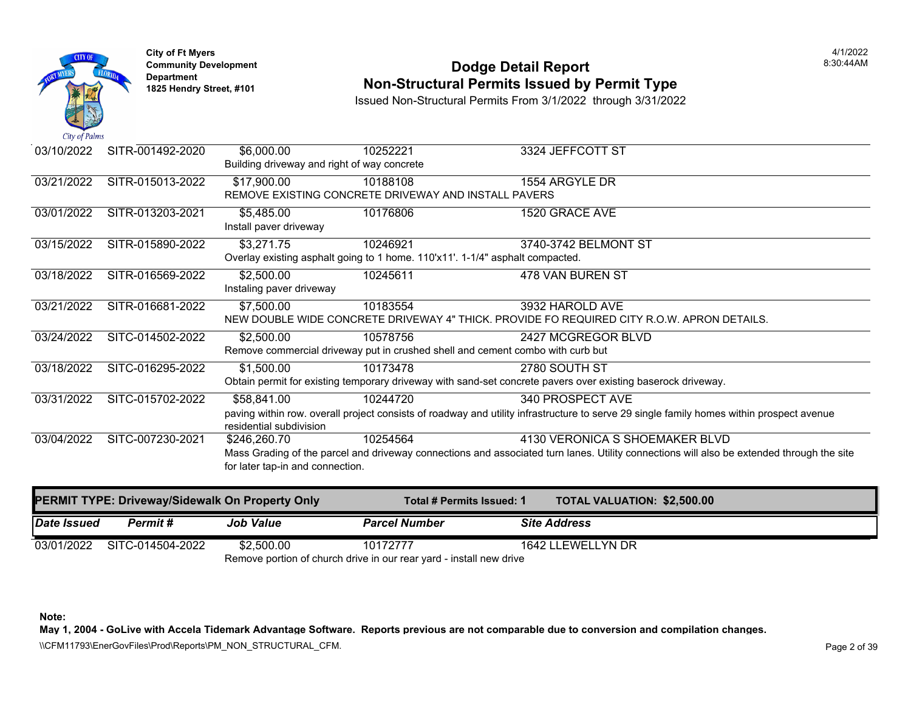

## **Community Development** 8:30:44AM **Dodge Detail Report Department Non-Structural Permits Issued by Permit Type 1825 Hendry Street, #101**

Issued Non-Structural Permits From 3/1/2022 through 3/31/2022

| $\mathcal{L}u \mathcal{L}v \mathcal{L}u \mathcal{L}u$ |                  |                                                           |                                                                                            |                                                                                                                                          |
|-------------------------------------------------------|------------------|-----------------------------------------------------------|--------------------------------------------------------------------------------------------|------------------------------------------------------------------------------------------------------------------------------------------|
| 03/10/2022                                            | SITR-001492-2020 | \$6,000.00<br>Building driveway and right of way concrete | 10252221                                                                                   | 3324 JEFFCOTT ST                                                                                                                         |
| 03/21/2022                                            | SITR-015013-2022 | \$17,900.00                                               | 10188108<br>REMOVE EXISTING CONCRETE DRIVEWAY AND INSTALL PAVERS                           | 1554 ARGYLE DR                                                                                                                           |
| 03/01/2022                                            | SITR-013203-2021 | \$5,485.00<br>Install paver driveway                      | 10176806                                                                                   | 1520 GRACE AVE                                                                                                                           |
| 03/15/2022                                            | SITR-015890-2022 | \$3,271.75                                                | 10246921<br>Overlay existing asphalt going to 1 home. 110'x11'. 1-1/4" asphalt compacted.  | 3740-3742 BELMONT ST                                                                                                                     |
| 03/18/2022                                            | SITR-016569-2022 | \$2,500.00<br>Instaling paver driveway                    | 10245611                                                                                   | 478 VAN BUREN ST                                                                                                                         |
| 03/21/2022                                            | SITR-016681-2022 | \$7,500.00                                                | 10183554                                                                                   | 3932 HAROLD AVE<br>NEW DOUBLE WIDE CONCRETE DRIVEWAY 4" THICK. PROVIDE FO REQUIRED CITY R.O.W. APR                                       |
| 03/24/2022                                            | SITC-014502-2022 | \$2,500.00                                                | 10578756<br>Remove commercial driveway put in crushed shell and cement combo with curb but | 2427 MCGREGOR BLVD                                                                                                                       |
| 03/18/2022                                            | SITC-016295-2022 | \$1,500.00                                                | 10173478                                                                                   | 2780 SOUTH ST<br>Obtain permit for existing temporary driveway with sand-set concrete pavers over existing baserock drive                |
| 03/31/2022                                            | SITC-015702-2022 | \$58,841.00<br>residential subdivision                    | 10244720                                                                                   | 340 PROSPECT AVE<br>paving within row. overall project consists of roadway and utility infrastructure to serve 29 single family ho       |
| 03/04/2022                                            | SITC-007230-2021 | \$246,260.70<br>for later tap-in and connection.          | 10254564                                                                                   | 4130 VERONICA S SHOEMAKER E<br>Mass Grading of the parcel and driveway connections and associated turn lanes. Utility connections will a |
|                                                       |                  |                                                           |                                                                                            |                                                                                                                                          |

|             | <b>PERMIT TYPE: Driveway/Sidewalk On Property Only</b> |                  | Total # Permits Issued: 1                                           | <b>TOTAL VALUATION: \$2,500.0</b> |
|-------------|--------------------------------------------------------|------------------|---------------------------------------------------------------------|-----------------------------------|
| Date Issued | Permit #                                               | <b>Job Value</b> | <b>Parcel Number</b>                                                | <b>Site Address</b>               |
|             | 03/01/2022 SITC-014504-2022                            | \$2.500.00       | 10172777                                                            | 1642 LLEWELLYN DR                 |
|             |                                                        |                  | Remove portion of church drive in our rear yard - install new drive |                                   |

**Note:**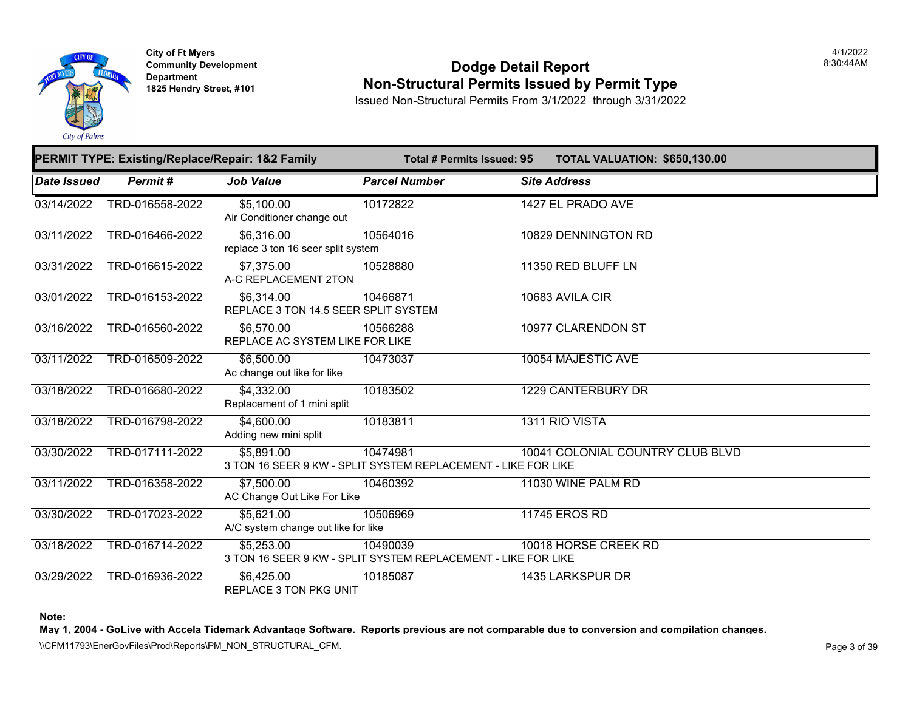

**City of Ft Myers Community Development Department 1825 Hendry Street, #101** 

#### **Dodge Detail Report Non-Structural Permits Issued by Permit Type**

Issued Non-Structural Permits From 3/1/2022 through 3/31/2022

|                    | PERMIT TYPE: Existing/Replace/Repair: 1&2 Family |                                                                             |                      | <b>Total # Permits Issued: 95</b> | <b>TOTAL VALUATION: \$650,13</b> |  |
|--------------------|--------------------------------------------------|-----------------------------------------------------------------------------|----------------------|-----------------------------------|----------------------------------|--|
| <b>Date Issued</b> | Permit#                                          | <b>Job Value</b>                                                            | <b>Parcel Number</b> |                                   | <b>Site Address</b>              |  |
| 03/14/2022         | TRD-016558-2022                                  | \$5,100.00<br>Air Conditioner change out                                    | 10172822             |                                   | 1427 EL PRADO AVE                |  |
| 03/11/2022         | TRD-016466-2022                                  | \$6,316.00<br>replace 3 ton 16 seer split system                            | 10564016             |                                   | 10829 DENNINGTON RD              |  |
| 03/31/2022         | TRD-016615-2022                                  | \$7,375.00<br>A-C REPLACEMENT 2TON                                          | 10528880             |                                   | 11350 RED BLUFF LN               |  |
| 03/01/2022         | TRD-016153-2022                                  | \$6,314.00<br>REPLACE 3 TON 14.5 SEER SPLIT SYSTEM                          | 10466871             |                                   | 10683 AVILA CIR                  |  |
| 03/16/2022         | TRD-016560-2022                                  | \$6,570.00<br>REPLACE AC SYSTEM LIKE FOR LIKE                               | 10566288             |                                   | 10977 CLARENDON ST               |  |
| 03/11/2022         | TRD-016509-2022                                  | \$6,500.00<br>Ac change out like for like                                   | 10473037             |                                   | 10054 MAJESTIC AVE               |  |
| 03/18/2022         | TRD-016680-2022                                  | \$4,332.00<br>Replacement of 1 mini split                                   | 10183502             |                                   | <b>1229 CANTERBURY DR</b>        |  |
| 03/18/2022         | TRD-016798-2022                                  | \$4,600.00<br>Adding new mini split                                         | 10183811             |                                   | 1311 RIO VISTA                   |  |
| 03/30/2022         | TRD-017111-2022                                  | \$5.891.00<br>3 TON 16 SEER 9 KW - SPLIT SYSTEM REPLACEMENT - LIKE FOR LIKE | 10474981             |                                   | 10041 COLONIAL COUNTRY CLUE      |  |
| 03/11/2022         | TRD-016358-2022                                  | \$7,500.00<br>AC Change Out Like For Like                                   | 10460392             |                                   | 11030 WINE PALM RD               |  |
| 03/30/2022         | TRD-017023-2022                                  | \$5,621.00<br>A/C system change out like for like                           | 10506969             |                                   | <b>11745 EROS RD</b>             |  |
| 03/18/2022         | TRD-016714-2022                                  | \$5,253.00<br>3 TON 16 SEER 9 KW - SPLIT SYSTEM REPLACEMENT - LIKE FOR LIKE | 10490039             |                                   | 10018 HORSE CREEK RD             |  |
| 03/29/2022         | TRD-016936-2022                                  | \$6,425.00<br><b>REPLACE 3 TON PKG UNIT</b>                                 | 10185087             |                                   | 1435 LARKSPUR DR                 |  |

**Note:**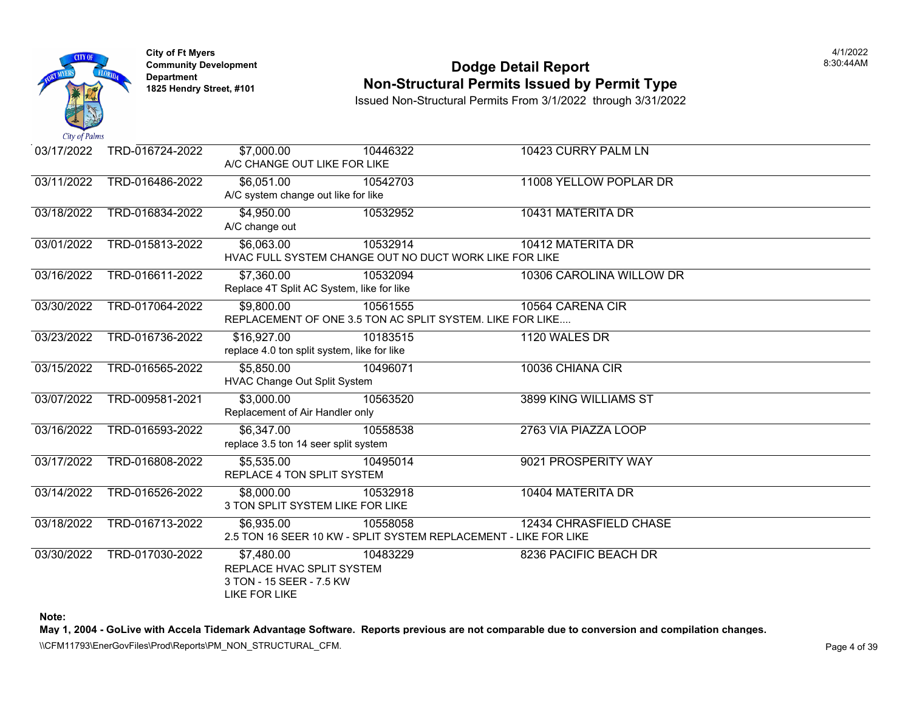

### **Community Development Community Development Community Development 1825 Non-Structural Permits Issued by Permit Type**

Issued Non-Structural Permits From 3/1/2022 through 3/31/2022

| 03/17/2022 | TRD-016724-2022 | \$7,000.00<br>A/C CHANGE OUT LIKE FOR LIKE                                                  | 10446322                                                                     | 10423 CURRY PALM LN      |
|------------|-----------------|---------------------------------------------------------------------------------------------|------------------------------------------------------------------------------|--------------------------|
| 03/11/2022 | TRD-016486-2022 | \$6,051.00<br>A/C system change out like for like                                           | 10542703                                                                     | 11008 YELLOW POPLAR DR   |
| 03/18/2022 | TRD-016834-2022 | \$4,950.00<br>A/C change out                                                                | 10532952                                                                     | 10431 MATERITA DR        |
| 03/01/2022 | TRD-015813-2022 | \$6,063.00                                                                                  | 10532914<br>HVAC FULL SYSTEM CHANGE OUT NO DUCT WORK LIKE FOR LIKE           | 10412 MATERITA DR        |
| 03/16/2022 | TRD-016611-2022 | \$7,360.00<br>Replace 4T Split AC System, like for like                                     | 10532094                                                                     | 10306 CAROLINA WILLOW DR |
| 03/30/2022 | TRD-017064-2022 | \$9.800.00                                                                                  | 10561555<br>REPLACEMENT OF ONE 3.5 TON AC SPLIT SYSTEM. LIKE FOR LIKE        | 10564 CARENA CIR         |
| 03/23/2022 | TRD-016736-2022 | \$16,927.00<br>replace 4.0 ton split system, like for like                                  | 10183515                                                                     | 1120 WALES DR            |
| 03/15/2022 | TRD-016565-2022 | \$5,850.00<br><b>HVAC Change Out Split System</b>                                           | 10496071                                                                     | 10036 CHIANA CIR         |
| 03/07/2022 | TRD-009581-2021 | \$3,000.00<br>Replacement of Air Handler only                                               | 10563520                                                                     | 3899 KING WILLIAMS ST    |
| 03/16/2022 | TRD-016593-2022 | \$6,347.00<br>replace 3.5 ton 14 seer split system                                          | 10558538                                                                     | 2763 VIA PIAZZA LOOP     |
| 03/17/2022 | TRD-016808-2022 | \$5,535.00<br>REPLACE 4 TON SPLIT SYSTEM                                                    | 10495014                                                                     | 9021 PROSPERITY WAY      |
| 03/14/2022 | TRD-016526-2022 | \$8,000.00<br>3 TON SPLIT SYSTEM LIKE FOR LIKE                                              | 10532918                                                                     | 10404 MATERITA DR        |
| 03/18/2022 | TRD-016713-2022 | $\overline{$6,935.00}$                                                                      | 10558058<br>2.5 TON 16 SEER 10 KW - SPLIT SYSTEM REPLACEMENT - LIKE FOR LIKE | 12434 CHRASFIELD CHASE   |
| 03/30/2022 | TRD-017030-2022 | \$7,480.00<br>REPLACE HVAC SPLIT SYSTEM<br>3 TON - 15 SEER - 7.5 KW<br><b>LIKE FOR LIKE</b> | 10483229                                                                     | 8236 PACIFIC BEACH DR    |

**Note:**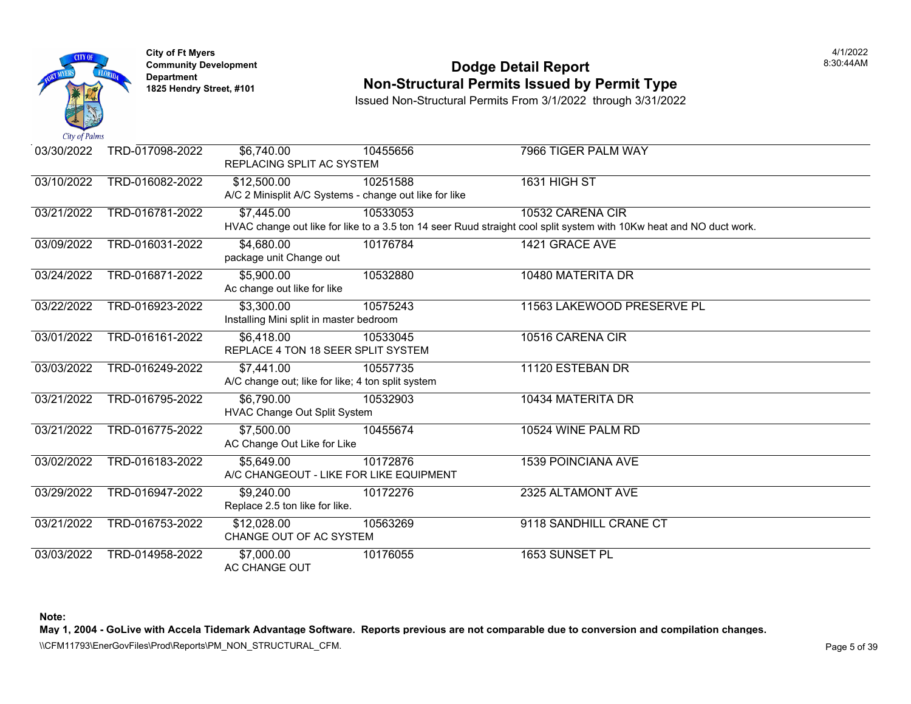

## **Community Development Community Development Community Development 1825 Non-Structural Permits Issued by Permit Type**

Issued Non-Structural Permits From 3/1/2022 through 3/31/2022

| $\mathcal{L}u \mathcal{L}v$ is a set of $\mathcal{L}u$ |                 |                                                        |          |                                                                                                          |
|--------------------------------------------------------|-----------------|--------------------------------------------------------|----------|----------------------------------------------------------------------------------------------------------|
| 03/30/2022                                             | TRD-017098-2022 | \$6,740.00                                             | 10455656 | 7966 TIGER PALM WAY                                                                                      |
|                                                        |                 | REPLACING SPLIT AC SYSTEM                              |          |                                                                                                          |
| 03/10/2022                                             | TRD-016082-2022 | \$12,500.00                                            | 10251588 | <b>1631 HIGH ST</b>                                                                                      |
|                                                        |                 | A/C 2 Minisplit A/C Systems - change out like for like |          |                                                                                                          |
| 03/21/2022                                             | TRD-016781-2022 | \$7,445.00                                             | 10533053 | 10532 CARENA CIR                                                                                         |
|                                                        |                 |                                                        |          | HVAC change out like for like to a 3.5 ton 14 seer Ruud straight cool split system with 10Kw heat and NC |
| 03/09/2022                                             | TRD-016031-2022 | \$4,680.00                                             | 10176784 | 1421 GRACE AVE                                                                                           |
|                                                        |                 | package unit Change out                                |          |                                                                                                          |
| 03/24/2022                                             | TRD-016871-2022 | \$5,900.00                                             | 10532880 | 10480 MATERITA DR                                                                                        |
|                                                        |                 | Ac change out like for like                            |          |                                                                                                          |
| 03/22/2022                                             | TRD-016923-2022 | \$3,300.00                                             | 10575243 | 11563 LAKEWOOD PRESERVE PL                                                                               |
|                                                        |                 | Installing Mini split in master bedroom                |          |                                                                                                          |
| 03/01/2022                                             | TRD-016161-2022 | \$6,418.00                                             | 10533045 | 10516 CARENA CIR                                                                                         |
|                                                        |                 | REPLACE 4 TON 18 SEER SPLIT SYSTEM                     |          |                                                                                                          |
| 03/03/2022                                             | TRD-016249-2022 | \$7,441.00                                             | 10557735 | 11120 ESTEBAN DR                                                                                         |
|                                                        |                 | A/C change out; like for like; 4 ton split system      |          |                                                                                                          |
| 03/21/2022                                             | TRD-016795-2022 | \$6,790.00                                             | 10532903 | 10434 MATERITA DR                                                                                        |
|                                                        |                 | HVAC Change Out Split System                           |          |                                                                                                          |
| 03/21/2022                                             | TRD-016775-2022 | \$7,500.00                                             | 10455674 | 10524 WINE PALM RD                                                                                       |
|                                                        |                 | AC Change Out Like for Like                            |          |                                                                                                          |
| 03/02/2022                                             | TRD-016183-2022 | \$5,649.00                                             | 10172876 | <b>1539 POINCIANA AVE</b>                                                                                |
|                                                        |                 | A/C CHANGEOUT - LIKE FOR LIKE EQUIPMENT                |          |                                                                                                          |
| 03/29/2022                                             | TRD-016947-2022 | \$9,240.00                                             | 10172276 | 2325 ALTAMONT AVE                                                                                        |
|                                                        |                 | Replace 2.5 ton like for like.                         |          |                                                                                                          |
| 03/21/2022                                             | TRD-016753-2022 | \$12,028.00                                            | 10563269 | 9118 SANDHILL CRANE CT                                                                                   |
|                                                        |                 | CHANGE OUT OF AC SYSTEM                                |          |                                                                                                          |
| 03/03/2022                                             | TRD-014958-2022 | \$7,000.00                                             | 10176055 | 1653 SUNSET PL                                                                                           |
|                                                        |                 | AC CHANGE OUT                                          |          |                                                                                                          |

**Note:**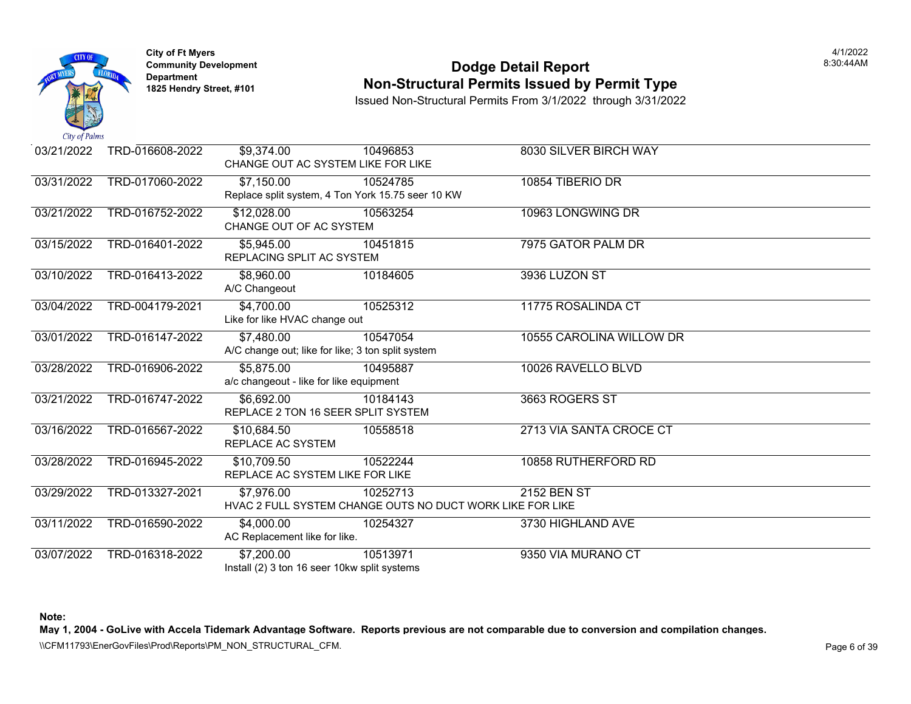

### **Community Development Community Development Community Development 1825 Non-Structural Permits Issued by Permit Type**

Issued Non-Structural Permits From 3/1/2022 through 3/31/2022

| 03/21/2022 | TRD-016608-2022 | \$9,374.00                    | 10496853<br>CHANGE OUT AC SYSTEM LIKE FOR LIKE            | 8030 SILVER BIRCH WAY    |
|------------|-----------------|-------------------------------|-----------------------------------------------------------|--------------------------|
|            |                 |                               |                                                           |                          |
| 03/31/2022 | TRD-017060-2022 | \$7,150.00                    | 10524785                                                  | 10854 TIBERIO DR         |
|            |                 |                               | Replace split system, 4 Ton York 15.75 seer 10 KW         |                          |
| 03/21/2022 | TRD-016752-2022 | \$12,028.00                   | 10563254                                                  | 10963 LONGWING DR        |
|            |                 | CHANGE OUT OF AC SYSTEM       |                                                           |                          |
| 03/15/2022 | TRD-016401-2022 | \$5,945.00                    | 10451815                                                  | 7975 GATOR PALM DR       |
|            |                 | REPLACING SPLIT AC SYSTEM     |                                                           |                          |
| 03/10/2022 | TRD-016413-2022 | \$8,960.00                    | 10184605                                                  | 3936 LUZON ST            |
|            |                 | A/C Changeout                 |                                                           |                          |
| 03/04/2022 | TRD-004179-2021 | \$4,700.00                    | 10525312                                                  | 11775 ROSALINDA CT       |
|            |                 | Like for like HVAC change out |                                                           |                          |
| 03/01/2022 | TRD-016147-2022 | \$7,480.00                    | 10547054                                                  | 10555 CAROLINA WILLOW DR |
|            |                 |                               | A/C change out; like for like; 3 ton split system         |                          |
| 03/28/2022 | TRD-016906-2022 | \$5,875.00                    | 10495887                                                  | 10026 RAVELLO BLVD       |
|            |                 |                               | a/c changeout - like for like equipment                   |                          |
| 03/21/2022 | TRD-016747-2022 | \$6,692.00                    | 10184143                                                  | 3663 ROGERS ST           |
|            |                 |                               | REPLACE 2 TON 16 SEER SPLIT SYSTEM                        |                          |
| 03/16/2022 | TRD-016567-2022 | \$10,684.50                   | 10558518                                                  | 2713 VIA SANTA CROCE CT  |
|            |                 | REPLACE AC SYSTEM             |                                                           |                          |
| 03/28/2022 | TRD-016945-2022 | \$10,709.50                   | 10522244                                                  | 10858 RUTHERFORD RD      |
|            |                 |                               | REPLACE AC SYSTEM LIKE FOR LIKE                           |                          |
| 03/29/2022 | TRD-013327-2021 | \$7,976.00                    | 10252713                                                  | 2152 BEN ST              |
|            |                 |                               | HVAC 2 FULL SYSTEM CHANGE OUTS NO DUCT WORK LIKE FOR LIKE |                          |
| 03/11/2022 | TRD-016590-2022 | \$4,000.00                    | 10254327                                                  | 3730 HIGHLAND AVE        |
|            |                 | AC Replacement like for like. |                                                           |                          |
| 03/07/2022 | TRD-016318-2022 | \$7,200.00                    | 10513971                                                  | 9350 VIA MURANO CT       |
|            |                 |                               | Install (2) 3 ton 16 seer 10kw split systems              |                          |

**Note:**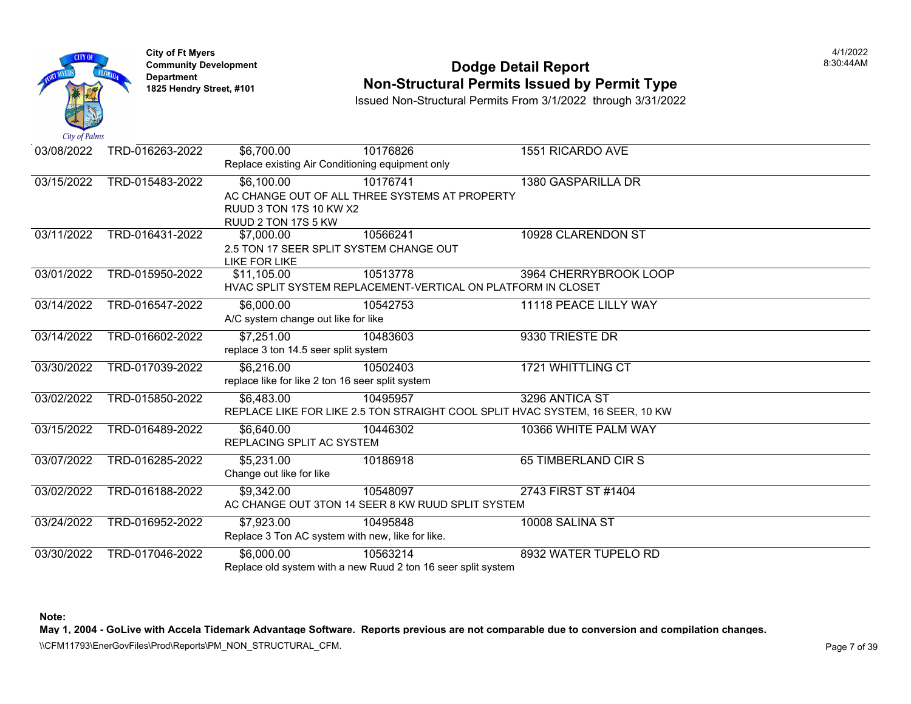

## **Community Development Community Development Community Development 1825 Non-Structural Permits Issued by Permit Type**

Issued Non-Structural Permits From 3/1/2022 through 3/31/2022

| $\mathcal{L}u \mathcal{L}v$ is a set of $\mathcal{L}u$ |                 |                                                  |                                                                               |                            |
|--------------------------------------------------------|-----------------|--------------------------------------------------|-------------------------------------------------------------------------------|----------------------------|
| 03/08/2022                                             | TRD-016263-2022 | \$6,700.00                                       | 10176826                                                                      | 1551 RICARDO AVE           |
|                                                        |                 | Replace existing Air Conditioning equipment only |                                                                               |                            |
| 03/15/2022                                             | TRD-015483-2022 | $\overline{$6,100.00}$                           | 10176741                                                                      | 1380 GASPARILLA DR         |
|                                                        |                 |                                                  | AC CHANGE OUT OF ALL THREE SYSTEMS AT PROPERTY                                |                            |
|                                                        |                 | RUUD 3 TON 17S 10 KW X2                          |                                                                               |                            |
|                                                        |                 | RUUD 2 TON 17S 5 KW                              |                                                                               |                            |
| 03/11/2022                                             | TRD-016431-2022 | \$7,000.00                                       | 10566241                                                                      | 10928 CLARENDON ST         |
|                                                        |                 |                                                  | 2.5 TON 17 SEER SPLIT SYSTEM CHANGE OUT                                       |                            |
|                                                        |                 | LIKE FOR LIKE                                    |                                                                               |                            |
| 03/01/2022                                             | TRD-015950-2022 | \$11,105.00                                      | 10513778                                                                      | 3964 CHERRYBROOK LOOP      |
|                                                        |                 |                                                  | HVAC SPLIT SYSTEM REPLACEMENT-VERTICAL ON PLATFORM IN CLOSET                  |                            |
| 03/14/2022                                             | TRD-016547-2022 | \$6,000.00                                       | 10542753                                                                      | 11118 PEACE LILLY WAY      |
|                                                        |                 | A/C system change out like for like              |                                                                               |                            |
| 03/14/2022                                             | TRD-016602-2022 | \$7,251.00                                       | 10483603                                                                      | 9330 TRIESTE DR            |
|                                                        |                 | replace 3 ton 14.5 seer split system             |                                                                               |                            |
| 03/30/2022                                             | TRD-017039-2022 | \$6,216.00                                       | 10502403                                                                      | <b>1721 WHITTLING CT</b>   |
|                                                        |                 | replace like for like 2 ton 16 seer split system |                                                                               |                            |
| 03/02/2022                                             | TRD-015850-2022 | \$6,483.00                                       | 10495957                                                                      | 3296 ANTICA ST             |
|                                                        |                 |                                                  | REPLACE LIKE FOR LIKE 2.5 TON STRAIGHT COOL SPLIT HVAC SYSTEM, 16 SEER, 10 KW |                            |
| 03/15/2022                                             | TRD-016489-2022 | \$6,640.00                                       | 10446302                                                                      | 10366 WHITE PALM WAY       |
|                                                        |                 | REPLACING SPLIT AC SYSTEM                        |                                                                               |                            |
| 03/07/2022                                             | TRD-016285-2022 | \$5,231.00                                       | 10186918                                                                      | <b>65 TIMBERLAND CIR S</b> |
|                                                        |                 | Change out like for like                         |                                                                               |                            |
| 03/02/2022                                             | TRD-016188-2022 | \$9,342.00                                       | 10548097                                                                      | 2743 FIRST ST #1404        |
|                                                        |                 |                                                  | AC CHANGE OUT 3TON 14 SEER 8 KW RUUD SPLIT SYSTEM                             |                            |
| 03/24/2022                                             | TRD-016952-2022 | \$7,923.00                                       | 10495848                                                                      | 10008 SALINA ST            |
|                                                        |                 | Replace 3 Ton AC system with new, like for like. |                                                                               |                            |
| 03/30/2022                                             | TRD-017046-2022 | \$6,000.00                                       | 10563214                                                                      | 8932 WATER TUPELO RD       |
|                                                        |                 |                                                  | Replace old system with a new Ruud 2 ton 16 seer split system                 |                            |

**Note:**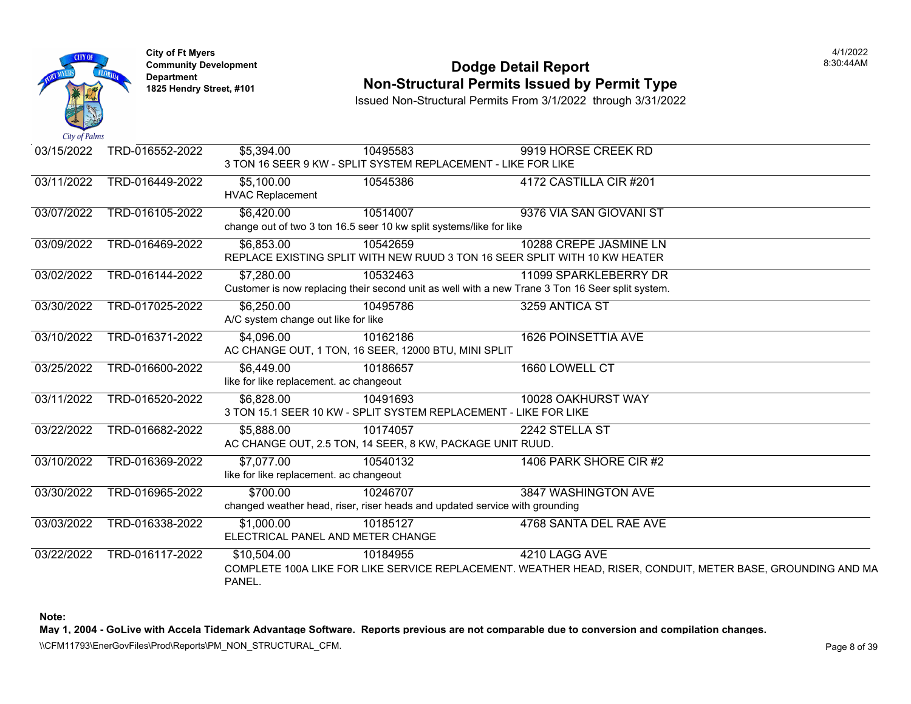

### **Community Development Community Development Community Development 1825 Non-Structural Permits Issued by Permit Type**

Issued Non-Structural Permits From 3/1/2022 through 3/31/2022

| 03/15/2022 | TRD-016552-2022 | \$5,394.00                              | 10495583                                                            | 9919 HORSE CREEK RD                                                                              |
|------------|-----------------|-----------------------------------------|---------------------------------------------------------------------|--------------------------------------------------------------------------------------------------|
|            |                 |                                         |                                                                     | 3 TON 16 SEER 9 KW - SPLIT SYSTEM REPLACEMENT - LIKE FOR LIKE                                    |
| 03/11/2022 | TRD-016449-2022 | \$5,100.00                              | 10545386                                                            | 4172 CASTILLA CIR #201                                                                           |
|            |                 | <b>HVAC Replacement</b>                 |                                                                     |                                                                                                  |
| 03/07/2022 | TRD-016105-2022 | \$6,420.00                              | 10514007                                                            | 9376 VIA SAN GIOVANI ST                                                                          |
|            |                 |                                         | change out of two 3 ton 16.5 seer 10 kw split systems/like for like |                                                                                                  |
| 03/09/2022 | TRD-016469-2022 | \$6,853.00                              | 10542659                                                            | 10288 CREPE JASMINE LN                                                                           |
|            |                 |                                         |                                                                     | REPLACE EXISTING SPLIT WITH NEW RUUD 3 TON 16 SEER SPLIT WITH 10 KW HEATER                       |
| 03/02/2022 | TRD-016144-2022 | \$7,280.00                              | 10532463                                                            | 11099 SPARKLEBERRY DR                                                                            |
|            |                 |                                         |                                                                     | Customer is now replacing their second unit as well with a new Trane 3 Ton 16 Seer split system. |
| 03/30/2022 | TRD-017025-2022 | \$6,250.00                              | 10495786                                                            | 3259 ANTICA ST                                                                                   |
|            |                 | A/C system change out like for like     |                                                                     |                                                                                                  |
| 03/10/2022 | TRD-016371-2022 | \$4,096.00                              | 10162186                                                            | 1626 POINSETTIA AVE                                                                              |
|            |                 |                                         | AC CHANGE OUT, 1 TON, 16 SEER, 12000 BTU, MINI SPLIT                |                                                                                                  |
| 03/25/2022 | TRD-016600-2022 | \$6,449.00                              | 10186657                                                            | 1660 LOWELL CT                                                                                   |
|            |                 | like for like replacement. ac changeout |                                                                     |                                                                                                  |
| 03/11/2022 | TRD-016520-2022 | \$6,828.00                              | 10491693                                                            | 10028 OAKHURST WAY                                                                               |
|            |                 |                                         |                                                                     | 3 TON 15.1 SEER 10 KW - SPLIT SYSTEM REPLACEMENT - LIKE FOR LIKE                                 |
| 03/22/2022 | TRD-016682-2022 | \$5,888.00                              | 10174057                                                            | 2242 STELLA ST                                                                                   |
|            |                 |                                         | AC CHANGE OUT, 2.5 TON, 14 SEER, 8 KW, PACKAGE UNIT RUUD.           |                                                                                                  |
| 03/10/2022 | TRD-016369-2022 | \$7,077.00                              | 10540132                                                            | 1406 PARK SHORE CIR #2                                                                           |
|            |                 | like for like replacement. ac changeout |                                                                     |                                                                                                  |
| 03/30/2022 | TRD-016965-2022 | \$700.00                                | 10246707                                                            | 3847 WASHINGTON AVE                                                                              |
|            |                 |                                         |                                                                     | changed weather head, riser, riser heads and updated service with grounding                      |
| 03/03/2022 | TRD-016338-2022 | \$1,000.00                              | 10185127                                                            | 4768 SANTA DEL RAE AVE                                                                           |
|            |                 | ELECTRICAL PANEL AND METER CHANGE       |                                                                     |                                                                                                  |
| 03/22/2022 | TRD-016117-2022 | \$10,504.00                             | 10184955                                                            | 4210 LAGG AVE                                                                                    |
|            |                 |                                         |                                                                     | COMPLETE 100A LIKE FOR LIKE SERVICE REPLACEMENT. WEATHER HEAD, RISER, CONDUIT, M                 |
|            |                 | PANEL.                                  |                                                                     |                                                                                                  |

**Note:**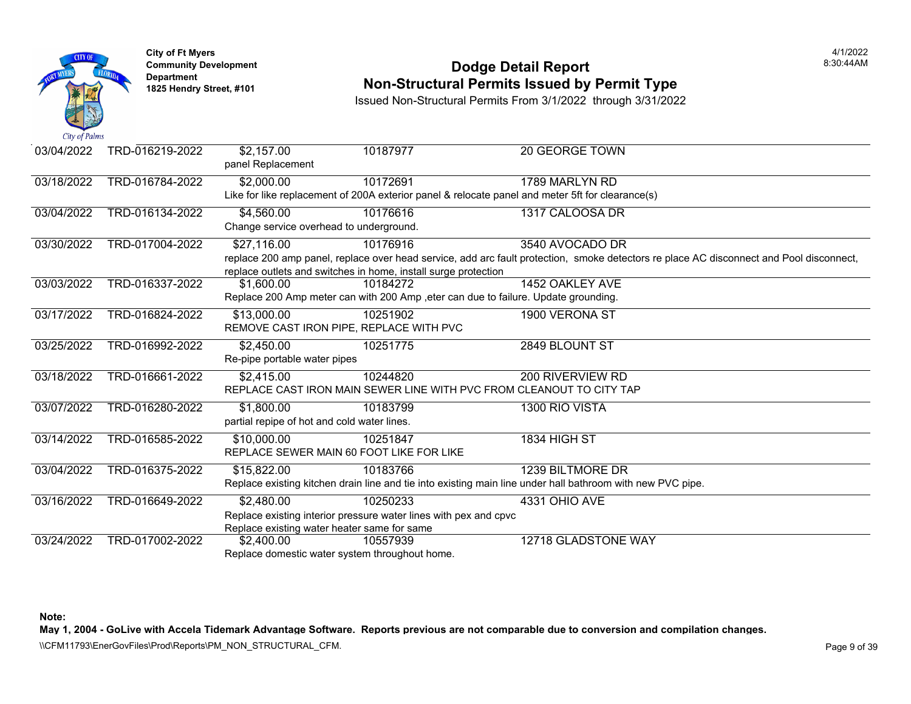

#### **Community Development Dodge Detail Report** 8:30:44AM **Non-Structural Permits Issued by Permit Type**

Issued Non-Structural Permits From 3/1/2022 through 3/31/2022

| 03/04/2022 | TRD-016219-2022 | \$2,157.00<br>panel Replacement                | 10187977                                                         | 20 GEORGE TOWN                                                                                                                          |
|------------|-----------------|------------------------------------------------|------------------------------------------------------------------|-----------------------------------------------------------------------------------------------------------------------------------------|
| 03/18/2022 | TRD-016784-2022 | \$2,000.00                                     | 10172691                                                         | 1789 MARLYN RD                                                                                                                          |
|            |                 |                                                |                                                                  | Like for like replacement of 200A exterior panel & relocate panel and meter 5ft for clearance(s)                                        |
| 03/04/2022 | TRD-016134-2022 | \$4,560.00                                     | 10176616                                                         | 1317 CALOOSA DR                                                                                                                         |
|            |                 | Change service overhead to underground.        |                                                                  |                                                                                                                                         |
| 03/30/2022 | TRD-017004-2022 | \$27,116.00                                    | 10176916                                                         | 3540 AVOCADO DR                                                                                                                         |
|            |                 |                                                |                                                                  | replace 200 amp panel, replace over head service, add arc fault protection, smoke detectors re place AC disconnect and Pool disconnect, |
|            |                 |                                                | replace outlets and switches in home, install surge protection   |                                                                                                                                         |
| 03/03/2022 | TRD-016337-2022 | \$1,600.00                                     | 10184272                                                         | 1452 OAKLEY AVE                                                                                                                         |
|            |                 |                                                |                                                                  | Replace 200 Amp meter can with 200 Amp , eter can due to failure. Update grounding.                                                     |
| 03/17/2022 | TRD-016824-2022 | \$13,000.00                                    | 10251902                                                         | 1900 VERONA ST                                                                                                                          |
|            |                 |                                                | REMOVE CAST IRON PIPE, REPLACE WITH PVC                          |                                                                                                                                         |
| 03/25/2022 | TRD-016992-2022 | \$2,450.00                                     | 10251775                                                         | 2849 BLOUNT ST                                                                                                                          |
|            |                 | Re-pipe portable water pipes                   |                                                                  |                                                                                                                                         |
| 03/18/2022 | TRD-016661-2022 | \$2,415.00                                     | 10244820                                                         | 200 RIVERVIEW RD                                                                                                                        |
|            |                 |                                                |                                                                  | REPLACE CAST IRON MAIN SEWER LINE WITH PVC FROM CLEANOUT TO CITY TAP                                                                    |
| 03/07/2022 | TRD-016280-2022 | \$1,800.00                                     | 10183799                                                         | 1300 RIO VISTA                                                                                                                          |
|            |                 | partial repipe of hot and cold water lines.    |                                                                  |                                                                                                                                         |
| 03/14/2022 | TRD-016585-2022 | \$10,000.00                                    | 10251847                                                         | 1834 HIGH ST                                                                                                                            |
|            |                 |                                                | REPLACE SEWER MAIN 60 FOOT LIKE FOR LIKE                         |                                                                                                                                         |
| 03/04/2022 | TRD-016375-2022 | \$15,822.00                                    | 10183766                                                         | 1239 BILTMORE DR                                                                                                                        |
|            |                 |                                                |                                                                  | Replace existing kitchen drain line and tie into existing main line under hall bathroom with new PVC pipe.                              |
| 03/16/2022 | TRD-016649-2022 | \$2,480.00                                     | 10250233                                                         | 4331 OHIO AVE                                                                                                                           |
|            |                 |                                                | Replace existing interior pressure water lines with pex and cpvc |                                                                                                                                         |
|            |                 | Replace existing water heater same for same    |                                                                  |                                                                                                                                         |
| 03/24/2022 | TRD-017002-2022 | \$2,400.00                                     | 10557939                                                         | 12718 GLADSTONE WAY                                                                                                                     |
|            |                 | Replace domestic water system throughout home. |                                                                  |                                                                                                                                         |

**Note:** 

**May 1, 2004 - GoLive with Accela Tidemark Advantage Software. Reports previous are not comparable due to conversion and compilation changes.** 

\\CFM11793\EnerGovFiles\Prod\Reports\PM\_NON\_STRUCTURAL\_CFM.<br>Page 9 of 39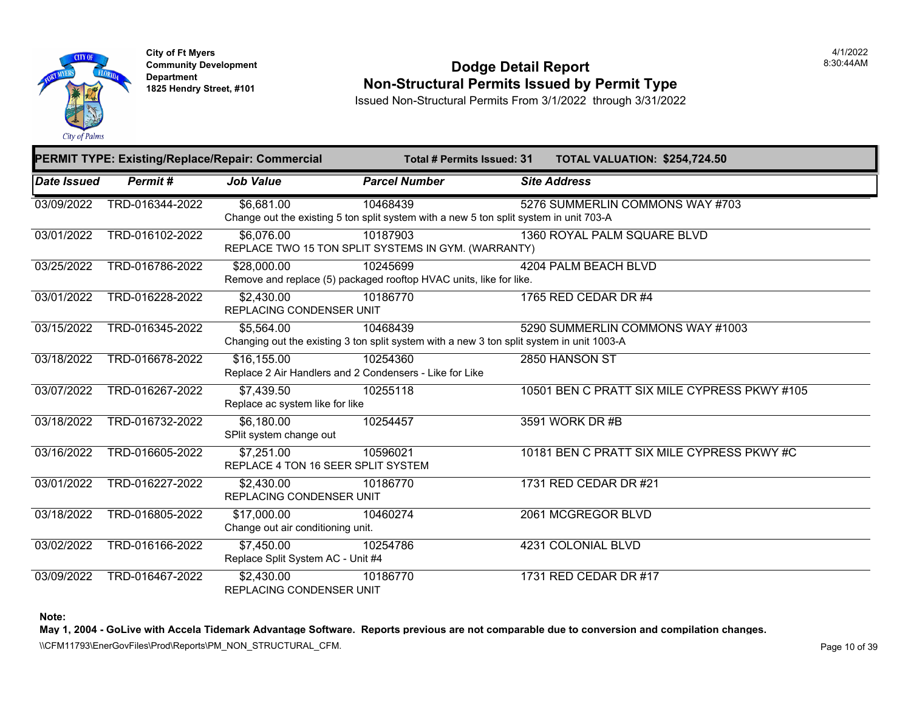

**City of Ft Myers Community Development Department 1825 Hendry Street, #101** 

#### **Dodge Detail Report Non-Structural Permits Issued by Permit Type**

Issued Non-Structural Permits From 3/1/2022 through 3/31/2022

|                    |                 | <b>PERMIT TYPE: Existing/Replace/Repair: Commercial</b>                                                 | <b>Total # Permits Issued: 31</b> |                     | <b>TOTAL VALUATION: \$254,72</b> |  |
|--------------------|-----------------|---------------------------------------------------------------------------------------------------------|-----------------------------------|---------------------|----------------------------------|--|
| <b>Date Issued</b> | <b>Permit#</b>  | <b>Job Value</b>                                                                                        | <b>Parcel Number</b>              | <b>Site Address</b> |                                  |  |
| 03/09/2022         | TRD-016344-2022 | \$6,681.00<br>Change out the existing 5 ton split system with a new 5 ton split system in unit 703-A    | 10468439                          |                     | 5276 SUMMERLIN COMMONS WA        |  |
| 03/01/2022         | TRD-016102-2022 | \$6,076.00<br>REPLACE TWO 15 TON SPLIT SYSTEMS IN GYM. (WARRANTY)                                       | 10187903                          |                     | 1360 ROYAL PALM SQUARE BLVD      |  |
| 03/25/2022         | TRD-016786-2022 | \$28,000.00<br>Remove and replace (5) packaged rooftop HVAC units, like for like.                       | 10245699                          |                     | 4204 PALM BEACH BLVD             |  |
| 03/01/2022         | TRD-016228-2022 | \$2,430.00<br><b>REPLACING CONDENSER UNIT</b>                                                           | 10186770                          |                     | 1765 RED CEDAR DR #4             |  |
| 03/15/2022         | TRD-016345-2022 | \$5,564.00<br>Changing out the existing 3 ton split system with a new 3 ton split system in unit 1003-A | 10468439                          |                     | 5290 SUMMERLIN COMMONS WA        |  |
| 03/18/2022         | TRD-016678-2022 | \$16,155.00<br>Replace 2 Air Handlers and 2 Condensers - Like for Like                                  | 10254360                          | 2850 HANSON ST      |                                  |  |
| 03/07/2022         | TRD-016267-2022 | \$7,439.50<br>Replace ac system like for like                                                           | 10255118                          |                     | 10501 BEN C PRATT SIX MILE CY    |  |
| 03/18/2022         | TRD-016732-2022 | \$6,180.00<br>SPlit system change out                                                                   | 10254457                          | 3591 WORK DR #B     |                                  |  |
| 03/16/2022         | TRD-016605-2022 | \$7,251.00<br>REPLACE 4 TON 16 SEER SPLIT SYSTEM                                                        | 10596021                          |                     | 10181 BEN C PRATT SIX MILE CYI   |  |
| 03/01/2022         | TRD-016227-2022 | \$2,430.00<br>REPLACING CONDENSER UNIT                                                                  | 10186770                          |                     | 1731 RED CEDAR DR #21            |  |
| 03/18/2022         | TRD-016805-2022 | \$17,000.00<br>Change out air conditioning unit.                                                        | 10460274                          |                     | 2061 MCGREGOR BLVD               |  |
| 03/02/2022         | TRD-016166-2022 | \$7,450.00<br>Replace Split System AC - Unit #4                                                         | 10254786                          |                     | 4231 COLONIAL BLVD               |  |
| 03/09/2022         | TRD-016467-2022 | \$2,430.00<br>REPLACING CONDENSER UNIT                                                                  | 10186770                          |                     | 1731 RED CEDAR DR #17            |  |

**Note:**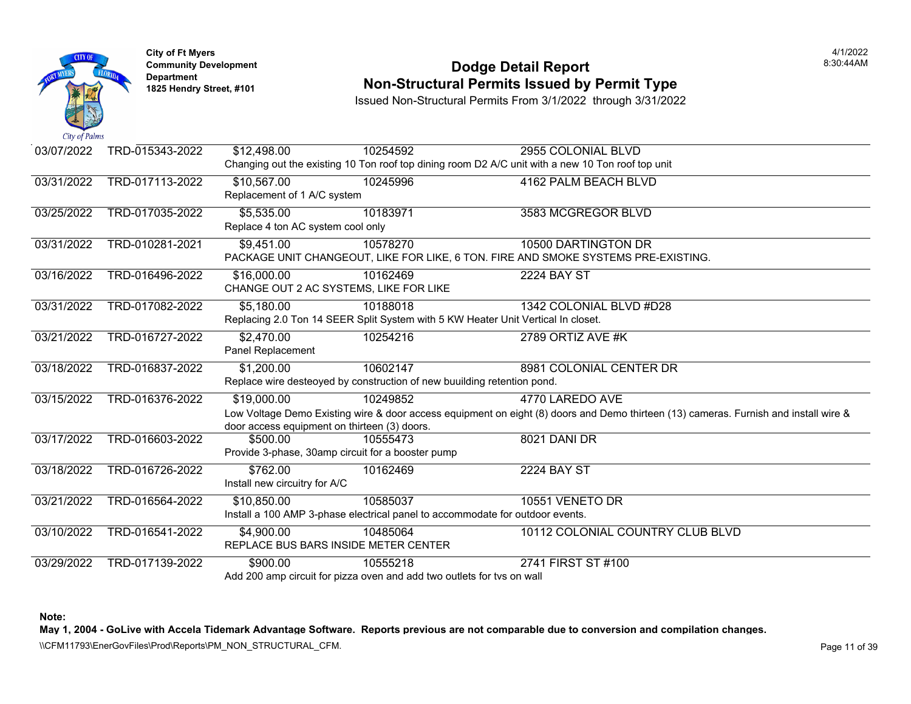

#### **Community Development Community Development Community Development 1825 Non-Structural Permits Issued by Permit Type**

Issued Non-Structural Permits From 3/1/2022 through 3/31/2022

| 03/07/2022 | TRD-015343-2022 | \$12,498.00                                       | 10254592                                                                         | 2955 COLONIAL BLVD                                                                                   |
|------------|-----------------|---------------------------------------------------|----------------------------------------------------------------------------------|------------------------------------------------------------------------------------------------------|
|            |                 |                                                   |                                                                                  | Changing out the existing 10 Ton roof top dining room D2 A/C unit with a new 10 Ton roof top unit    |
| 03/31/2022 | TRD-017113-2022 | \$10,567.00                                       | 10245996                                                                         | 4162 PALM BEACH BLVD                                                                                 |
|            |                 | Replacement of 1 A/C system                       |                                                                                  |                                                                                                      |
| 03/25/2022 | TRD-017035-2022 | \$5,535.00                                        | 10183971                                                                         | 3583 MCGREGOR BLVD                                                                                   |
|            |                 | Replace 4 ton AC system cool only                 |                                                                                  |                                                                                                      |
| 03/31/2022 | TRD-010281-2021 | \$9,451.00                                        | 10578270                                                                         | 10500 DARTINGTON DR                                                                                  |
|            |                 |                                                   |                                                                                  | PACKAGE UNIT CHANGEOUT, LIKE FOR LIKE, 6 TON. FIRE AND SMOKE SYSTEMS PRE-EXISTING                    |
| 03/16/2022 | TRD-016496-2022 | \$16,000.00                                       | 10162469                                                                         | <b>2224 BAY ST</b>                                                                                   |
|            |                 | CHANGE OUT 2 AC SYSTEMS, LIKE FOR LIKE            |                                                                                  |                                                                                                      |
| 03/31/2022 | TRD-017082-2022 | \$5,180.00                                        | 10188018                                                                         | 1342 COLONIAL BLVD #D28                                                                              |
|            |                 |                                                   | Replacing 2.0 Ton 14 SEER Split System with 5 KW Heater Unit Vertical In closet. |                                                                                                      |
| 03/21/2022 | TRD-016727-2022 | \$2,470.00                                        | 10254216                                                                         | 2789 ORTIZ AVE #K                                                                                    |
|            |                 | <b>Panel Replacement</b>                          |                                                                                  |                                                                                                      |
| 03/18/2022 | TRD-016837-2022 | \$1,200.00                                        | 10602147                                                                         | 8981 COLONIAL CENTER DR                                                                              |
|            |                 |                                                   | Replace wire desteoyed by construction of new buuilding retention pond.          |                                                                                                      |
| 03/15/2022 | TRD-016376-2022 | $\overline{$19,000.00}$                           | 10249852                                                                         | 4770 LAREDO AVE                                                                                      |
|            |                 |                                                   |                                                                                  | Low Voltage Demo Existing wire & door access equipment on eight (8) doors and Demo thirteen (13) car |
|            |                 | door access equipment on thirteen (3) doors.      |                                                                                  |                                                                                                      |
| 03/17/2022 | TRD-016603-2022 | \$500.00                                          | 10555473                                                                         | 8021 DANI DR                                                                                         |
|            |                 | Provide 3-phase, 30amp circuit for a booster pump |                                                                                  |                                                                                                      |
| 03/18/2022 | TRD-016726-2022 | \$762.00                                          | 10162469                                                                         | <b>2224 BAY ST</b>                                                                                   |
|            |                 | Install new circuitry for A/C                     |                                                                                  |                                                                                                      |
| 03/21/2022 | TRD-016564-2022 | \$10,850.00                                       | 10585037                                                                         | 10551 VENETO DR                                                                                      |
|            |                 |                                                   | Install a 100 AMP 3-phase electrical panel to accommodate for outdoor events.    |                                                                                                      |
| 03/10/2022 | TRD-016541-2022 | \$4,900.00                                        | 10485064                                                                         | 10112 COLONIAL COUNTRY CLUE                                                                          |
|            |                 | REPLACE BUS BARS INSIDE METER CENTER              |                                                                                  |                                                                                                      |
| 03/29/2022 | TRD-017139-2022 | \$900.00                                          | 10555218                                                                         | 2741 FIRST ST #100                                                                                   |
|            |                 |                                                   | Add 200 amp circuit for pizza oven and add two outlets for tvs on wall           |                                                                                                      |

**Note:**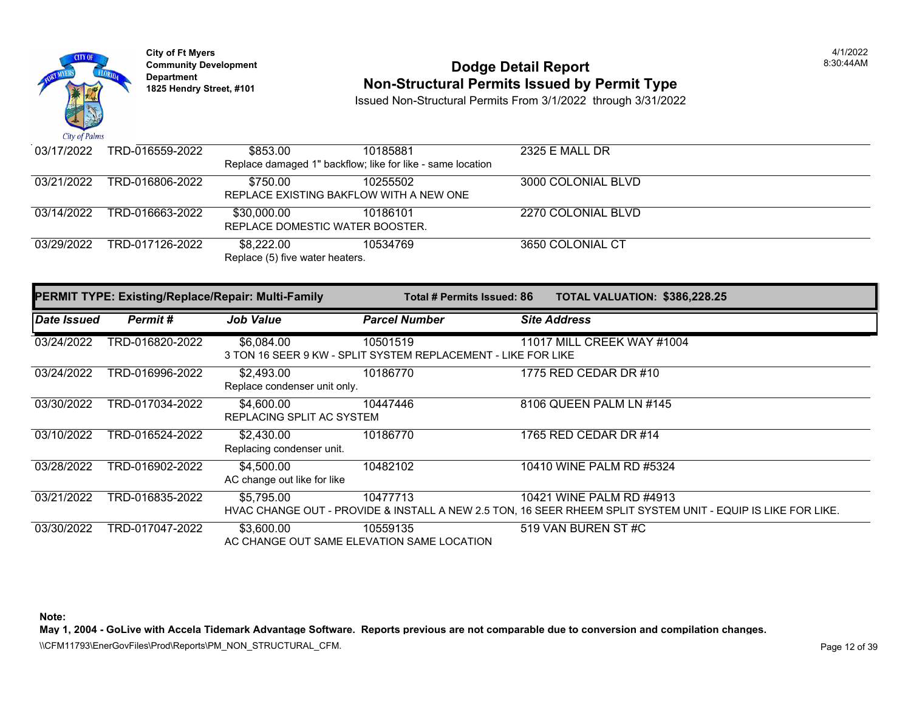

## **Community Development 18:30:44AM**<br>
Dodge Detail Report Department 18:30:44AM<br>
1825 Hendry Street, #101 **Non-Structural Permits Issued by Permit Type**

Issued Non-Structural Permits From 3/1/2022 through 3/31/2022

| 03/17/2022 | TRD-016559-2022 | \$853.00                                                   | 10185881 | 2325 E MALL DR     |
|------------|-----------------|------------------------------------------------------------|----------|--------------------|
|            |                 | Replace damaged 1" backflow; like for like - same location |          |                    |
| 03/21/2022 | TRD-016806-2022 | \$750.00                                                   | 10255502 | 3000 COLONIAL BLVD |
|            |                 | REPLACE EXISTING BAKFLOW WITH A NEW ONE                    |          |                    |
| 03/14/2022 | TRD-016663-2022 | \$30.000.00                                                | 10186101 | 2270 COLONIAL BLVD |
|            |                 | REPLACE DOMESTIC WATER BOOSTER.                            |          |                    |
| 03/29/2022 | TRD-017126-2022 | \$8,222,00                                                 | 10534769 | 3650 COLONIAL CT   |
|            |                 | Replace (5) five water heaters.                            |          |                    |
|            |                 |                                                            |          |                    |

|             | <b>PERMIT TYPE: Existing/Replace/Repair: Multi-Family</b> |                                            | Total # Permits Issued: 86                                                | TOTAL VALUATION: \$386,228.25                                                                                                            |
|-------------|-----------------------------------------------------------|--------------------------------------------|---------------------------------------------------------------------------|------------------------------------------------------------------------------------------------------------------------------------------|
| Date Issued | Permit#                                                   | <b>Job Value</b>                           | <b>Parcel Number</b>                                                      | <b>Site Address</b>                                                                                                                      |
| 03/24/2022  | TRD-016820-2022                                           | \$6,084.00                                 | 10501519<br>3 TON 16 SEER 9 KW - SPLIT SYSTEM REPLACEMENT - LIKE FOR LIKE | 11017 MILL CREEK WAY #1004                                                                                                               |
| 03/24/2022  | TRD-016996-2022                                           | \$2,493.00<br>Replace condenser unit only. | 10186770                                                                  | 1775 RED CEDAR DR #10                                                                                                                    |
| 03/30/2022  | TRD-017034-2022                                           | \$4,600.00<br>REPLACING SPLIT AC SYSTEM    | 10447446                                                                  | 8106 QUEEN PALM LN #145                                                                                                                  |
| 03/10/2022  | TRD-016524-2022                                           | \$2,430.00<br>Replacing condenser unit.    | 10186770                                                                  | 1765 RED CEDAR DR #14                                                                                                                    |
| 03/28/2022  | TRD-016902-2022                                           | \$4,500.00<br>AC change out like for like  | 10482102                                                                  | 10410 WINE PALM RD #5324                                                                                                                 |
| 03/21/2022  | TRD-016835-2022                                           | \$5,795.00                                 | 10477713                                                                  | 10421 WINE PALM RD #4913<br>HVAC CHANGE OUT - PROVIDE & INSTALL A NEW 2.5 TON, 16 SEER RHEEM SPLIT SYSTEM UNIT - EQUIP IS LIKE FOR LIKE. |
| 03/30/2022  | TRD-017047-2022                                           | \$3,600.00                                 | 10559135<br>AC CHANGE OUT SAME ELEVATION SAME LOCATION                    | 519 VAN BUREN ST#C                                                                                                                       |

**Note:** 

**May 1, 2004 - GoLive with Accela Tidemark Advantage Software. Reports previous are not comparable due to conversion and compilation changes.**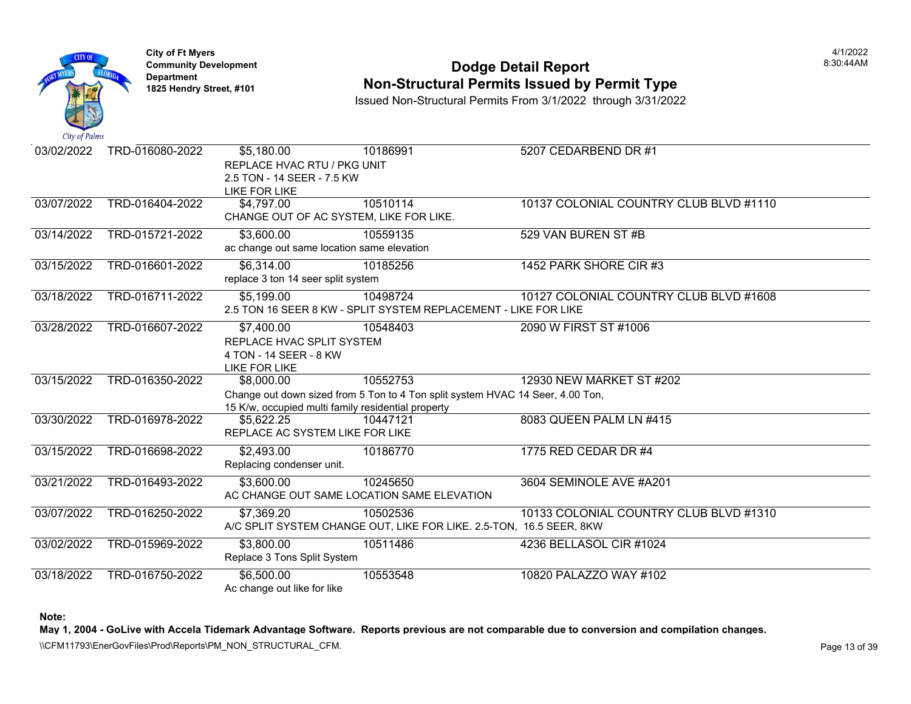

## **Community Development Community Development Community Development 1825 Non-Structural Permits Issued by Permit Type**

Issued Non-Structural Permits From 3/1/2022 through 3/31/2022

| $\alpha$ $\mu$ $\mu$ $\mu$ |                 |                                                                                                       |          |                                                                                                            |
|----------------------------|-----------------|-------------------------------------------------------------------------------------------------------|----------|------------------------------------------------------------------------------------------------------------|
| 03/02/2022                 | TRD-016080-2022 | \$5,180.00<br>REPLACE HVAC RTU / PKG UNIT<br>2.5 TON - 14 SEER - 7.5 KW<br><b>LIKE FOR LIKE</b>       | 10186991 | 5207 CEDARBEND DR #1                                                                                       |
| 03/07/2022                 | TRD-016404-2022 | \$4,797.00<br>CHANGE OUT OF AC SYSTEM, LIKE FOR LIKE.                                                 | 10510114 | <b>10137 COLONIAL COUNTRY CLUE</b>                                                                         |
| 03/14/2022                 | TRD-015721-2022 | \$3,600.00<br>ac change out same location same elevation                                              | 10559135 | 529 VAN BUREN ST #B                                                                                        |
| 03/15/2022                 | TRD-016601-2022 | \$6,314.00<br>replace 3 ton 14 seer split system                                                      | 10185256 | 1452 PARK SHORE CIR #3                                                                                     |
| 03/18/2022                 | TRD-016711-2022 | \$5,199.00                                                                                            | 10498724 | 10127 COLONIAL COUNTRY CLUE<br>2.5 TON 16 SEER 8 KW - SPLIT SYSTEM REPLACEMENT - LIKE FOR LIKE             |
| 03/28/2022                 | TRD-016607-2022 | $\overline{$}7,400.00$<br>REPLACE HVAC SPLIT SYSTEM<br>4 TON - 14 SEER - 8 KW<br><b>LIKE FOR LIKE</b> | 10548403 | 2090 W FIRST ST #1006                                                                                      |
| 03/15/2022                 | TRD-016350-2022 | \$8,000.00<br>15 K/w, occupied multi family residential property                                      | 10552753 | 12930 NEW MARKET ST #202<br>Change out down sized from 5 Ton to 4 Ton split system HVAC 14 Seer, 4.00 Ton, |
| 03/30/2022                 | TRD-016978-2022 | \$5,622.25<br>REPLACE AC SYSTEM LIKE FOR LIKE                                                         | 10447121 | 8083 QUEEN PALM LN #415                                                                                    |
| 03/15/2022                 | TRD-016698-2022 | \$2,493.00<br>Replacing condenser unit.                                                               | 10186770 | 1775 RED CEDAR DR #4                                                                                       |
| 03/21/2022                 | TRD-016493-2022 | \$3,600.00<br>AC CHANGE OUT SAME LOCATION SAME ELEVATION                                              | 10245650 | 3604 SEMINOLE AVE #A201                                                                                    |
| 03/07/2022                 | TRD-016250-2022 | \$7,369.20                                                                                            | 10502536 | 10133 COLONIAL COUNTRY CLUE<br>A/C SPLIT SYSTEM CHANGE OUT, LIKE FOR LIKE. 2.5-TON, 16.5 SEER, 8KW         |
| 03/02/2022                 | TRD-015969-2022 | \$3,800.00<br>Replace 3 Tons Split System                                                             | 10511486 | 4236 BELLASOL CIR #1024                                                                                    |
| 03/18/2022                 | TRD-016750-2022 | \$6,500.00<br>Ac change out like for like                                                             | 10553548 | 10820 PALAZZO WAY #102                                                                                     |

**Note:**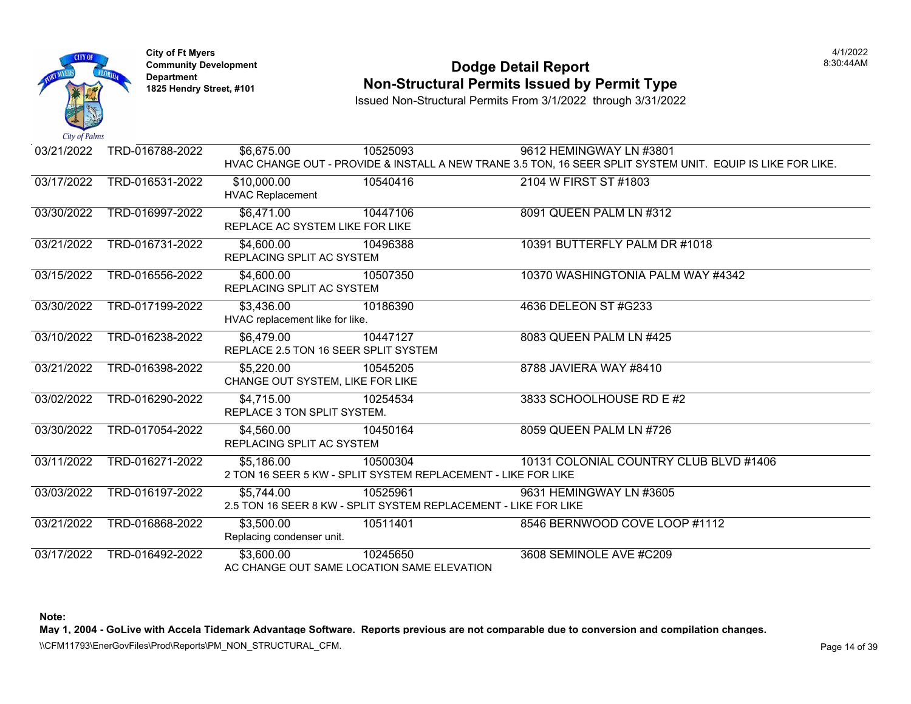

## **Community Development Community Development Community Development 1825 Non-Structural Permits Issued by Permit Type**

Issued Non-Structural Permits From 3/1/2022 through 3/31/2022

| 03/21/2022 | TRD-016788-2022 | \$6,675.00                           | 10525093                                                        | 9612 HEMINGWAY LN #3801                                                            |
|------------|-----------------|--------------------------------------|-----------------------------------------------------------------|------------------------------------------------------------------------------------|
|            |                 |                                      |                                                                 | HVAC CHANGE OUT - PROVIDE & INSTALL A NEW TRANE 3.5 TON, 16 SEER SPLIT SYSTEM UNIT |
| 03/17/2022 | TRD-016531-2022 | \$10,000.00                          | 10540416                                                        | 2104 W FIRST ST #1803                                                              |
|            |                 | <b>HVAC Replacement</b>              |                                                                 |                                                                                    |
| 03/30/2022 | TRD-016997-2022 | \$6,471.00                           | 10447106                                                        | 8091 QUEEN PALM LN #312                                                            |
|            |                 | REPLACE AC SYSTEM LIKE FOR LIKE      |                                                                 |                                                                                    |
| 03/21/2022 | TRD-016731-2022 | \$4,600.00                           | 10496388                                                        | 10391 BUTTERFLY PALM DR #101                                                       |
|            |                 | REPLACING SPLIT AC SYSTEM            |                                                                 |                                                                                    |
| 03/15/2022 | TRD-016556-2022 | \$4,600.00                           | 10507350                                                        | 10370 WASHINGTONIA PALM WAY                                                        |
|            |                 | REPLACING SPLIT AC SYSTEM            |                                                                 |                                                                                    |
| 03/30/2022 | TRD-017199-2022 | \$3,436.00                           | 10186390                                                        | 4636 DELEON ST #G233                                                               |
|            |                 | HVAC replacement like for like.      |                                                                 |                                                                                    |
| 03/10/2022 | TRD-016238-2022 | \$6,479.00                           | 10447127                                                        | 8083 QUEEN PALM LN #425                                                            |
|            |                 | REPLACE 2.5 TON 16 SEER SPLIT SYSTEM |                                                                 |                                                                                    |
| 03/21/2022 | TRD-016398-2022 | \$5,220.00                           | 10545205                                                        | 8788 JAVIERA WAY #8410                                                             |
|            |                 | CHANGE OUT SYSTEM, LIKE FOR LIKE     |                                                                 |                                                                                    |
| 03/02/2022 | TRD-016290-2022 | \$4,715.00                           | 10254534                                                        | 3833 SCHOOLHOUSE RD E #2                                                           |
|            |                 | REPLACE 3 TON SPLIT SYSTEM.          |                                                                 |                                                                                    |
| 03/30/2022 | TRD-017054-2022 | \$4,560.00                           | 10450164                                                        | 8059 QUEEN PALM LN #726                                                            |
|            |                 | REPLACING SPLIT AC SYSTEM            |                                                                 |                                                                                    |
| 03/11/2022 | TRD-016271-2022 | \$5,186.00                           | 10500304                                                        | 10131 COLONIAL COUNTRY CLUE                                                        |
|            |                 |                                      | 2 TON 16 SEER 5 KW - SPLIT SYSTEM REPLACEMENT - LIKE FOR LIKE   |                                                                                    |
| 03/03/2022 | TRD-016197-2022 | \$5.744.00                           | 10525961                                                        | 9631 HEMINGWAY LN #3605                                                            |
|            |                 |                                      | 2.5 TON 16 SEER 8 KW - SPLIT SYSTEM REPLACEMENT - LIKE FOR LIKE |                                                                                    |
| 03/21/2022 | TRD-016868-2022 | \$3,500.00                           | 10511401                                                        | 8546 BERNWOOD COVE LOOP #1                                                         |
|            |                 | Replacing condenser unit.            |                                                                 |                                                                                    |
| 03/17/2022 | TRD-016492-2022 | \$3,600.00                           | 10245650                                                        | 3608 SEMINOLE AVE #C209                                                            |
|            |                 |                                      | AC CHANGE OUT SAME LOCATION SAME ELEVATION                      |                                                                                    |

**Note:**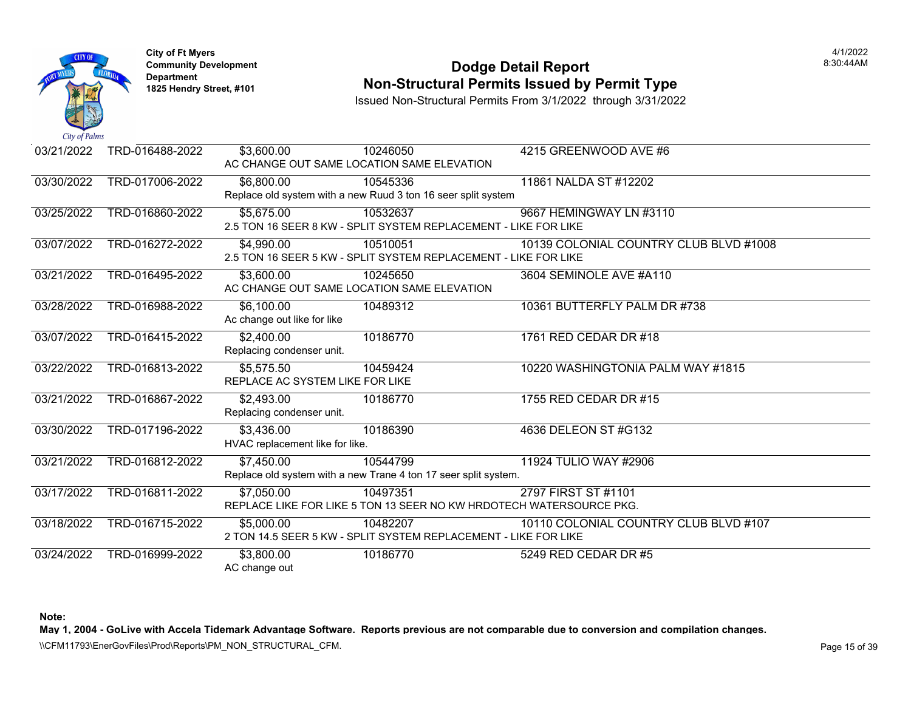

## **Community Development Community Development Community Development 1825 Non-Structural Permits Issued by Permit Type**

Issued Non-Structural Permits From 3/1/2022 through 3/31/2022

| 03/21/2022 | TRD-016488-2022 | \$3,600.00                      | 10246050                                                            | 4215 GREENWOOD AVE #6        |
|------------|-----------------|---------------------------------|---------------------------------------------------------------------|------------------------------|
|            |                 |                                 | AC CHANGE OUT SAME LOCATION SAME ELEVATION                          |                              |
| 03/30/2022 | TRD-017006-2022 | \$6,800.00                      | 10545336                                                            | 11861 NALDA ST #12202        |
|            |                 |                                 | Replace old system with a new Ruud 3 ton 16 seer split system       |                              |
| 03/25/2022 | TRD-016860-2022 | \$5,675.00                      | 10532637                                                            | 9667 HEMINGWAY LN #3110      |
|            |                 |                                 | 2.5 TON 16 SEER 8 KW - SPLIT SYSTEM REPLACEMENT - LIKE FOR LIKE     |                              |
| 03/07/2022 | TRD-016272-2022 | \$4,990.00                      | 10510051                                                            | 10139 COLONIAL COUNTRY CLUE  |
|            |                 |                                 | 2.5 TON 16 SEER 5 KW - SPLIT SYSTEM REPLACEMENT - LIKE FOR LIKE     |                              |
| 03/21/2022 | TRD-016495-2022 | \$3,600.00                      | 10245650                                                            | 3604 SEMINOLE AVE #A110      |
|            |                 |                                 | AC CHANGE OUT SAME LOCATION SAME ELEVATION                          |                              |
| 03/28/2022 | TRD-016988-2022 | \$6,100.00                      | 10489312                                                            | 10361 BUTTERFLY PALM DR #738 |
|            |                 | Ac change out like for like     |                                                                     |                              |
| 03/07/2022 | TRD-016415-2022 | \$2,400.00                      | 10186770                                                            | 1761 RED CEDAR DR #18        |
|            |                 | Replacing condenser unit.       |                                                                     |                              |
| 03/22/2022 | TRD-016813-2022 | \$5,575.50                      | 10459424                                                            | 10220 WASHINGTONIA PALM WAY  |
|            |                 |                                 | REPLACE AC SYSTEM LIKE FOR LIKE                                     |                              |
| 03/21/2022 | TRD-016867-2022 | \$2,493.00                      | 10186770                                                            | 1755 RED CEDAR DR #15        |
|            |                 | Replacing condenser unit.       |                                                                     |                              |
| 03/30/2022 | TRD-017196-2022 | \$3,436.00                      | 10186390                                                            | 4636 DELEON ST #G132         |
|            |                 | HVAC replacement like for like. |                                                                     |                              |
| 03/21/2022 | TRD-016812-2022 | \$7,450.00                      | 10544799                                                            | 11924 TULIO WAY #2906        |
|            |                 |                                 | Replace old system with a new Trane 4 ton 17 seer split system.     |                              |
| 03/17/2022 | TRD-016811-2022 | $\overline{$7,050.00}$          | 10497351                                                            | 2797 FIRST ST #1101          |
|            |                 |                                 | REPLACE LIKE FOR LIKE 5 TON 13 SEER NO KW HRDOTECH WATERSOURCE PKG. |                              |
| 03/18/2022 | TRD-016715-2022 | \$5,000.00                      | 10482207                                                            | 10110 COLONIAL COUNTRY CLUE  |
|            |                 |                                 | 2 TON 14.5 SEER 5 KW - SPLIT SYSTEM REPLACEMENT - LIKE FOR LIKE     |                              |
| 03/24/2022 | TRD-016999-2022 | \$3,800.00                      | 10186770                                                            | 5249 RED CEDAR DR #5         |
|            |                 | AC change out                   |                                                                     |                              |

**Note:**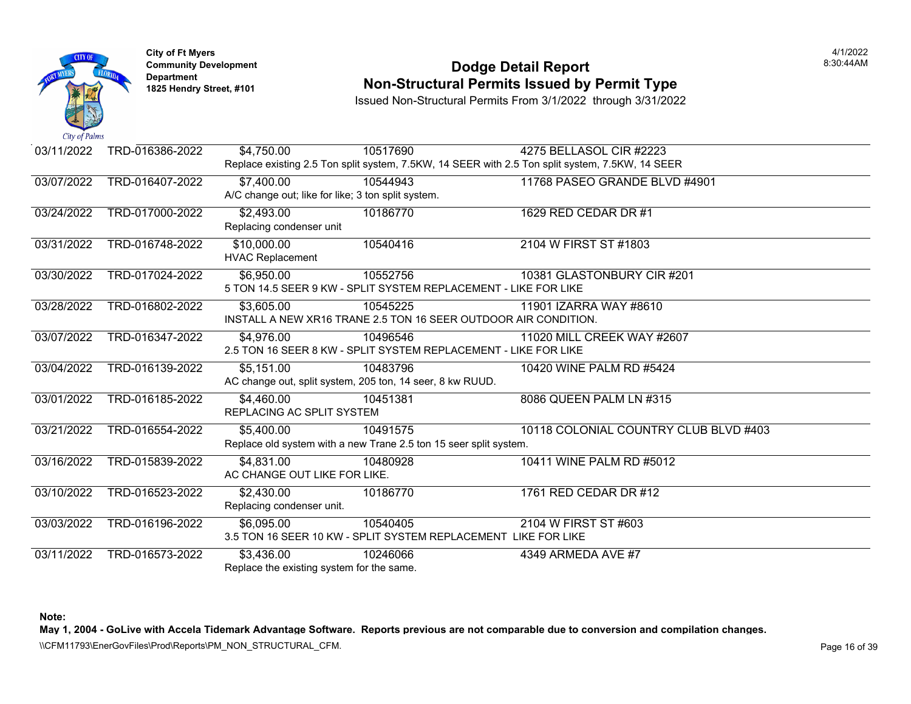

#### **Community Development Community Development Community Development 1825 Non-Structural Permits Issued by Permit Type**

Issued Non-Structural Permits From 3/1/2022 through 3/31/2022

| 03/11/2022 | TRD-016386-2022 | \$4,750.00                                | 10517690                                                          | 4275 BELLASOL CIR #2223                                                                         |
|------------|-----------------|-------------------------------------------|-------------------------------------------------------------------|-------------------------------------------------------------------------------------------------|
|            |                 |                                           |                                                                   | Replace existing 2.5 Ton split system, 7.5KW, 14 SEER with 2.5 Ton split system, 7.5KW, 14 SEER |
| 03/07/2022 | TRD-016407-2022 | \$7,400.00                                | 10544943                                                          | 11768 PASEO GRANDE BLVD #49                                                                     |
|            |                 |                                           | A/C change out; like for like; 3 ton split system.                |                                                                                                 |
| 03/24/2022 | TRD-017000-2022 | \$2,493.00                                | 10186770                                                          | 1629 RED CEDAR DR #1                                                                            |
|            |                 | Replacing condenser unit                  |                                                                   |                                                                                                 |
| 03/31/2022 | TRD-016748-2022 | \$10,000.00                               | 10540416                                                          | 2104 W FIRST ST #1803                                                                           |
|            |                 | <b>HVAC Replacement</b>                   |                                                                   |                                                                                                 |
| 03/30/2022 | TRD-017024-2022 | \$6,950.00                                | 10552756                                                          | 10381 GLASTONBURY CIR #201                                                                      |
|            |                 |                                           |                                                                   | 5 TON 14.5 SEER 9 KW - SPLIT SYSTEM REPLACEMENT - LIKE FOR LIKE                                 |
| 03/28/2022 | TRD-016802-2022 | \$3,605.00                                | 10545225                                                          | 11901 IZARRA WAY #8610                                                                          |
|            |                 |                                           |                                                                   | INSTALL A NEW XR16 TRANE 2.5 TON 16 SEER OUTDOOR AIR CONDITION.                                 |
| 03/07/2022 | TRD-016347-2022 | \$4,976.00                                | 10496546                                                          | 11020 MILL CREEK WAY #2607                                                                      |
|            |                 |                                           |                                                                   | 2.5 TON 16 SEER 8 KW - SPLIT SYSTEM REPLACEMENT - LIKE FOR LIKE                                 |
| 03/04/2022 | TRD-016139-2022 | \$5,151.00                                | 10483796                                                          | 10420 WINE PALM RD #5424                                                                        |
|            |                 |                                           | AC change out, split system, 205 ton, 14 seer, 8 kw RUUD.         |                                                                                                 |
| 03/01/2022 | TRD-016185-2022 | \$4,460.00                                | 10451381                                                          | 8086 QUEEN PALM LN #315                                                                         |
|            |                 | REPLACING AC SPLIT SYSTEM                 |                                                                   |                                                                                                 |
| 03/21/2022 | TRD-016554-2022 | \$5,400.00                                | 10491575                                                          | 10118 COLONIAL COUNTRY CLUE                                                                     |
|            |                 |                                           | Replace old system with a new Trane 2.5 ton 15 seer split system. |                                                                                                 |
| 03/16/2022 | TRD-015839-2022 | \$4,831.00                                | 10480928                                                          | 10411 WINE PALM RD #5012                                                                        |
|            |                 | AC CHANGE OUT LIKE FOR LIKE.              |                                                                   |                                                                                                 |
| 03/10/2022 | TRD-016523-2022 | \$2,430.00                                | 10186770                                                          | 1761 RED CEDAR DR #12                                                                           |
|            |                 | Replacing condenser unit.                 |                                                                   |                                                                                                 |
|            |                 |                                           |                                                                   |                                                                                                 |
| 03/03/2022 | TRD-016196-2022 | \$6,095.00                                | 10540405                                                          | 2104 W FIRST ST #603<br>3.5 TON 16 SEER 10 KW - SPLIT SYSTEM REPLACEMENT LIKE FOR LIKE          |
|            |                 |                                           |                                                                   |                                                                                                 |
| 03/11/2022 | TRD-016573-2022 | \$3,436.00                                | 10246066                                                          | 4349 ARMEDA AVE #7                                                                              |
|            |                 | Replace the existing system for the same. |                                                                   |                                                                                                 |

**Note:**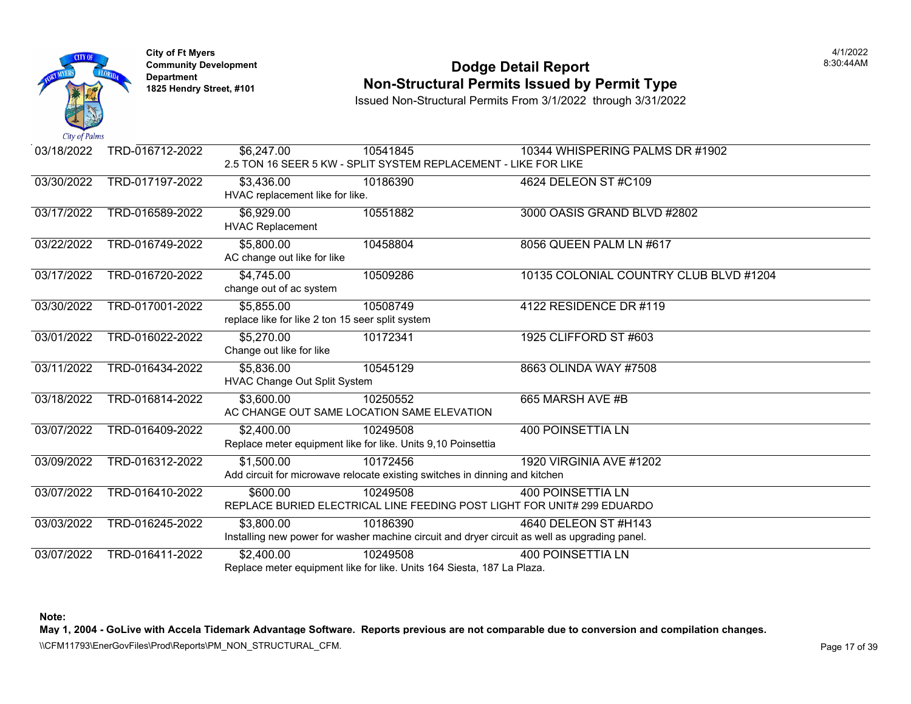

### **Community Development Community Development Community Development 1825 Non-Structural Permits Issued by Permit Type**

Issued Non-Structural Permits From 3/1/2022 through 3/31/2022

| 03/18/2022 | TRD-016712-2022 | \$6,247.00                                       | 10541845                                                                    | 10344 WHISPERING PALMS DR #1                                                                  |
|------------|-----------------|--------------------------------------------------|-----------------------------------------------------------------------------|-----------------------------------------------------------------------------------------------|
|            |                 |                                                  |                                                                             | 2.5 TON 16 SEER 5 KW - SPLIT SYSTEM REPLACEMENT - LIKE FOR LIKE                               |
| 03/30/2022 | TRD-017197-2022 | \$3,436.00                                       | 10186390                                                                    | 4624 DELEON ST #C109                                                                          |
|            |                 | HVAC replacement like for like.                  |                                                                             |                                                                                               |
| 03/17/2022 | TRD-016589-2022 | \$6,929.00                                       | 10551882                                                                    | 3000 OASIS GRAND BLVD #2802                                                                   |
|            |                 | <b>HVAC Replacement</b>                          |                                                                             |                                                                                               |
| 03/22/2022 | TRD-016749-2022 | \$5,800.00                                       | 10458804                                                                    | 8056 QUEEN PALM LN #617                                                                       |
|            |                 | AC change out like for like                      |                                                                             |                                                                                               |
| 03/17/2022 | TRD-016720-2022 | \$4,745.00                                       | 10509286                                                                    | 10135 COLONIAL COUNTRY CLUE                                                                   |
|            |                 | change out of ac system                          |                                                                             |                                                                                               |
| 03/30/2022 | TRD-017001-2022 | \$5,855.00                                       | 10508749                                                                    | 4122 RESIDENCE DR #119                                                                        |
|            |                 | replace like for like 2 ton 15 seer split system |                                                                             |                                                                                               |
| 03/01/2022 | TRD-016022-2022 | \$5,270.00                                       | 10172341                                                                    | 1925 CLIFFORD ST #603                                                                         |
|            |                 | Change out like for like                         |                                                                             |                                                                                               |
| 03/11/2022 | TRD-016434-2022 | \$5,836.00                                       | 10545129                                                                    | 8663 OLINDA WAY #7508                                                                         |
|            |                 | HVAC Change Out Split System                     |                                                                             |                                                                                               |
| 03/18/2022 | TRD-016814-2022 | \$3,600.00                                       | 10250552                                                                    | 665 MARSH AVE #B                                                                              |
|            |                 |                                                  | AC CHANGE OUT SAME LOCATION SAME ELEVATION                                  |                                                                                               |
| 03/07/2022 | TRD-016409-2022 | \$2,400.00                                       | 10249508                                                                    | <b>400 POINSETTIA LN</b>                                                                      |
|            |                 |                                                  | Replace meter equipment like for like. Units 9,10 Poinsettia                |                                                                                               |
| 03/09/2022 | TRD-016312-2022 | \$1,500.00                                       | 10172456                                                                    | 1920 VIRGINIA AVE #1202                                                                       |
|            |                 |                                                  | Add circuit for microwave relocate existing switches in dinning and kitchen |                                                                                               |
| 03/07/2022 | TRD-016410-2022 | \$600.00                                         | 10249508                                                                    | <b>400 POINSETTIA LN</b>                                                                      |
|            |                 |                                                  |                                                                             | REPLACE BURIED ELECTRICAL LINE FEEDING POST LIGHT FOR UNIT# 299 EDUARDO                       |
| 03/03/2022 | TRD-016245-2022 | \$3,800.00                                       | 10186390                                                                    | 4640 DELEON ST #H143                                                                          |
|            |                 |                                                  |                                                                             | Installing new power for washer machine circuit and dryer circuit as well as upgrading panel. |
| 03/07/2022 | TRD-016411-2022 | \$2,400.00                                       | 10249508                                                                    | <b>400 POINSETTIA LN</b>                                                                      |
|            |                 |                                                  | Replace meter equipment like for like. Units 164 Siesta, 187 La Plaza.      |                                                                                               |

**Note:**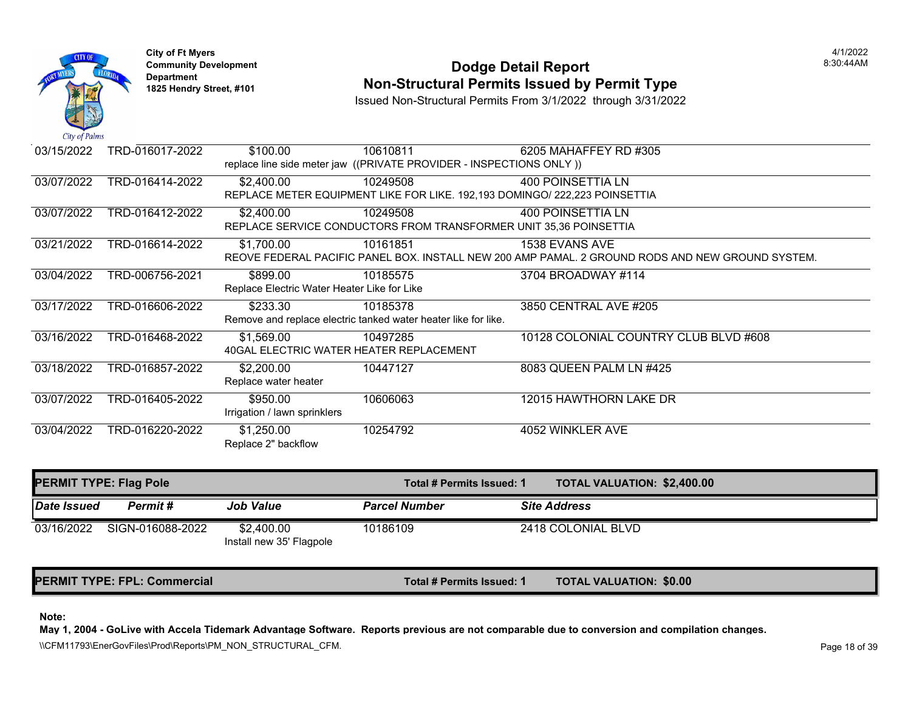

## **Community Development** 8:30:44AM **Dodge Detail Report Department Non-Structural Permits Issued by Permit Type 1825 Hendry Street, #101**

Issued Non-Structural Permits From 3/1/2022 through 3/31/2022

| 03/15/2022 | TRD-016017-2022 | \$100.00                                    | 10610811                                                                   | 6205 MAHAFFEY RD #305                                                           |
|------------|-----------------|---------------------------------------------|----------------------------------------------------------------------------|---------------------------------------------------------------------------------|
|            |                 |                                             | replace line side meter jaw ((PRIVATE PROVIDER - INSPECTIONS ONLY))        |                                                                                 |
| 03/07/2022 | TRD-016414-2022 | \$2,400.00                                  | 10249508                                                                   | 400 POINSETTIA LN                                                               |
|            |                 |                                             | REPLACE METER EQUIPMENT LIKE FOR LIKE. 192,193 DOMINGO/ 222,223 POINSETTIA |                                                                                 |
| 03/07/2022 | TRD-016412-2022 | \$2,400.00                                  | 10249508                                                                   | <b>400 POINSETTIA LN</b>                                                        |
|            |                 |                                             | REPLACE SERVICE CONDUCTORS FROM TRANSFORMER UNIT 35,36 POINSETTIA          |                                                                                 |
| 03/21/2022 | TRD-016614-2022 | \$1,700.00                                  | 10161851                                                                   | 1538 EVANS AVE                                                                  |
|            |                 |                                             |                                                                            | REOVE FEDERAL PACIFIC PANEL BOX. INSTALL NEW 200 AMP PAMAL. 2 GROUND RODS AND N |
| 03/04/2022 | TRD-006756-2021 | \$899.00                                    | 10185575                                                                   | 3704 BROADWAY #114                                                              |
|            |                 | Replace Electric Water Heater Like for Like |                                                                            |                                                                                 |
| 03/17/2022 | TRD-016606-2022 | \$233.30                                    | 10185378                                                                   | 3850 CENTRAL AVE #205                                                           |
|            |                 |                                             | Remove and replace electric tanked water heater like for like.             |                                                                                 |
| 03/16/2022 | TRD-016468-2022 | \$1,569.00                                  | 10497285                                                                   | 10128 COLONIAL COUNTRY CLUE                                                     |
|            |                 |                                             | 40GAL ELECTRIC WATER HEATER REPLACEMENT                                    |                                                                                 |
| 03/18/2022 | TRD-016857-2022 | \$2,200.00                                  | 10447127                                                                   | 8083 QUEEN PALM LN #425                                                         |
|            |                 | Replace water heater                        |                                                                            |                                                                                 |
| 03/07/2022 | TRD-016405-2022 | \$950.00                                    | 10606063                                                                   | 12015 HAWTHORN LAKE DR                                                          |
|            |                 | Irrigation / lawn sprinklers                |                                                                            |                                                                                 |
| 03/04/2022 | TRD-016220-2022 | \$1,250.00                                  | 10254792                                                                   | 4052 WINKLER AVE                                                                |
|            |                 | Replace 2" backflow                         |                                                                            |                                                                                 |

| <b>PERMIT TYPE: Flag Pole</b> |                  |                                        | Total # Permits Issued: 1 | <b>TOTAL VALUATION: \$2,400.0</b> |
|-------------------------------|------------------|----------------------------------------|---------------------------|-----------------------------------|
| Date Issued                   | Permit #         | <b>Job Value</b>                       | <b>Parcel Number</b>      | <b>Site Address</b>               |
| 03/16/2022                    | SIGN-016088-2022 | \$2,400.00<br>Install new 35' Flagpole | 10186109                  | 2418 COLONIAL BLVD                |

PERMIT TYPE: FPL: Commercial **The Commercial Commercial Commercial Commercial Commercial Commercial Commercial Commercial Commercial Commercial Commercial Commercial Commercial Commercial Commercial Commercial Commercial C** 

**Note:**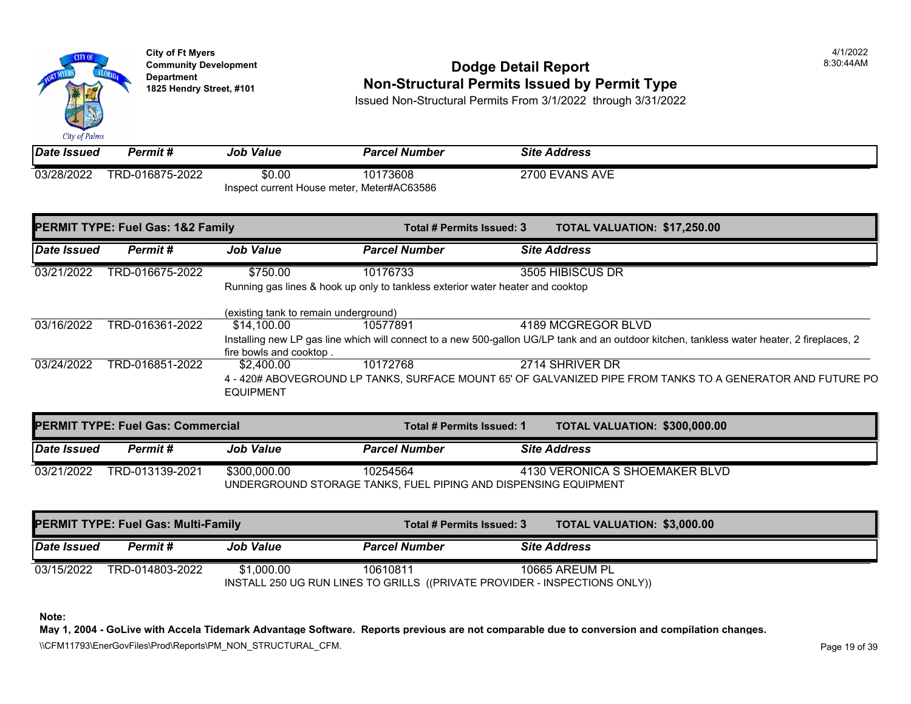

# **Community Development** 8:30:44AM **Dodge Detail Report Department Non-Structural Permits Issued by Permit Type 1825 Hendry Street, #101**

Issued Non-Structural Permits From 3/1/2022 through 3/31/2022

| Date Issued | Permit #        | <b>Job Value</b>                           | <b>Parcel Number</b> | <b>Site Address</b> |
|-------------|-----------------|--------------------------------------------|----------------------|---------------------|
| 03/28/2022  | TRD-016875-2022 | \$0.00                                     | 10173608             | 2700 EVANS AVE      |
|             |                 | Inspect current House meter, Meter#AC63586 |                      |                     |

| <b>PERMIT TYPE: Fuel Gas: 1&amp;2 Family</b> |                 | Total # Permits Issued: 3                                                                                |                      | <b>TOTAL VALUATION: \$17,250</b> |                     |  |
|----------------------------------------------|-----------------|----------------------------------------------------------------------------------------------------------|----------------------|----------------------------------|---------------------|--|
| Date Issued                                  | Permit#         | <b>Job Value</b>                                                                                         | <b>Parcel Number</b> |                                  | <b>Site Address</b> |  |
| 03/21/2022                                   | TRD-016675-2022 | \$750.00                                                                                                 | 10176733             |                                  | 3505 HIBISCUS DR    |  |
|                                              |                 | Running gas lines & hook up only to tankless exterior water heater and cooktop                           |                      |                                  |                     |  |
|                                              |                 | (existing tank to remain underground)                                                                    |                      |                                  |                     |  |
| 03/16/2022                                   | TRD-016361-2022 | \$14,100.00                                                                                              | 10577891             |                                  | 4189 MCGREGOR BLVD  |  |
|                                              |                 | Installing new LP gas line which will connect to a new 500-gallon UG/LP tank and an outdoor kitchen, tan |                      |                                  |                     |  |
|                                              |                 | fire bowls and cooktop.                                                                                  |                      |                                  |                     |  |
| 03/24/2022                                   | TRD-016851-2022 | \$2,400.00                                                                                               | 10172768             |                                  | 2714 SHRIVER DR     |  |
|                                              |                 | 4 - 420# ABOVEGROUND LP TANKS, SURFACE MOUNT 65' OF GALVANIZED PIPE FROM TANKS T                         |                      |                                  |                     |  |
|                                              |                 | <b>EQUIPMENT</b>                                                                                         |                      |                                  |                     |  |
|                                              |                 |                                                                                                          |                      |                                  |                     |  |

| <b>PERMIT TYPE: Fuel Gas: Commercial</b> |                 |                  | Total # Permits Issued: 1                                                   | <b>TOTAL VALUATION: \$300,00</b> |
|------------------------------------------|-----------------|------------------|-----------------------------------------------------------------------------|----------------------------------|
| <b>Date Issued</b>                       | Permit #        | <b>Job Value</b> | <b>Parcel Number</b>                                                        | <b>Site Address</b>              |
| 03/21/2022                               | TRD-013139-2021 | \$300,000,00     | 10254564<br>UNDERGROUND STORAGE TANKS, FUEL PIPING AND DISPENSING EQUIPMENT | 4130 VERONICA S SHOEMAKER E      |

| <b>PERMIT TYPE: Fuel Gas: Multi-Family</b> |                 |                  | Total # Permits Issued: 3                                                              | <b>TOTAL VALUATION: \$3,000.0</b> |
|--------------------------------------------|-----------------|------------------|----------------------------------------------------------------------------------------|-----------------------------------|
| Date Issued                                | <b>Permit</b> # | <b>Job Value</b> | <b>Parcel Number</b>                                                                   | <b>Site Address</b>               |
| 03/15/2022                                 | TRD-014803-2022 | \$1.000.00       | 10610811<br>INSTALL 250 UG RUN LINES TO GRILLS ((PRIVATE PROVIDER - INSPECTIONS ONLY)) | 10665 AREUM PL                    |

**Note:**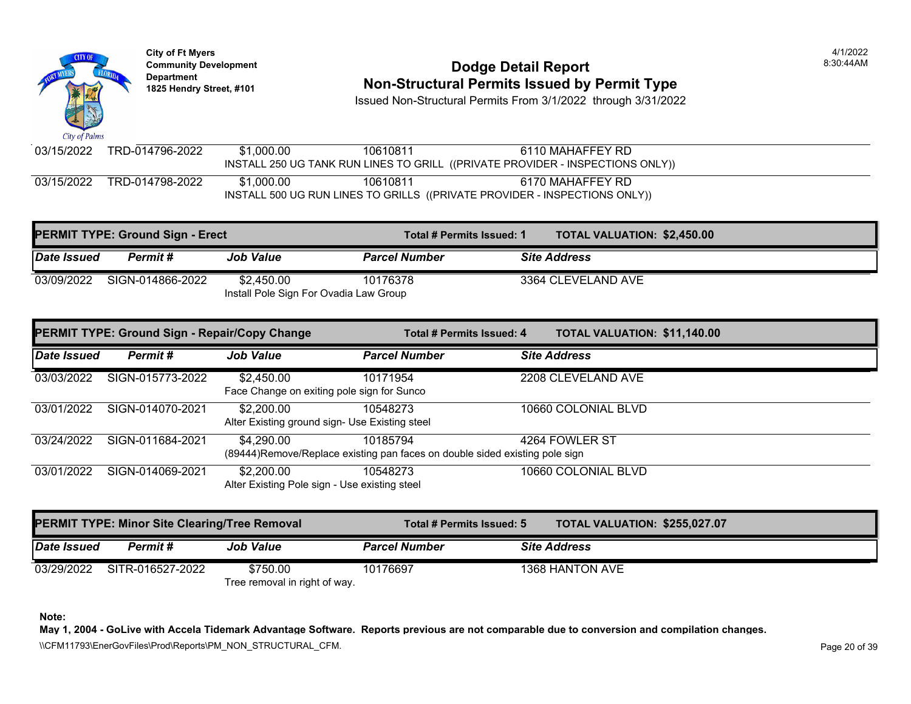#### **Community Development Dodge Detail Report** 8:30:44AM **Department**<br>1825 Hendry Street, #101 **Non-Structural Permits Issued by Permit Type**

Issued Non-Structural Permits From 3/1/2022 through 3/31/2022

City of Palms TRD-014796-2022 03/15/2022 \$1,000.00 10610811 6110 MAHAFFEY RD INSTALL 250 UG TANK RUN LINES TO GRILL ((PRIVATE PROVIDER - INSPECTIONS ONLY)) 03/15/2022 TRD-014798-2022 \$1,000.00 10610811 6170 MAHAFFEY RD INSTALL 500 UG RUN LINES TO GRILLS ((PRIVATE PROVIDER - INSPECTIONS ONLY))

|             | <b>PERMIT TYPE: Ground Sign - Erect</b><br>Total # Permits Issued: 1 |                                                      |                      | <b>TOTAL VALUATION: \$2,450.00</b> |
|-------------|----------------------------------------------------------------------|------------------------------------------------------|----------------------|------------------------------------|
| Date Issued | Permit #                                                             | <b>Job Value</b>                                     | <b>Parcel Number</b> | <b>Site Address</b>                |
| 03/09/2022  | SIGN-014866-2022                                                     | \$2.450.00<br>Install Pole Sign For Ovadia Law Group | 10176378             | 3364 CLEVELAND AVE                 |

|             | <b>PERMIT TYPE: Ground Sign - Repair/Copy Change</b> |                                                              | Total # Permits Issued: 4                                                               | TOTAL VALUATION: \$11,140.00 |
|-------------|------------------------------------------------------|--------------------------------------------------------------|-----------------------------------------------------------------------------------------|------------------------------|
| Date Issued | Permit#                                              | <b>Job Value</b>                                             | <b>Parcel Number</b>                                                                    | <b>Site Address</b>          |
| 03/03/2022  | SIGN-015773-2022                                     | \$2,450.00<br>Face Change on exiting pole sign for Sunco     | 10171954                                                                                | 2208 CLEVELAND AVE           |
| 03/01/2022  | SIGN-014070-2021                                     | \$2,200.00<br>Alter Existing ground sign- Use Existing steel | 10548273                                                                                | 10660 COLONIAL BLVD          |
| 03/24/2022  | SIGN-011684-2021                                     | \$4,290.00                                                   | 10185794<br>(89444)Remove/Replace existing pan faces on double sided existing pole sign | 4264 FOWLER ST               |
| 03/01/2022  | SIGN-014069-2021                                     | \$2,200.00<br>Alter Existing Pole sign - Use existing steel  | 10548273                                                                                | 10660 COLONIAL BLVD          |

|             | <b>PERMIT TYPE: Minor Site Clearing/Tree Removal</b> |                               | Total # Permits Issued: 5 | <b>TOTAL VALUATION: \$255,027.07</b> |
|-------------|------------------------------------------------------|-------------------------------|---------------------------|--------------------------------------|
| Date Issued | Permit #                                             | <b>Job Value</b>              | <b>Parcel Number</b>      | <b>Site Address</b>                  |
| 03/29/2022  | SITR-016527-2022                                     | \$750.00                      | 10176697                  | 1368 HANTON AVE                      |
|             |                                                      | Tree removal in right of way. |                           |                                      |

**Note:** 

**May 1, 2004 - GoLive with Accela Tidemark Advantage Software. Reports previous are not comparable due to conversion and compilation changes.** 

\\CFM11793\EnerGovFiles\Prod\Reports\PM\_NON\_STRUCTURAL\_CFM.<br>Rage 20 of 39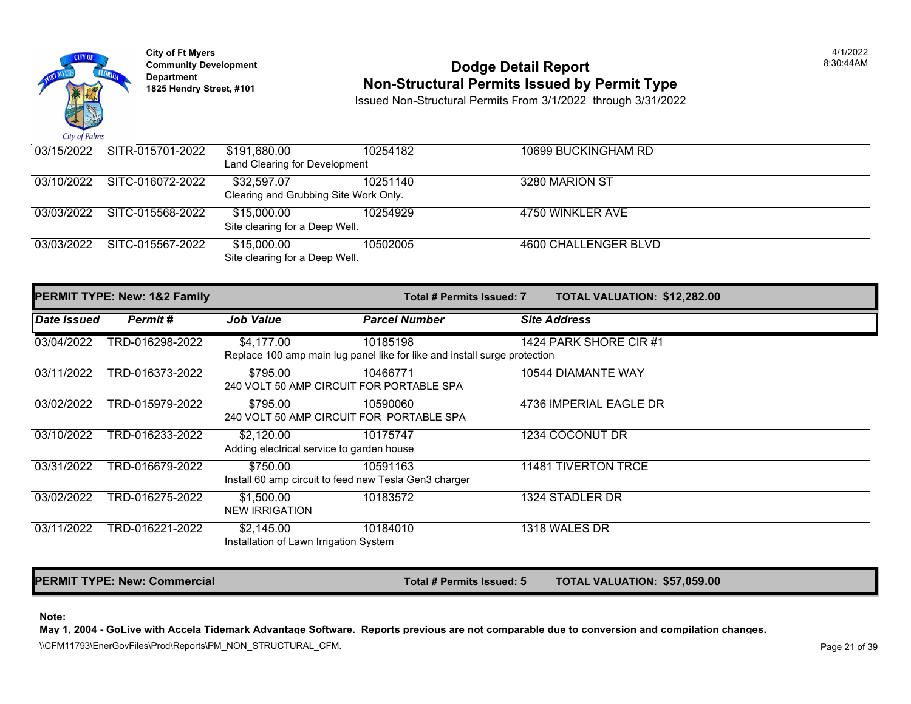

## **Community Development** 8:30:44AM **Dodge Detail Report Department Non-Structural Permits Issued by Permit Type 1825 Hendry Street, #101**

Issued Non-Structural Permits From 3/1/2022 through 3/31/2022

| 03/15/2022 | SITR-015701-2022 | \$191,680.00                          | 10254182 | 10699 BUCKINGHAM RD  |
|------------|------------------|---------------------------------------|----------|----------------------|
|            |                  | Land Clearing for Development         |          |                      |
| 03/10/2022 | SITC-016072-2022 | \$32,597.07                           | 10251140 | 3280 MARION ST       |
|            |                  | Clearing and Grubbing Site Work Only. |          |                      |
| 03/03/2022 | SITC-015568-2022 | \$15,000.00                           | 10254929 | 4750 WINKLER AVE     |
|            |                  | Site clearing for a Deep Well.        |          |                      |
| 03/03/2022 | SITC-015567-2022 | \$15,000.00                           | 10502005 | 4600 CHALLENGER BLVD |
|            |                  | Site clearing for a Deep Well.        |          |                      |

|                    | PERMIT TYPE: New: 1&2 Family |                                                         | Total # Permits Issued: 7                                                             | <b>TOTAL VALUATION: \$12,282</b> |
|--------------------|------------------------------|---------------------------------------------------------|---------------------------------------------------------------------------------------|----------------------------------|
| <b>Date Issued</b> | Permit#                      | <b>Job Value</b>                                        | <b>Parcel Number</b>                                                                  | <b>Site Address</b>              |
| 03/04/2022         | TRD-016298-2022              | \$4,177.00                                              | 10185198<br>Replace 100 amp main lug panel like for like and install surge protection | 1424 PARK SHORE CIR #1           |
| 03/11/2022         | TRD-016373-2022              | \$795.00                                                | 10466771<br>240 VOLT 50 AMP CIRCUIT FOR PORTABLE SPA                                  | 10544 DIAMANTE WAY               |
| 03/02/2022         | TRD-015979-2022              | \$795.00                                                | 10590060<br>240 VOLT 50 AMP CIRCUIT FOR PORTABLE SPA                                  | 4736 IMPERIAL EAGLE DR           |
| 03/10/2022         | TRD-016233-2022              | \$2,120.00<br>Adding electrical service to garden house | 10175747                                                                              | 1234 COCONUT DR                  |
| 03/31/2022         | TRD-016679-2022              | \$750.00                                                | 10591163<br>Install 60 amp circuit to feed new Tesla Gen3 charger                     | <b>11481 TIVERTON TRCE</b>       |
| 03/02/2022         | TRD-016275-2022              | \$1,500.00<br><b>NEW IRRIGATION</b>                     | 10183572                                                                              | 1324 STADLER DR                  |
| 03/11/2022         | TRD-016221-2022              | \$2,145.00<br>Installation of Lawn Irrigation System    | 10184010                                                                              | 1318 WALES DR                    |

PERMIT TYPE: New: Commercial **The Commercial Total # Permits Issued: 5** TOTAL VALUATION: \$57,059

#### **Note:**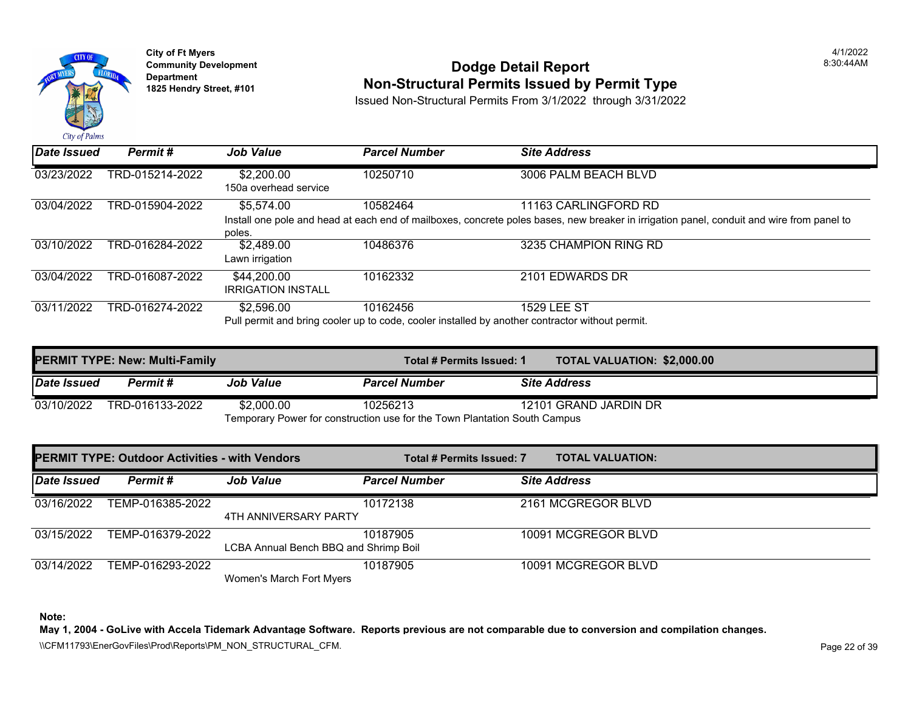

## **Community Development** 8:30:44AM **Dodge Detail Report Department Non-Structural Permits Issued by Permit Type 1825 Hendry Street, #101**

Issued Non-Structural Permits From 3/1/2022 through 3/31/2022

| Date Issued | Permit #        | <b>Job Value</b>                         | <b>Parcel Number</b> | <b>Site Address</b>                                                                                                              |
|-------------|-----------------|------------------------------------------|----------------------|----------------------------------------------------------------------------------------------------------------------------------|
| 03/23/2022  | TRD-015214-2022 | \$2,200.00<br>150a overhead service      | 10250710             | 3006 PALM BEACH BLVD                                                                                                             |
| 03/04/2022  | TRD-015904-2022 | \$5,574.00<br>poles.                     | 10582464             | 11163 CARLINGFORD RD<br>Install one pole and head at each end of mailboxes, concrete poles bases, new breaker in irrigation pane |
| 03/10/2022  | TRD-016284-2022 | \$2,489.00<br>Lawn irrigation            | 10486376             | 3235 CHAMPION RING RD                                                                                                            |
| 03/04/2022  | TRD-016087-2022 | \$44,200.00<br><b>IRRIGATION INSTALL</b> | 10162332             | 2101 EDWARDS DR                                                                                                                  |
| 03/11/2022  | TRD-016274-2022 | \$2,596.00                               | 10162456             | <b>1529 LEE ST</b><br>Pull permit and bring cooler up to code, cooler installed by another contractor without permit.            |

|                                                                           | <b>PERMIT TYPE: New: Multi-Family</b> |                  | Total # Permits Issued: 1 | <b>TOTAL VALUATION: \$2,000.0</b> |
|---------------------------------------------------------------------------|---------------------------------------|------------------|---------------------------|-----------------------------------|
| <b>Date Issued</b>                                                        | <b>Permit</b> #                       | <b>Job Value</b> | <b>Parcel Number</b>      | <b>Site Address</b>               |
| 03/10/2022                                                                | TRD-016133-2022                       | \$2,000.00       | 10256213                  | 12101 GRAND JARDIN DR             |
| Temporary Power for construction use for the Town Plantation South Campus |                                       |                  |                           |                                   |

|                    | <b>PERMIT TYPE: Outdoor Activities - with Vendors</b> |                                       | <b>Total # Permits Issued: 7</b> | <b>TOTAL VALUATION:</b> |
|--------------------|-------------------------------------------------------|---------------------------------------|----------------------------------|-------------------------|
| <b>Date Issued</b> | Permit#                                               | <b>Job Value</b>                      | <b>Parcel Number</b>             | <b>Site Address</b>     |
| 03/16/2022         | TEMP-016385-2022                                      | 4TH ANNIVERSARY PARTY                 | 10172138                         | 2161 MCGREGOR BLVD      |
| 03/15/2022         | TEMP-016379-2022                                      | LCBA Annual Bench BBQ and Shrimp Boil | 10187905                         | 10091 MCGREGOR BLVD     |
| 03/14/2022         | TEMP-016293-2022                                      | Women's March Fort Myers              | 10187905                         | 10091 MCGREGOR BLVD     |

**Note:**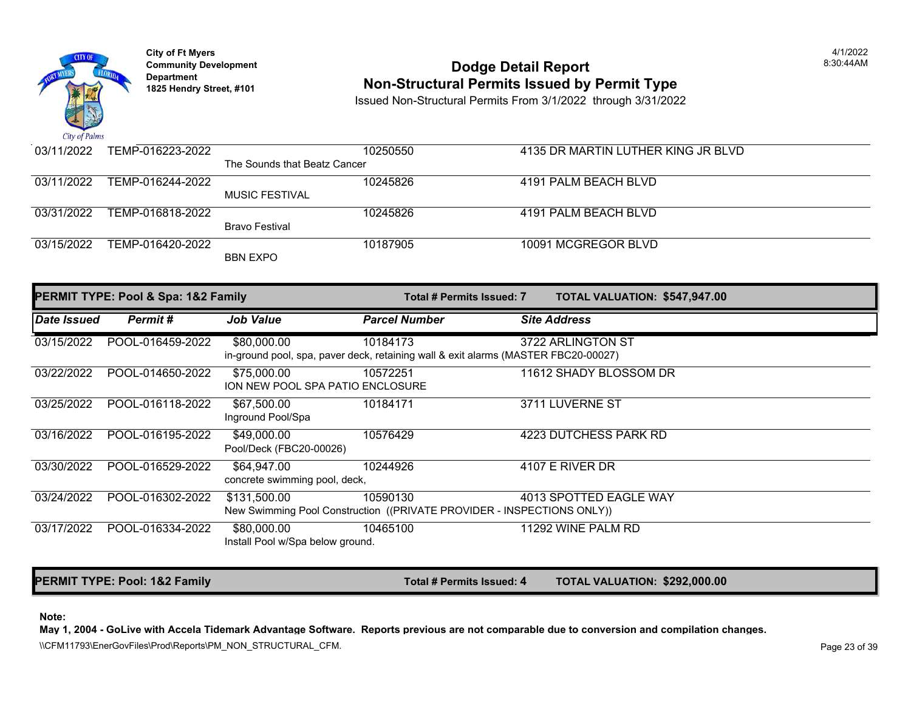

# **Community Development** 8:30:44AM **Dodge Detail Report Department Non-Structural Permits Issued by Permit Type 1825 Hendry Street, #101**

Issued Non-Structural Permits From 3/1/2022 through 3/31/2022

| 03/11/2022 | TEMP-016223-2022 |                              | 10250550 | 4135 DR MARTIN LUTHER KING JI |
|------------|------------------|------------------------------|----------|-------------------------------|
|            |                  | The Sounds that Beatz Cancer |          |                               |
| 03/11/2022 | TEMP-016244-2022 |                              | 10245826 | 4191 PALM BEACH BLVD          |
|            |                  | <b>MUSIC FESTIVAL</b>        |          |                               |
| 03/31/2022 | TEMP-016818-2022 |                              | 10245826 | 4191 PALM BEACH BLVD          |
|            |                  | Bravo Festival               |          |                               |
| 03/15/2022 | TEMP-016420-2022 |                              | 10187905 | 10091 MCGREGOR BLVD           |
|            |                  | <b>BBN EXPO</b>              |          |                               |
|            |                  |                              |          |                               |

| <b>PERMIT TYPE: Pool &amp; Spa: 1&amp;2 Family</b> |                  |                                                 | Total # Permits Issued: 7                                                                      | <b>TOTAL VALUATION: \$547,94</b> |
|----------------------------------------------------|------------------|-------------------------------------------------|------------------------------------------------------------------------------------------------|----------------------------------|
| <b>IDate Issued</b>                                | Permit#          | <b>Job Value</b>                                | <b>Parcel Number</b>                                                                           | <b>Site Address</b>              |
| 03/15/2022                                         | POOL-016459-2022 | \$80,000.00                                     | 10184173<br>in-ground pool, spa, paver deck, retaining wall & exit alarms (MASTER FBC20-00027) | 3722 ARLINGTON ST                |
| 03/22/2022                                         | POOL-014650-2022 | \$75,000.00<br>ION NEW POOL SPA PATIO ENCLOSURE | 10572251                                                                                       | 11612 SHADY BLOSSOM DR           |
| 03/25/2022                                         | POOL-016118-2022 | \$67,500.00<br>Inground Pool/Spa                | 10184171                                                                                       | 3711 LUVERNE ST                  |
| 03/16/2022                                         | POOL-016195-2022 | \$49,000.00<br>Pool/Deck (FBC20-00026)          | 10576429                                                                                       | 4223 DUTCHESS PARK RD            |
| 03/30/2022                                         | POOL-016529-2022 | \$64,947.00<br>concrete swimming pool, deck,    | 10244926                                                                                       | 4107 E RIVER DR                  |
| 03/24/2022                                         | POOL-016302-2022 | \$131,500.00                                    | 10590130<br>New Swimming Pool Construction ((PRIVATE PROVIDER - INSPECTIONS ONLY))             | 4013 SPOTTED EAGLE WAY           |
| 03/17/2022                                         | POOL-016334-2022 | \$80,000.00<br>Install Pool w/Spa below ground. | 10465100                                                                                       | 11292 WINE PALM RD               |

PERMIT TYPE: Pool: 1&2 Family **The Community of the Community Total # Permits Issued: 4** TOTAL VALUATION: \$292,00

#### **Note:**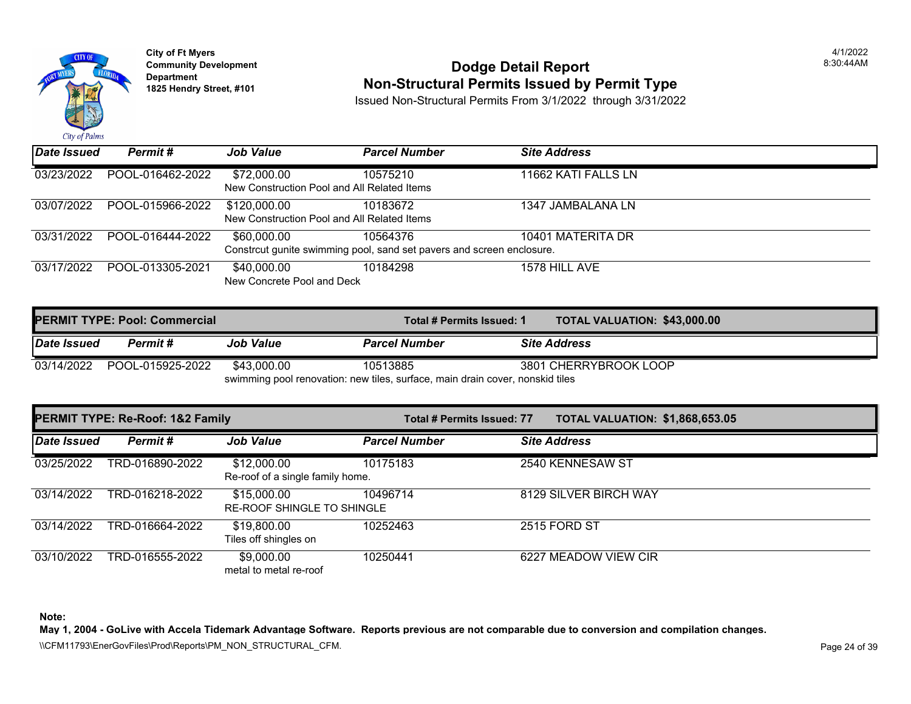

# **Community Development** 8:30:44AM **Dodge Detail Report Department Non-Structural Permits Issued by Permit Type 1825 Hendry Street, #101**

Issued Non-Structural Permits From 3/1/2022 through 3/31/2022

| $\mathbf{u}$ $\mathbf{v}$ $\mathbf{v}$ $\mathbf{v}$ $\mathbf{v}$ $\mathbf{v}$ |                  |                                                             |                                                                                   |                     |  |  |  |
|-------------------------------------------------------------------------------|------------------|-------------------------------------------------------------|-----------------------------------------------------------------------------------|---------------------|--|--|--|
| Date Issued                                                                   | Permit#          | <b>Job Value</b>                                            | <b>Parcel Number</b>                                                              | <b>Site Address</b> |  |  |  |
| 03/23/2022                                                                    | POOL-016462-2022 | \$72,000.00<br>New Construction Pool and All Related Items  | 10575210                                                                          | 11662 KATI FALLS LN |  |  |  |
| 03/07/2022                                                                    | POOL-015966-2022 | \$120,000.00<br>New Construction Pool and All Related Items | 10183672                                                                          | 1347 JAMBALANA LN   |  |  |  |
| 03/31/2022                                                                    | POOL-016444-2022 | \$60,000.00                                                 | 10564376<br>Constrcut qunite swimming pool, sand set payers and screen enclosure. | 10401 MATERITA DR   |  |  |  |
| 03/17/2022                                                                    | POOL-013305-2021 | \$40,000.00<br>New Concrete Pool and Deck                   | 10184298                                                                          | 1578 HILL AVE       |  |  |  |

|                                                                               | <b>PERMIT TYPE: Pool: Commercial</b> |                  |                      | <b>TOTAL VALUATION: \$43,000</b><br>Total # Permits Issued: 1 |                       |
|-------------------------------------------------------------------------------|--------------------------------------|------------------|----------------------|---------------------------------------------------------------|-----------------------|
| Date Issued                                                                   | Permit #                             | <b>Job Value</b> | <b>Parcel Number</b> |                                                               | <b>Site Address</b>   |
| 03/14/2022                                                                    | POOL-015925-2022                     | \$43.000.00      | 10513885             |                                                               | 3801 CHERRYBROOK LOOP |
| swimming pool renovation: new tiles, surface, main drain cover, nonskid tiles |                                      |                  |                      |                                                               |                       |

|             | PERMIT TYPE: Re-Roof: 1&2 Family |                                                  | Total # Permits Issued: 77 | <b>TOTAL VALUATION: \$1,868,6</b> |  |
|-------------|----------------------------------|--------------------------------------------------|----------------------------|-----------------------------------|--|
| Date Issued | Permit#                          | <b>Job Value</b>                                 | <b>Parcel Number</b>       | <b>Site Address</b>               |  |
| 03/25/2022  | TRD-016890-2022                  | \$12,000.00<br>Re-roof of a single family home.  | 10175183                   | 2540 KENNESAW ST                  |  |
| 03/14/2022  | TRD-016218-2022                  | \$15,000.00<br><b>RE-ROOF SHINGLE TO SHINGLE</b> | 10496714                   | 8129 SILVER BIRCH WAY             |  |
| 03/14/2022  | TRD-016664-2022                  | \$19,800.00<br>Tiles off shingles on             | 10252463                   | 2515 FORD ST                      |  |
| 03/10/2022  | TRD-016555-2022                  | \$9,000.00<br>metal to metal re-roof             | 10250441                   | 6227 MEADOW VIEW CIR              |  |

**Note:**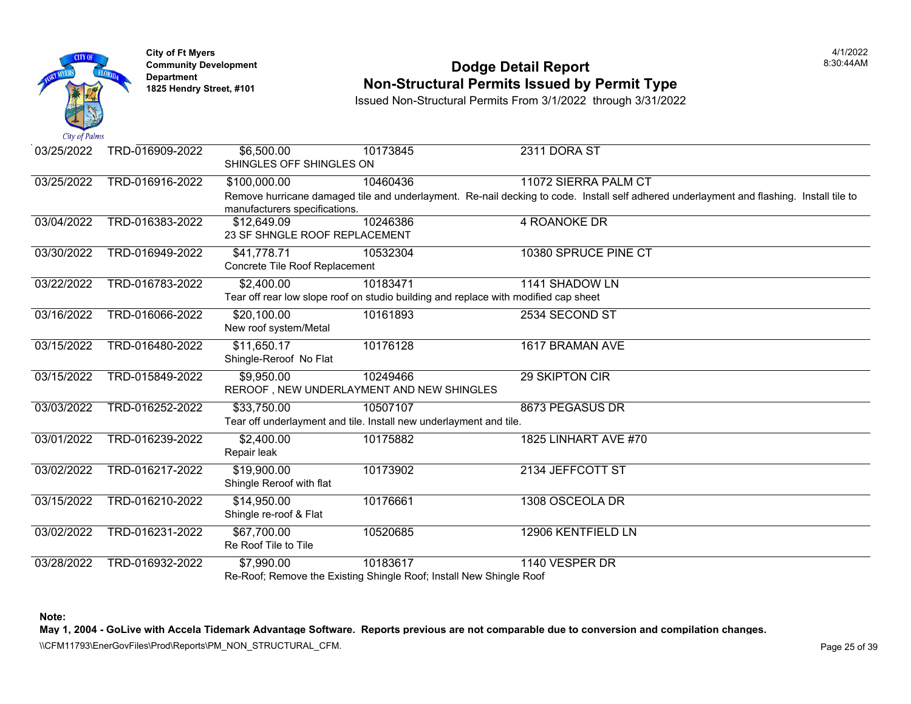

## **Community Development Community Development Community Development 1825 Non-Structural Permits Issued by Permit Type**

Issued Non-Structural Permits From 3/1/2022 through 3/31/2022

| 03/25/2022 | TRD-016909-2022 | \$6,500.00<br>SHINGLES OFF SHINGLES ON        | 10173845                                                                            | 2311 DORA ST                                                                                          |
|------------|-----------------|-----------------------------------------------|-------------------------------------------------------------------------------------|-------------------------------------------------------------------------------------------------------|
| 03/25/2022 | TRD-016916-2022 | \$100,000.00                                  | 10460436                                                                            | 11072 SIERRA PALM CT                                                                                  |
|            |                 | manufacturers specifications.                 |                                                                                     | Remove hurricane damaged tile and underlayment. Re-nail decking to code. Install self adhered underla |
| 03/04/2022 | TRD-016383-2022 | \$12,649.09<br>23 SF SHNGLE ROOF REPLACEMENT  | 10246386                                                                            | <b>4 ROANOKE DR</b>                                                                                   |
| 03/30/2022 | TRD-016949-2022 | \$41,778.71<br>Concrete Tile Roof Replacement | 10532304                                                                            | 10380 SPRUCE PINE CT                                                                                  |
| 03/22/2022 | TRD-016783-2022 | \$2,400.00                                    | 10183471                                                                            | 1141 SHADOW LN                                                                                        |
|            |                 |                                               | Tear off rear low slope roof on studio building and replace with modified cap sheet |                                                                                                       |
| 03/16/2022 | TRD-016066-2022 | \$20,100.00<br>New roof system/Metal          | 10161893                                                                            | 2534 SECOND ST                                                                                        |
| 03/15/2022 | TRD-016480-2022 | \$11,650.17<br>Shingle-Reroof No Flat         | 10176128                                                                            | 1617 BRAMAN AVE                                                                                       |
| 03/15/2022 | TRD-015849-2022 | \$9,950.00                                    | 10249466<br>REROOF, NEW UNDERLAYMENT AND NEW SHINGLES                               | 29 SKIPTON CIR                                                                                        |
| 03/03/2022 | TRD-016252-2022 | \$33,750.00                                   | 10507107<br>Tear off underlayment and tile. Install new underlayment and tile.      | 8673 PEGASUS DR                                                                                       |
| 03/01/2022 | TRD-016239-2022 | \$2,400.00<br>Repair leak                     | 10175882                                                                            | 1825 LINHART AVE #70                                                                                  |
| 03/02/2022 | TRD-016217-2022 | \$19,900.00<br>Shingle Reroof with flat       | 10173902                                                                            | 2134 JEFFCOTT ST                                                                                      |
| 03/15/2022 | TRD-016210-2022 | \$14,950.00<br>Shingle re-roof & Flat         | 10176661                                                                            | 1308 OSCEOLA DR                                                                                       |
| 03/02/2022 | TRD-016231-2022 | \$67,700.00<br>Re Roof Tile to Tile           | 10520685                                                                            | 12906 KENTFIELD LN                                                                                    |
| 03/28/2022 | TRD-016932-2022 | \$7,990.00                                    | 10183617<br>Re-Roof; Remove the Existing Shingle Roof; Install New Shingle Roof     | 1140 VESPER DR                                                                                        |

**Note:**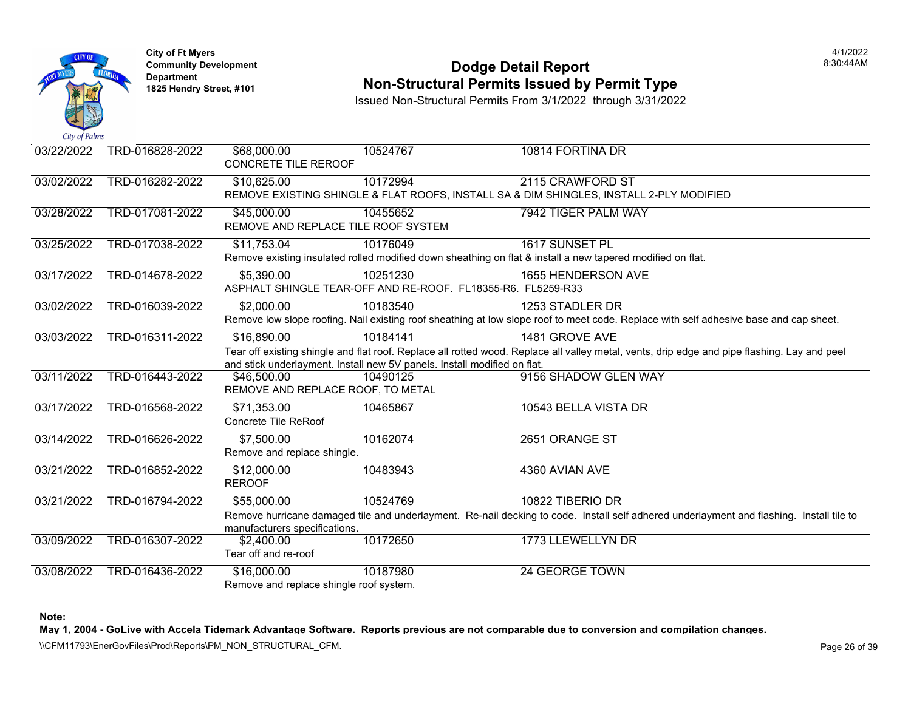

### **Community Development Community Development Community Development Non-Structural Permits Issued by Permit Type**

Issued Non-Structural Permits From 3/1/2022 through 3/31/2022

| 03/22/2022 | TRD-016828-2022 | \$68,000.00<br>CONCRETE TILE REROOF                    | 10524767                                                                             | 10814 FORTINA DR                                                                                                                 |
|------------|-----------------|--------------------------------------------------------|--------------------------------------------------------------------------------------|----------------------------------------------------------------------------------------------------------------------------------|
| 03/02/2022 | TRD-016282-2022 | \$10,625.00                                            | 10172994                                                                             | 2115 CRAWFORD ST<br>REMOVE EXISTING SHINGLE & FLAT ROOFS, INSTALL SA & DIM SHINGLES, INSTALL 2-PLY MOD                           |
| 03/28/2022 | TRD-017081-2022 | \$45,000.00<br>REMOVE AND REPLACE TILE ROOF SYSTEM     | 10455652                                                                             | 7942 TIGER PALM WAY                                                                                                              |
| 03/25/2022 | TRD-017038-2022 | \$11,753.04                                            | 10176049                                                                             | 1617 SUNSET PL<br>Remove existing insulated rolled modified down sheathing on flat & install a new tapered modified on flat      |
| 03/17/2022 | TRD-014678-2022 | \$5,390.00                                             | 10251230<br>ASPHALT SHINGLE TEAR-OFF AND RE-ROOF. FL18355-R6. FL5259-R33             | 1655 HENDERSON AVE                                                                                                               |
| 03/02/2022 | TRD-016039-2022 | \$2,000.00                                             | 10183540                                                                             | 1253 STADLER DR<br>Remove low slope roofing. Nail existing roof sheathing at low slope roof to meet code. Replace with self a    |
| 03/03/2022 | TRD-016311-2022 | \$16,890.00                                            | 10184141<br>and stick underlayment. Install new 5V panels. Install modified on flat. | 1481 GROVE AVE<br>Tear off existing shingle and flat roof. Replace all rotted wood. Replace all valley metal, vents, drip edge a |
| 03/11/2022 | TRD-016443-2022 | \$46,500.00<br>REMOVE AND REPLACE ROOF, TO METAL       | 10490125                                                                             | 9156 SHADOW GLEN WAY                                                                                                             |
| 03/17/2022 | TRD-016568-2022 | \$71,353.00<br>Concrete Tile ReRoof                    | 10465867                                                                             | 10543 BELLA VISTA DR                                                                                                             |
| 03/14/2022 | TRD-016626-2022 | \$7,500.00<br>Remove and replace shingle.              | 10162074                                                                             | 2651 ORANGE ST                                                                                                                   |
| 03/21/2022 | TRD-016852-2022 | \$12,000.00<br><b>REROOF</b>                           | 10483943                                                                             | 4360 AVIAN AVE                                                                                                                   |
| 03/21/2022 | TRD-016794-2022 | \$55,000.00<br>manufacturers specifications.           | 10524769                                                                             | 10822 TIBERIO DR<br>Remove hurricane damaged tile and underlayment. Re-nail decking to code. Install self adhered underla        |
| 03/09/2022 | TRD-016307-2022 | \$2,400.00<br>Tear off and re-roof                     | 10172650                                                                             | 1773 LLEWELLYN DR                                                                                                                |
| 03/08/2022 | TRD-016436-2022 | \$16,000.00<br>Remove and replace shingle roof system. | 10187980                                                                             | 24 GEORGE TOWN                                                                                                                   |

**Note:**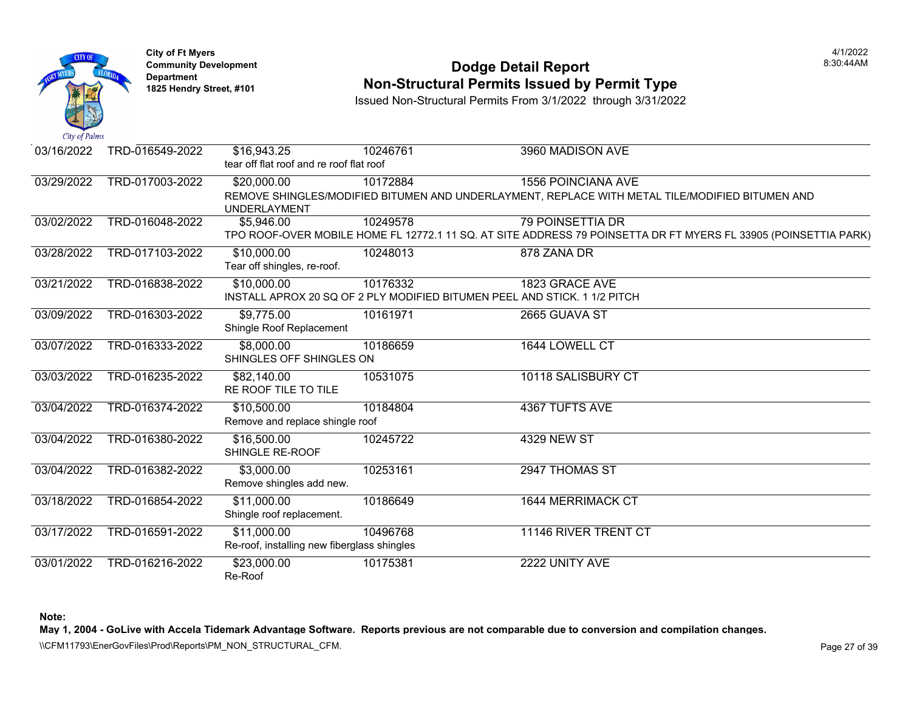

## **Community Development Community Development Community Development 1825 Non-Structural Permits Issued by Permit Type**

Issued Non-Structural Permits From 3/1/2022 through 3/31/2022

| 03/16/2022 | TRD-016549-2022 | \$16,943.25<br>tear off flat roof and re roof flat roof    | 10246761                                                                              | 3960 MADISON AVE                                                                                              |
|------------|-----------------|------------------------------------------------------------|---------------------------------------------------------------------------------------|---------------------------------------------------------------------------------------------------------------|
| 03/29/2022 | TRD-017003-2022 | \$20,000.00<br><b>UNDERLAYMENT</b>                         | 10172884                                                                              | <b>1556 POINCIANA AVE</b><br>REMOVE SHINGLES/MODIFIED BITUMEN AND UNDERLAYMENT, REPLACE WITH METAL TILE/MO    |
| 03/02/2022 | TRD-016048-2022 | \$5,946.00                                                 | 10249578                                                                              | <b>79 POINSETTIA DR</b><br>TPO ROOF-OVER MOBILE HOME FL 12772.1 11 SQ. AT SITE ADDRESS 79 POINSETTA DR FT MYE |
| 03/28/2022 | TRD-017103-2022 | \$10,000.00<br>Tear off shingles, re-roof.                 | 10248013                                                                              | 878 ZANA DR                                                                                                   |
| 03/21/2022 | TRD-016838-2022 | \$10,000.00                                                | 10176332<br>INSTALL APROX 20 SQ OF 2 PLY MODIFIED BITUMEN PEEL AND STICK. 1 1/2 PITCH | 1823 GRACE AVE                                                                                                |
| 03/09/2022 | TRD-016303-2022 | \$9,775.00<br>Shingle Roof Replacement                     | 10161971                                                                              | 2665 GUAVA ST                                                                                                 |
| 03/07/2022 | TRD-016333-2022 | \$8,000.00<br>SHINGLES OFF SHINGLES ON                     | 10186659                                                                              | 1644 LOWELL CT                                                                                                |
| 03/03/2022 | TRD-016235-2022 | \$82,140.00<br>RE ROOF TILE TO TILE                        | 10531075                                                                              | 10118 SALISBURY CT                                                                                            |
| 03/04/2022 | TRD-016374-2022 | \$10,500.00<br>Remove and replace shingle roof             | 10184804                                                                              | 4367 TUFTS AVE                                                                                                |
| 03/04/2022 | TRD-016380-2022 | \$16,500.00<br>SHINGLE RE-ROOF                             | 10245722                                                                              | <b>4329 NEW ST</b>                                                                                            |
| 03/04/2022 | TRD-016382-2022 | \$3,000.00<br>Remove shingles add new.                     | 10253161                                                                              | 2947 THOMAS ST                                                                                                |
| 03/18/2022 | TRD-016854-2022 | \$11,000.00<br>Shingle roof replacement.                   | 10186649                                                                              | 1644 MERRIMACK CT                                                                                             |
| 03/17/2022 | TRD-016591-2022 | \$11,000.00<br>Re-roof, installing new fiberglass shingles | 10496768                                                                              | 11146 RIVER TRENT CT                                                                                          |
| 03/01/2022 | TRD-016216-2022 | \$23,000.00<br>Re-Roof                                     | 10175381                                                                              | 2222 UNITY AVE                                                                                                |

**Note:**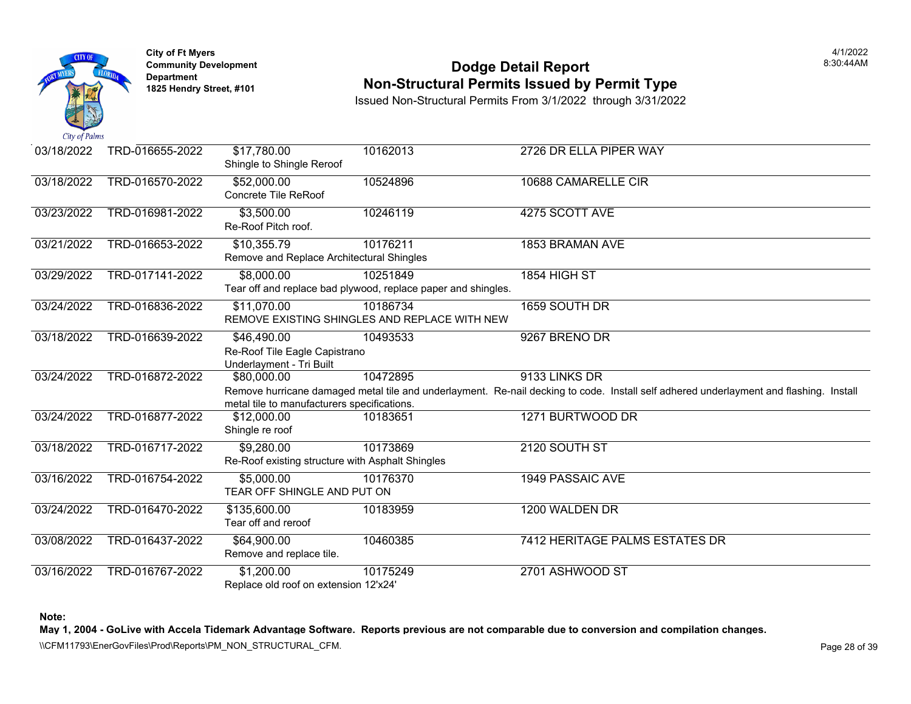

### **Community Development Community Development Community Development Non-Structural Permits Issued by Permit Type**

Issued Non-Structural Permits From 3/1/2022 through 3/31/2022

| 03/18/2022 | TRD-016655-2022 | \$17,780.00<br>Shingle to Shingle Reroof                                 | 10162013                                                                  | 2726 DR ELLA PIPER WAY                                                                                                 |
|------------|-----------------|--------------------------------------------------------------------------|---------------------------------------------------------------------------|------------------------------------------------------------------------------------------------------------------------|
| 03/18/2022 | TRD-016570-2022 | \$52,000.00<br>Concrete Tile ReRoof                                      | 10524896                                                                  | 10688 CAMARELLE CIR                                                                                                    |
| 03/23/2022 | TRD-016981-2022 | \$3,500.00<br>Re-Roof Pitch roof.                                        | 10246119                                                                  | 4275 SCOTT AVE                                                                                                         |
| 03/21/2022 | TRD-016653-2022 | \$10,355.79<br>Remove and Replace Architectural Shingles                 | 10176211                                                                  | 1853 BRAMAN AVE                                                                                                        |
| 03/29/2022 | TRD-017141-2022 | \$8,000.00                                                               | 10251849<br>Tear off and replace bad plywood, replace paper and shingles. | 1854 HIGH ST                                                                                                           |
| 03/24/2022 | TRD-016836-2022 | \$11,070.00                                                              | 10186734<br>REMOVE EXISTING SHINGLES AND REPLACE WITH NEW                 | 1659 SOUTH DR                                                                                                          |
| 03/18/2022 | TRD-016639-2022 | \$46,490.00<br>Re-Roof Tile Eagle Capistrano<br>Underlayment - Tri Built | 10493533                                                                  | 9267 BRENO DR                                                                                                          |
| 03/24/2022 | TRD-016872-2022 | \$80,000.00<br>metal tile to manufacturers specifications.               | 10472895                                                                  | 9133 LINKS DR<br>Remove hurricane damaged metal tile and underlayment. Re-nail decking to code. Install self adhered u |
| 03/24/2022 | TRD-016877-2022 | \$12,000.00<br>Shingle re roof                                           | 10183651                                                                  | 1271 BURTWOOD DR                                                                                                       |
| 03/18/2022 | TRD-016717-2022 | \$9,280.00<br>Re-Roof existing structure with Asphalt Shingles           | 10173869                                                                  | 2120 SOUTH ST                                                                                                          |
| 03/16/2022 | TRD-016754-2022 | \$5,000.00<br>TEAR OFF SHINGLE AND PUT ON                                | 10176370                                                                  | <b>1949 PASSAIC AVE</b>                                                                                                |
| 03/24/2022 | TRD-016470-2022 | \$135,600.00<br>Tear off and reroof                                      | 10183959                                                                  | 1200 WALDEN DR                                                                                                         |
| 03/08/2022 | TRD-016437-2022 | \$64,900.00<br>Remove and replace tile.                                  | 10460385                                                                  | 7412 HERITAGE PALMS ESTATES                                                                                            |
| 03/16/2022 | TRD-016767-2022 | \$1,200.00<br>Replace old roof on extension 12'x24'                      | 10175249                                                                  | 2701 ASHWOOD ST                                                                                                        |

**Note:**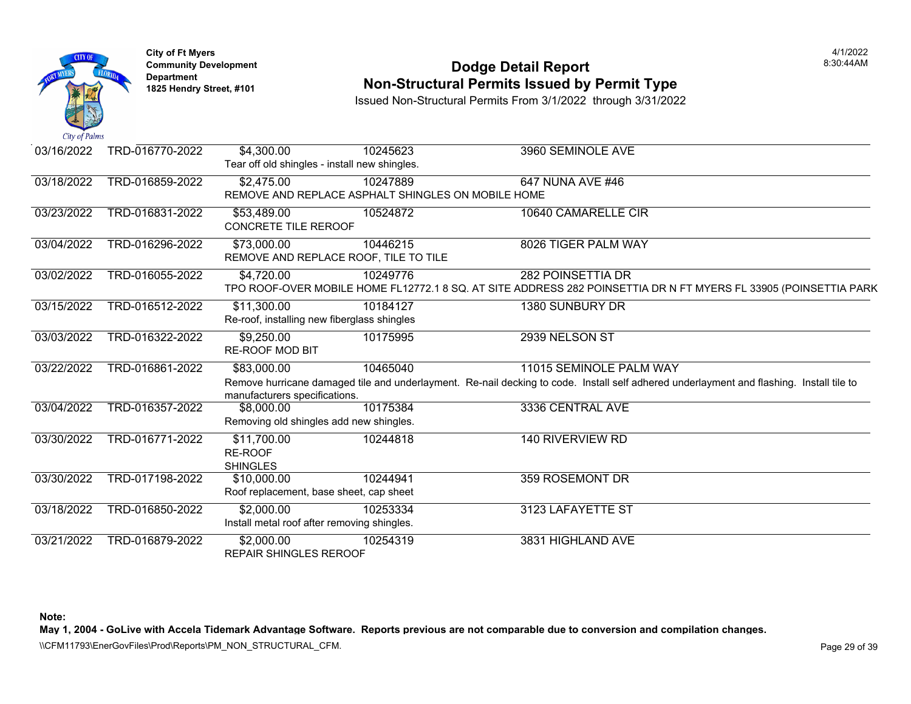

### **Community Development Community Development Community Development 1825 Non-Structural Permits Issued by Permit Type**

Issued Non-Structural Permits From 3/1/2022 through 3/31/2022

| 03/16/2022 | TRD-016770-2022 | \$4,300.00                                    | 10245623                                           | 3960 SEMINOLE AVE                                                                                     |
|------------|-----------------|-----------------------------------------------|----------------------------------------------------|-------------------------------------------------------------------------------------------------------|
|            |                 | Tear off old shingles - install new shingles. |                                                    |                                                                                                       |
| 03/18/2022 | TRD-016859-2022 | \$2,475.00                                    | 10247889                                           | 647 NUNA AVE #46                                                                                      |
|            |                 |                                               | REMOVE AND REPLACE ASPHALT SHINGLES ON MOBILE HOME |                                                                                                       |
| 03/23/2022 | TRD-016831-2022 | \$53,489.00                                   | 10524872                                           | 10640 CAMARELLE CIR                                                                                   |
|            |                 | CONCRETE TILE REROOF                          |                                                    |                                                                                                       |
| 03/04/2022 | TRD-016296-2022 | \$73,000.00                                   | 10446215                                           | 8026 TIGER PALM WAY                                                                                   |
|            |                 | REMOVE AND REPLACE ROOF, TILE TO TILE         |                                                    |                                                                                                       |
| 03/02/2022 | TRD-016055-2022 | \$4,720.00                                    | 10249776                                           | 282 POINSETTIA DR                                                                                     |
|            |                 |                                               |                                                    | TPO ROOF-OVER MOBILE HOME FL12772.1 8 SQ. AT SITE ADDRESS 282 POINSETTIA DR N FT M                    |
| 03/15/2022 | TRD-016512-2022 | \$11,300.00                                   | 10184127                                           | 1380 SUNBURY DR                                                                                       |
|            |                 | Re-roof, installing new fiberglass shingles   |                                                    |                                                                                                       |
| 03/03/2022 | TRD-016322-2022 | \$9,250.00                                    | 10175995                                           | 2939 NELSON ST                                                                                        |
|            |                 | <b>RE-ROOF MOD BIT</b>                        |                                                    |                                                                                                       |
| 03/22/2022 | TRD-016861-2022 | \$83,000.00                                   | 10465040                                           | 11015 SEMINOLE PALM WAY                                                                               |
|            |                 |                                               |                                                    | Remove hurricane damaged tile and underlayment. Re-nail decking to code. Install self adhered underla |
|            |                 | manufacturers specifications.                 |                                                    |                                                                                                       |
| 03/04/2022 | TRD-016357-2022 | \$8,000.00                                    | 10175384                                           | 3336 CENTRAL AVE                                                                                      |
|            |                 | Removing old shingles add new shingles.       |                                                    |                                                                                                       |
| 03/30/2022 | TRD-016771-2022 | \$11,700.00                                   | 10244818                                           | 140 RIVERVIEW RD                                                                                      |
|            |                 | RE-ROOF                                       |                                                    |                                                                                                       |
|            |                 | <b>SHINGLES</b>                               |                                                    |                                                                                                       |
| 03/30/2022 | TRD-017198-2022 | \$10,000.00                                   | 10244941                                           | 359 ROSEMONT DR                                                                                       |
|            |                 | Roof replacement, base sheet, cap sheet       |                                                    |                                                                                                       |
| 03/18/2022 | TRD-016850-2022 | \$2,000.00                                    | 10253334                                           | 3123 LAFAYETTE ST                                                                                     |
|            |                 | Install metal roof after removing shingles.   |                                                    |                                                                                                       |
| 03/21/2022 | TRD-016879-2022 | \$2,000.00                                    | 10254319                                           | 3831 HIGHLAND AVE                                                                                     |
|            |                 | <b>REPAIR SHINGLES REROOF</b>                 |                                                    |                                                                                                       |

**Note:**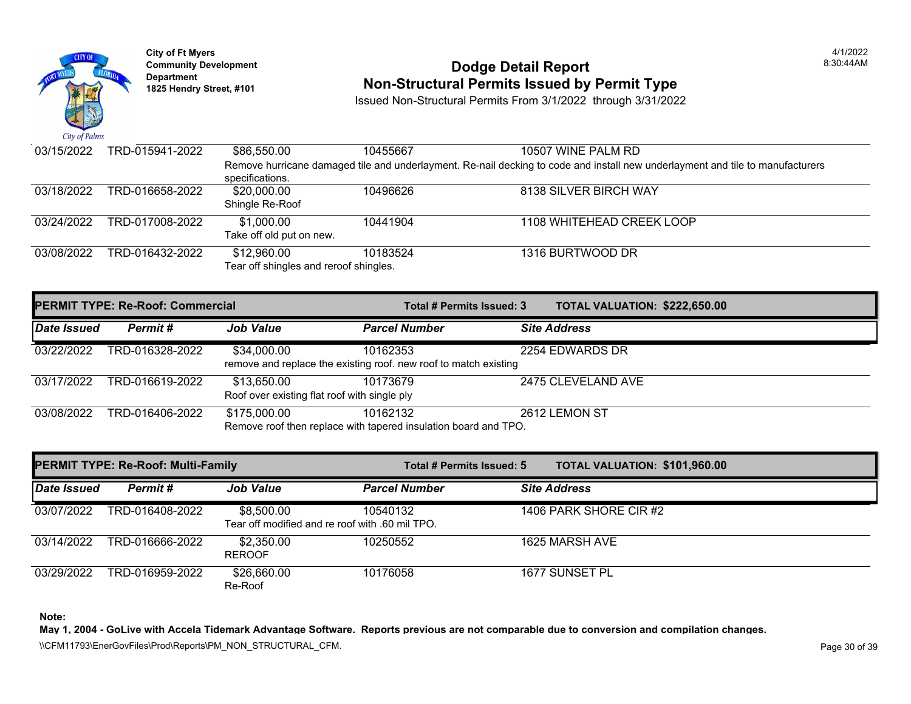

## **Community Development** 8:30:44AM **Dodge Detail Report Department Non-Structural Permits Issued by Permit Type 1825 Hendry Street, #101**

Issued Non-Structural Permits From 3/1/2022 through 3/31/2022

| 03/15/2022 | TRD-015941-2022 | \$86,550.00                            | 10455667 | 10507 WINE PALM RD                                                                                  |
|------------|-----------------|----------------------------------------|----------|-----------------------------------------------------------------------------------------------------|
|            |                 |                                        |          | Remove hurricane damaged tile and underlayment. Re-nail decking to code and install new underlaymen |
|            |                 | specifications.                        |          |                                                                                                     |
| 03/18/2022 | TRD-016658-2022 | \$20,000.00                            | 10496626 | 8138 SILVER BIRCH WAY                                                                               |
|            |                 | Shingle Re-Roof                        |          |                                                                                                     |
| 03/24/2022 | TRD-017008-2022 | \$1,000.00                             | 10441904 | 1108 WHITEHEAD CREEK LOOP                                                                           |
|            |                 | Take off old put on new.               |          |                                                                                                     |
| 03/08/2022 | TRD-016432-2022 | \$12,960.00                            | 10183524 | 1316 BURTWOOD DR                                                                                    |
|            |                 | Tear off shingles and reroof shingles. |          |                                                                                                     |

| <b>PERMIT TYPE: Re-Roof: Commercial</b> |                 |                                                             | Total # Permits Issued: 3                                                    | <b>TOTAL VALUATION: \$222,65</b> |
|-----------------------------------------|-----------------|-------------------------------------------------------------|------------------------------------------------------------------------------|----------------------------------|
| Date Issued                             | Permit #        | <b>Job Value</b>                                            | <b>Parcel Number</b>                                                         | <b>Site Address</b>              |
| 03/22/2022                              | TRD-016328-2022 | \$34,000.00                                                 | 10162353<br>remove and replace the existing roof. new roof to match existing | 2254 EDWARDS DR                  |
| 03/17/2022                              | TRD-016619-2022 | \$13,650.00<br>Roof over existing flat roof with single ply | 10173679                                                                     | 2475 CLEVELAND AVE               |
| 03/08/2022                              | TRD-016406-2022 | \$175,000.00                                                | 10162132<br>Remove roof then replace with tapered insulation board and TPO.  | 2612 LEMON ST                    |

|             | <b>PERMIT TYPE: Re-Roof: Multi-Family</b> |                                                               | Total # Permits Issued: 5 | <b>TOTAL VALUATION: \$101,96</b> |
|-------------|-------------------------------------------|---------------------------------------------------------------|---------------------------|----------------------------------|
| Date Issued | Permit#                                   | <b>Job Value</b>                                              | <b>Parcel Number</b>      | <b>Site Address</b>              |
| 03/07/2022  | TRD-016408-2022                           | \$8,500.00<br>Tear off modified and re roof with .60 mil TPO. | 10540132                  | 1406 PARK SHORE CIR #2           |
| 03/14/2022  | TRD-016666-2022                           | \$2,350.00<br><b>REROOF</b>                                   | 10250552                  | 1625 MARSH AVE                   |
| 03/29/2022  | TRD-016959-2022                           | \$26,660.00<br>Re-Roof                                        | 10176058                  | 1677 SUNSET PL                   |

**Note:**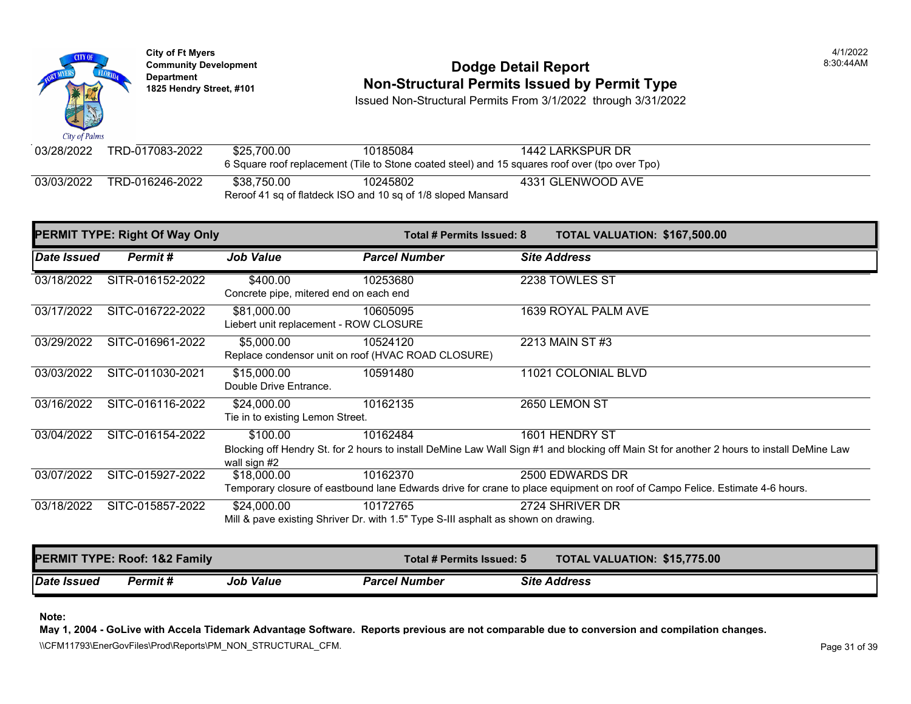

## **Community Development 18:30:44AM Dodge Detail Report Dodge Detail Report BEODIE 18:30:44AM Department 1825 Hendry Street, #101 Non-Structural Permits Issued by Permit Type**

Issued Non-Structural Permits From 3/1/2022 through 3/31/2022

| 03/28/2022 | TRD-017083-2022                                              | \$25.700.00 | 10185084 | 1442 LARKSPUR DR                                                                               |  |  |  |
|------------|--------------------------------------------------------------|-------------|----------|------------------------------------------------------------------------------------------------|--|--|--|
|            |                                                              |             |          | 6 Square roof replacement (Tile to Stone coated steel) and 15 squares roof over (tpo over Tpo) |  |  |  |
| 03/03/2022 | TRD-016246-2022                                              | \$38.750.00 | 10245802 | 4331 GLENWOOD AVE                                                                              |  |  |  |
|            | Reroof 41 sq of flatdeck ISO and 10 sq of 1/8 sloped Mansard |             |          |                                                                                                |  |  |  |

|             | <b>PERMIT TYPE: Right Of Way Only</b> |                                                       | Total # Permits Issued: 8                                                                      | TOTAL VALUATION: \$167,500.00                                                                                                                               |
|-------------|---------------------------------------|-------------------------------------------------------|------------------------------------------------------------------------------------------------|-------------------------------------------------------------------------------------------------------------------------------------------------------------|
| Date Issued | Permit#                               | <b>Job Value</b>                                      | <b>Parcel Number</b>                                                                           | <b>Site Address</b>                                                                                                                                         |
| 03/18/2022  | SITR-016152-2022                      | \$400.00<br>Concrete pipe, mitered end on each end    | 10253680                                                                                       | 2238 TOWLES ST                                                                                                                                              |
| 03/17/2022  | SITC-016722-2022                      | \$81,000.00<br>Liebert unit replacement - ROW CLOSURE | 10605095                                                                                       | 1639 ROYAL PALM AVE                                                                                                                                         |
| 03/29/2022  | SITC-016961-2022                      | \$5,000.00                                            | 10524120<br>Replace condensor unit on roof (HVAC ROAD CLOSURE)                                 | 2213 MAIN ST #3                                                                                                                                             |
| 03/03/2022  | SITC-011030-2021                      | \$15,000.00<br>Double Drive Entrance.                 | 10591480                                                                                       | 11021 COLONIAL BLVD                                                                                                                                         |
| 03/16/2022  | SITC-016116-2022                      | \$24,000.00<br>Tie in to existing Lemon Street.       | 10162135                                                                                       | 2650 LEMON ST                                                                                                                                               |
| 03/04/2022  | SITC-016154-2022                      | \$100.00<br>wall sign #2                              | 10162484                                                                                       | 1601 HENDRY ST<br>Blocking off Hendry St. for 2 hours to install DeMine Law Wall Sign #1 and blocking off Main St for another 2 hours to install DeMine Law |
| 03/07/2022  | SITC-015927-2022                      | \$18,000.00                                           | 10162370                                                                                       | 2500 EDWARDS DR<br>Temporary closure of eastbound lane Edwards drive for crane to place equipment on roof of Campo Felice. Estimate 4-6 hours.              |
| 03/18/2022  | SITC-015857-2022                      | \$24,000.00                                           | 10172765<br>Mill & pave existing Shriver Dr. with 1.5" Type S-III asphalt as shown on drawing. | 2724 SHRIVER DR                                                                                                                                             |

|             | <b>PERMIT TYPE: Roof: 1&amp;2 Family</b> |                  | Total # Permits Issued: 5 | <b>TOTAL VALUATION: \$15,775.00</b> |
|-------------|------------------------------------------|------------------|---------------------------|-------------------------------------|
| Date Issued | <b>Permit</b> #                          | <b>Job Value</b> | <b>Parcel Number</b>      | <b>Site Address</b>                 |

**Note:** 

**May 1, 2004 - GoLive with Accela Tidemark Advantage Software. Reports previous are not comparable due to conversion and compilation changes.** 

\\CFM11793\EnerGovFiles\Prod\Reports\PM\_NON\_STRUCTURAL\_CFM.<br>Rage 31 of 39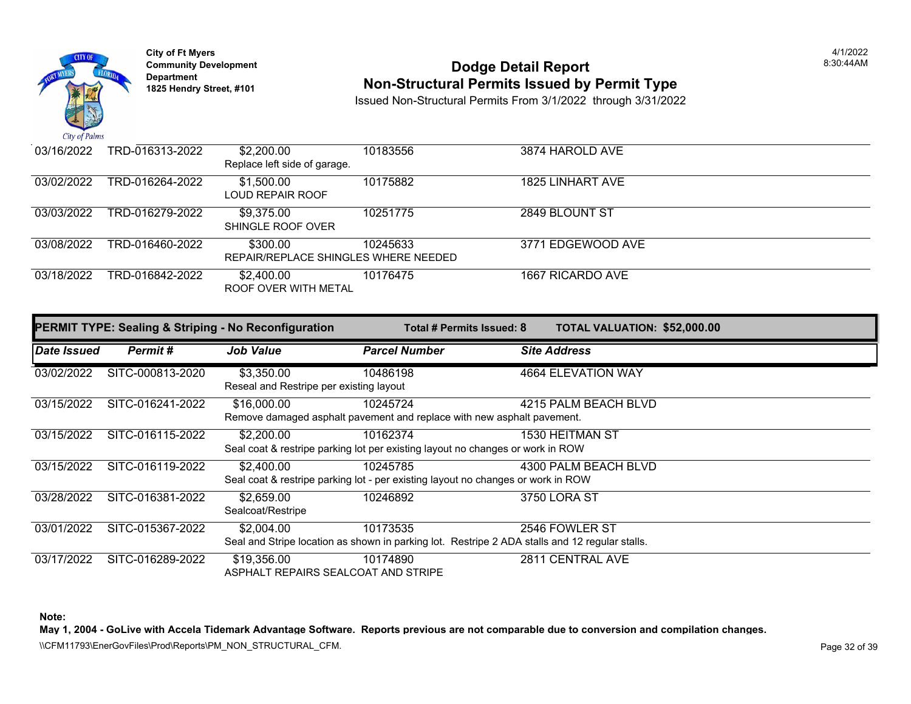

## **Community Development 18:30:44AM Dodge Detail Report Dodge Detail Report BEODIE 18:30:44AM Department 1825 Hendry Street, #101 Non-Structural Permits Issued by Permit Type**

Issued Non-Structural Permits From 3/1/2022 through 3/31/2022

| 03/16/2022 | TRD-016313-2022 | \$2,200.00<br>Replace left side of garage.       | 10183556 | 3874 HAROLD AVE   |
|------------|-----------------|--------------------------------------------------|----------|-------------------|
| 03/02/2022 | TRD-016264-2022 | \$1,500.00<br>LOUD REPAIR ROOF                   | 10175882 | 1825 LINHART AVE  |
| 03/03/2022 | TRD-016279-2022 | \$9.375.00<br>SHINGLE ROOF OVER                  | 10251775 | 2849 BLOUNT ST    |
| 03/08/2022 | TRD-016460-2022 | \$300.00<br>REPAIR/REPLACE SHINGLES WHERE NEEDED | 10245633 | 3771 EDGEWOOD AVE |
| 03/18/2022 | TRD-016842-2022 | \$2,400.00<br>ROOF OVER WITH METAL               | 10176475 | 1667 RICARDO AVE  |

|             |                  | <b>PERMIT TYPE: Sealing &amp; Striping - No Reconfiguration</b> | Total # Permits Issued: 8                                                                                  | <b>TOTAL VALUATION: \$52,000.00</b> |
|-------------|------------------|-----------------------------------------------------------------|------------------------------------------------------------------------------------------------------------|-------------------------------------|
| Date Issued | Permit#          | <b>Job Value</b>                                                | <b>Parcel Number</b>                                                                                       | <b>Site Address</b>                 |
| 03/02/2022  | SITC-000813-2020 | \$3,350.00<br>Reseal and Restripe per existing layout           | 10486198                                                                                                   | 4664 ELEVATION WAY                  |
| 03/15/2022  | SITC-016241-2022 | \$16,000.00                                                     | 10245724<br>Remove damaged asphalt pavement and replace with new asphalt pavement.                         | 4215 PALM BEACH BLVD                |
| 03/15/2022  | SITC-016115-2022 | \$2,200.00                                                      | 10162374<br>Seal coat & restripe parking lot per existing layout no changes or work in ROW                 | <b>1530 HEITMAN ST</b>              |
| 03/15/2022  | SITC-016119-2022 | \$2,400.00                                                      | 10245785<br>Seal coat & restripe parking lot - per existing layout no changes or work in ROW               | 4300 PALM BEACH BLVD                |
| 03/28/2022  | SITC-016381-2022 | \$2,659.00<br>Sealcoat/Restripe                                 | 10246892                                                                                                   | 3750 LORA ST                        |
| 03/01/2022  | SITC-015367-2022 | \$2,004.00                                                      | 10173535<br>Seal and Stripe location as shown in parking lot. Restripe 2 ADA stalls and 12 regular stalls. | 2546 FOWLER ST                      |
| 03/17/2022  | SITC-016289-2022 | \$19,356.00<br>ASPHALT REPAIRS SEALCOAT AND STRIPE              | 10174890                                                                                                   | 2811 CENTRAL AVE                    |

**Note:** 

**May 1, 2004 - GoLive with Accela Tidemark Advantage Software. Reports previous are not comparable due to conversion and compilation changes.** 

\\CFM11793\EnerGovFiles\Prod\Reports\PM\_NON\_STRUCTURAL\_CFM.<br>Rage 32 of 39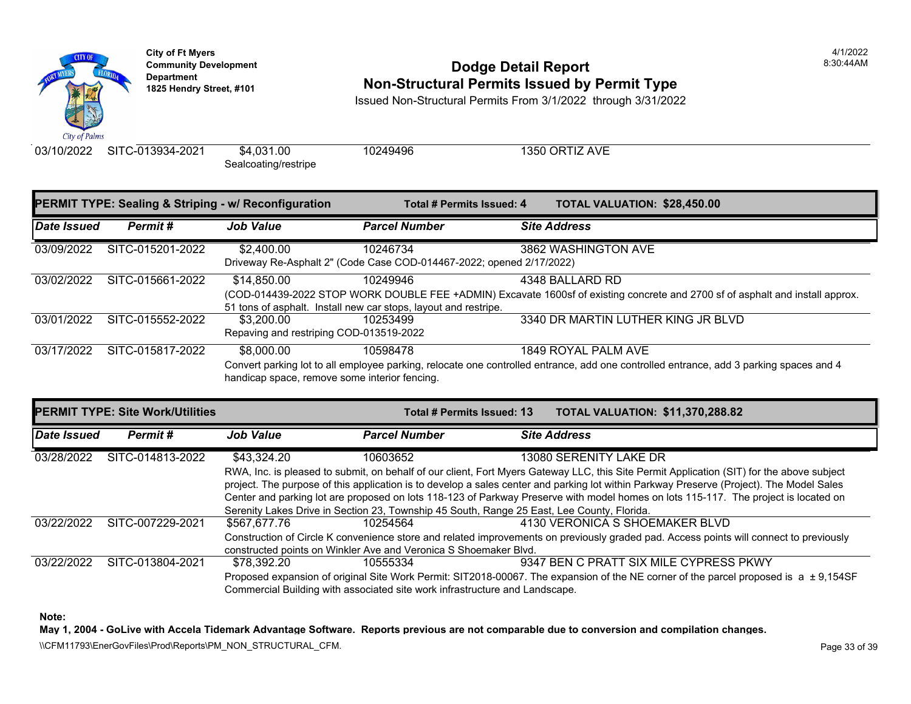

## **Community Development** 8:30:44AM **Dodge Detail Report Department Non-Structural Permits Issued by Permit Type 1825 Hendry Street, #101**

Issued Non-Structural Permits From 3/1/2022 through 3/31/2022

03/10/2022 SITC-013934-2021 \$4,031.00 10249496 1350 ORTIZ AVE

Sealcoating/restripe

|             |                  | <b>PERMIT TYPE: Sealing &amp; Striping - w/ Reconfiguration</b> | Total # Permits Issued: 4                                                        | <b>TOTAL VALUATION: \$28,450</b>                                                                                                  |
|-------------|------------------|-----------------------------------------------------------------|----------------------------------------------------------------------------------|-----------------------------------------------------------------------------------------------------------------------------------|
| Date Issued | Permit#          | <b>Job Value</b>                                                | <b>Parcel Number</b>                                                             | <b>Site Address</b>                                                                                                               |
| 03/09/2022  | SITC-015201-2022 | \$2,400.00                                                      | 10246734<br>Driveway Re-Asphalt 2" (Code Case COD-014467-2022; opened 2/17/2022) | 3862 WASHINGTON AVE                                                                                                               |
| 03/02/2022  | SITC-015661-2022 | \$14,850.00                                                     | 10249946<br>51 tons of asphalt. Install new car stops, layout and restripe.      | 4348 BALLARD RD<br>(COD-014439-2022 STOP WORK DOUBLE FEE +ADMIN) Excavate 1600sf of existing concrete and 27                      |
| 03/01/2022  | SITC-015552-2022 | \$3,200,00<br>Repaving and restriping COD-013519-2022           | 10253499                                                                         | 3340 DR MARTIN LUTHER KING JI                                                                                                     |
| 03/17/2022  | SITC-015817-2022 | \$8,000.00<br>handicap space, remove some interior fencing.     | 10598478                                                                         | 1849 ROYAL PALM AVE<br>Convert parking lot to all employee parking, relocate one controlled entrance, add one controlled entrance |

| <b>PERMIT TYPE: Site Work/Utilities</b> |                  |                                                                                                       | Total # Permits Issued: 13                                                                 |  | <b>TOTAL VALUATION: \$11.370</b>                                                                                                                                                                                        |  |
|-----------------------------------------|------------------|-------------------------------------------------------------------------------------------------------|--------------------------------------------------------------------------------------------|--|-------------------------------------------------------------------------------------------------------------------------------------------------------------------------------------------------------------------------|--|
| Date Issued                             | Permit#          | <b>Job Value</b>                                                                                      | <b>Parcel Number</b>                                                                       |  | <b>Site Address</b>                                                                                                                                                                                                     |  |
| 03/28/2022                              | SITC-014813-2022 | \$43.324.20                                                                                           | 10603652                                                                                   |  | 13080 SERENITY LAKE DR                                                                                                                                                                                                  |  |
|                                         |                  |                                                                                                       |                                                                                            |  | RWA, Inc. is pleased to submit, on behalf of our client, Fort Myers Gateway LLC, this Site Permit Applica<br>project. The purpose of this application is to develop a sales center and parking lot within Parkway Prese |  |
|                                         |                  |                                                                                                       |                                                                                            |  | Center and parking lot are proposed on lots 118-123 of Parkway Preserve with model homes on lots 115-                                                                                                                   |  |
|                                         |                  |                                                                                                       | Serenity Lakes Drive in Section 23, Township 45 South, Range 25 East, Lee County, Florida. |  |                                                                                                                                                                                                                         |  |
| 03/22/2022                              | SITC-007229-2021 | \$567.677.76                                                                                          | 10254564                                                                                   |  | 4130 VERONICA S SHOEMAKER E                                                                                                                                                                                             |  |
|                                         |                  |                                                                                                       |                                                                                            |  | Construction of Circle K convenience store and related improvements on previously graded pad. Access                                                                                                                    |  |
|                                         |                  |                                                                                                       | constructed points on Winkler Ave and Veronica S Shoemaker Blvd.                           |  |                                                                                                                                                                                                                         |  |
| 03/22/2022                              | SITC-013804-2021 | \$78.392.20                                                                                           | 10555334                                                                                   |  | 9347 BEN C PRATT SIX MILE CYP                                                                                                                                                                                           |  |
|                                         |                  | Proposed expansion of original Site Work Permit: SIT2018-00067. The expansion of the NE corner of the |                                                                                            |  |                                                                                                                                                                                                                         |  |
|                                         |                  |                                                                                                       | Commercial Building with associated site work infrastructure and Landscape.                |  |                                                                                                                                                                                                                         |  |

**Note:**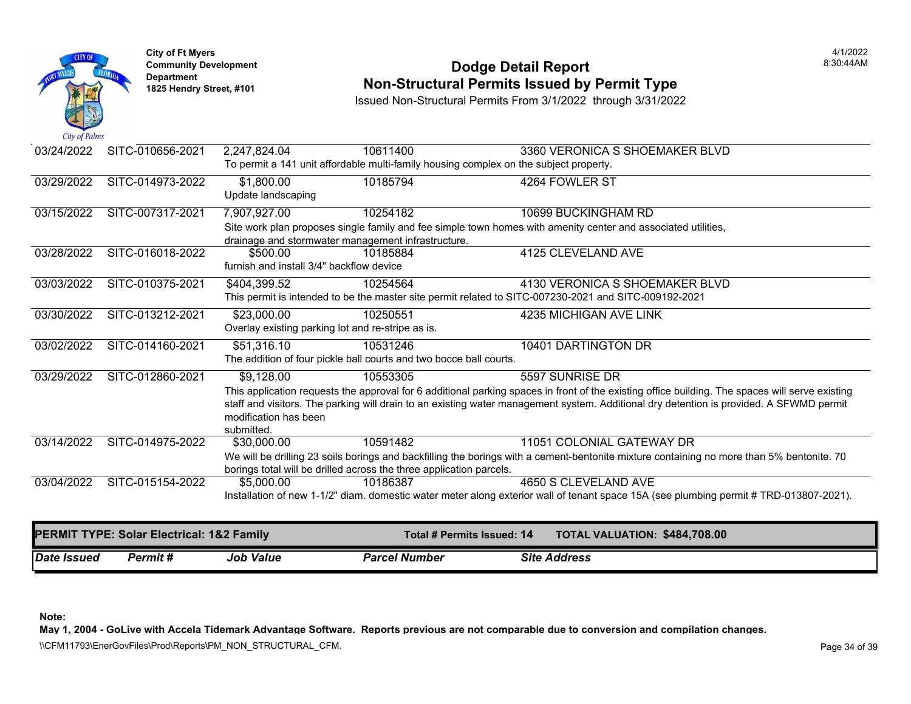

## **Community Development 18:30:44AM**<br>
Dodge Detail Report Department 18:30:44AM<br>
1825 Hendry Street, #101 **Non-Structural Permits Issued by Permit Type**

Issued Non-Structural Permits From 3/1/2022 through 3/31/2022

| 03/24/2022  | SITC-010656-2021                          | 2,247,824.04                                       | 10611400                                                                              | 3360 VERONICA S SHOEMAKER BLVD                                                                                                                  |
|-------------|-------------------------------------------|----------------------------------------------------|---------------------------------------------------------------------------------------|-------------------------------------------------------------------------------------------------------------------------------------------------|
|             |                                           |                                                    | To permit a 141 unit affordable multi-family housing complex on the subject property. |                                                                                                                                                 |
| 03/29/2022  | SITC-014973-2022                          | \$1,800.00                                         | 10185794                                                                              | 4264 FOWLER ST                                                                                                                                  |
|             |                                           | Update landscaping                                 |                                                                                       |                                                                                                                                                 |
| 03/15/2022  | SITC-007317-2021                          | 7,907,927.00                                       | 10254182                                                                              | 10699 BUCKINGHAM RD                                                                                                                             |
|             |                                           |                                                    |                                                                                       | Site work plan proposes single family and fee simple town homes with amenity center and associated utilities,                                   |
|             |                                           | drainage and stormwater management infrastructure. |                                                                                       |                                                                                                                                                 |
| 03/28/2022  | SITC-016018-2022                          | \$500.00                                           | 10185884                                                                              | 4125 CLEVELAND AVE                                                                                                                              |
|             |                                           | furnish and install 3/4" backflow device           |                                                                                       |                                                                                                                                                 |
| 03/03/2022  | SITC-010375-2021                          | \$404,399.52                                       | 10254564                                                                              | 4130 VERONICA S SHOEMAKER BLVD                                                                                                                  |
|             |                                           |                                                    |                                                                                       | This permit is intended to be the master site permit related to SITC-007230-2021 and SITC-009192-2021                                           |
| 03/30/2022  | SITC-013212-2021                          | \$23,000.00                                        | 10250551                                                                              | 4235 MICHIGAN AVE LINK                                                                                                                          |
|             |                                           | Overlay existing parking lot and re-stripe as is.  |                                                                                       |                                                                                                                                                 |
| 03/02/2022  | SITC-014160-2021                          | \$51,316.10                                        | 10531246                                                                              | 10401 DARTINGTON DR                                                                                                                             |
|             |                                           |                                                    | The addition of four pickle ball courts and two bocce ball courts.                    |                                                                                                                                                 |
| 03/29/2022  | SITC-012860-2021                          | \$9,128.00                                         | 10553305                                                                              | 5597 SUNRISE DR                                                                                                                                 |
|             |                                           |                                                    |                                                                                       | This application requests the approval for 6 additional parking spaces in front of the existing office building. The spaces will serve existing |
|             |                                           |                                                    |                                                                                       | staff and visitors. The parking will drain to an existing water management system. Additional dry detention is provided. A SFWMD permit         |
|             |                                           | modification has been                              |                                                                                       |                                                                                                                                                 |
| 03/14/2022  | SITC-014975-2022                          | submitted.<br>\$30,000.00                          | 10591482                                                                              | 11051 COLONIAL GATEWAY DR                                                                                                                       |
|             |                                           |                                                    |                                                                                       |                                                                                                                                                 |
|             |                                           |                                                    | borings total will be drilled across the three application parcels.                   | We will be drilling 23 soils borings and backfilling the borings with a cement-bentonite mixture containing no more than 5% bentonite. 70       |
| 03/04/2022  | SITC-015154-2022                          | \$5,000,00                                         | 10186387                                                                              | 4650 S CLEVELAND AVE                                                                                                                            |
|             |                                           |                                                    |                                                                                       | Installation of new 1-1/2" diam. domestic water meter along exterior wall of tenant space 15A (see plumbing permit # TRD-013807-2021).          |
|             |                                           |                                                    |                                                                                       |                                                                                                                                                 |
|             | PERMIT TYPE: Solar Electrical: 1&2 Family |                                                    | Total # Permits Issued: 14                                                            | TOTAL VALUATION: \$484,708.00                                                                                                                   |
|             |                                           |                                                    |                                                                                       |                                                                                                                                                 |
| Date Issued | Permit#                                   | <b>Job Value</b>                                   | <b>Parcel Number</b>                                                                  | <b>Site Address</b>                                                                                                                             |

**Note:** 

**May 1, 2004 - GoLive with Accela Tidemark Advantage Software. Reports previous are not comparable due to conversion and compilation changes.**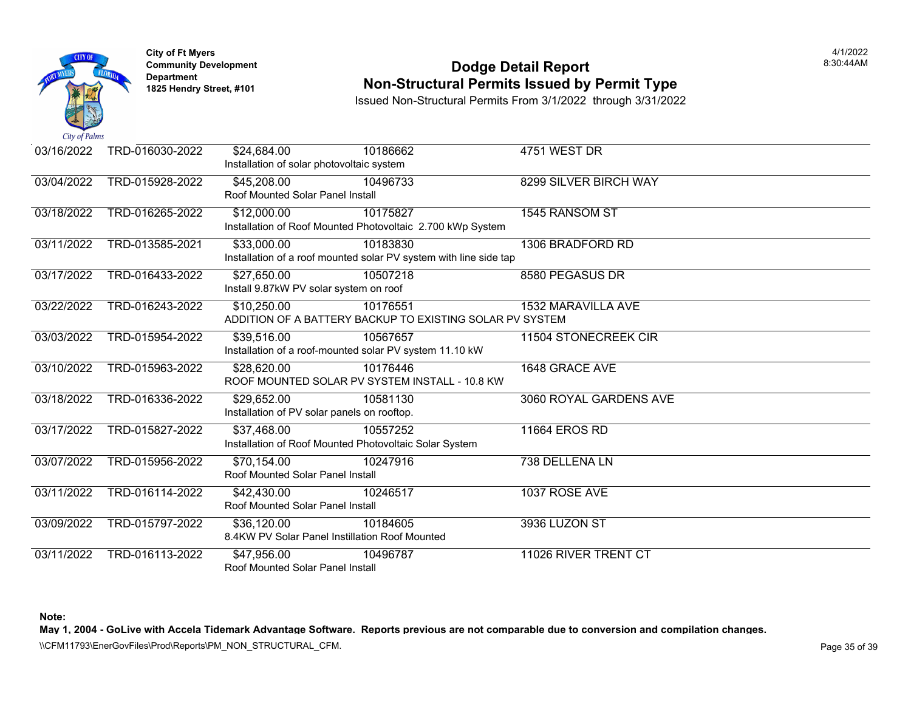

## **Community Development Community Development Community Development 1825 Non-Structural Permits Issued by Permit Type**

Issued Non-Structural Permits From 3/1/2022 through 3/31/2022

| 03/16/2022 | TRD-016030-2022 | \$24,684.00                      | 10186662                                                          | 4751 WEST DR              |
|------------|-----------------|----------------------------------|-------------------------------------------------------------------|---------------------------|
|            |                 |                                  | Installation of solar photovoltaic system                         |                           |
| 03/04/2022 | TRD-015928-2022 | \$45,208.00                      | 10496733                                                          | 8299 SILVER BIRCH WAY     |
|            |                 | Roof Mounted Solar Panel Install |                                                                   |                           |
| 03/18/2022 | TRD-016265-2022 | \$12,000.00                      | 10175827                                                          | 1545 RANSOM ST            |
|            |                 |                                  | Installation of Roof Mounted Photovoltaic 2.700 kWp System        |                           |
| 03/11/2022 | TRD-013585-2021 | $\overline{$33,000.00}$          | 10183830                                                          | 1306 BRADFORD RD          |
|            |                 |                                  | Installation of a roof mounted solar PV system with line side tap |                           |
| 03/17/2022 | TRD-016433-2022 | \$27,650.00                      | 10507218                                                          | 8580 PEGASUS DR           |
|            |                 |                                  | Install 9.87kW PV solar system on roof                            |                           |
| 03/22/2022 | TRD-016243-2022 | \$10,250.00                      | 10176551                                                          | <b>1532 MARAVILLA AVE</b> |
|            |                 |                                  | ADDITION OF A BATTERY BACKUP TO EXISTING SOLAR PV SYSTEM          |                           |
| 03/03/2022 | TRD-015954-2022 | \$39,516.00                      | 10567657                                                          | 11504 STONECREEK CIR      |
|            |                 |                                  | Installation of a roof-mounted solar PV system 11.10 kW           |                           |
| 03/10/2022 | TRD-015963-2022 | \$28,620.00                      | 10176446                                                          | 1648 GRACE AVE            |
|            |                 |                                  | ROOF MOUNTED SOLAR PV SYSTEM INSTALL - 10.8 KW                    |                           |
| 03/18/2022 | TRD-016336-2022 | \$29,652.00                      | 10581130                                                          | 3060 ROYAL GARDENS AVE    |
|            |                 |                                  | Installation of PV solar panels on rooftop.                       |                           |
| 03/17/2022 | TRD-015827-2022 | \$37,468.00                      | 10557252                                                          | <b>11664 EROS RD</b>      |
|            |                 |                                  | Installation of Roof Mounted Photovoltaic Solar System            |                           |
| 03/07/2022 | TRD-015956-2022 | \$70,154.00                      | 10247916                                                          | 738 DELLENA LN            |
|            |                 | Roof Mounted Solar Panel Install |                                                                   |                           |
| 03/11/2022 | TRD-016114-2022 | \$42,430.00                      | 10246517                                                          | 1037 ROSE AVE             |
|            |                 | Roof Mounted Solar Panel Install |                                                                   |                           |
| 03/09/2022 | TRD-015797-2022 | \$36,120.00                      | 10184605                                                          | 3936 LUZON ST             |
|            |                 |                                  | 8.4KW PV Solar Panel Instillation Roof Mounted                    |                           |
| 03/11/2022 | TRD-016113-2022 | \$47,956.00                      | 10496787                                                          | 11026 RIVER TRENT CT      |
|            |                 | Roof Mounted Solar Panel Install |                                                                   |                           |

**Note:**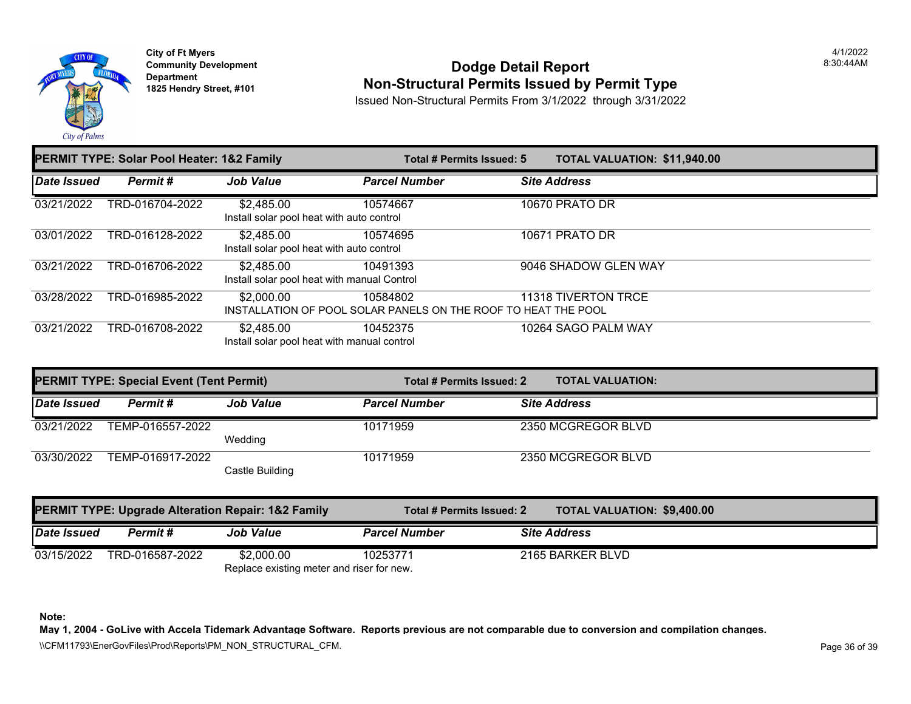

### **Community Development Community Development Community Development 1825 Non-Structural Permits Issued by Permit Type**

Issued Non-Structural Permits From 3/1/2022 through 3/31/2022

|                     | PERMIT TYPE: Solar Pool Heater: 1&2 Family |                                                                              |                      | Total # Permits Issued: 5 | <b>TOTAL VALUATION: \$11,940</b> |  |
|---------------------|--------------------------------------------|------------------------------------------------------------------------------|----------------------|---------------------------|----------------------------------|--|
| <b>Date Issued</b>  | Permit#                                    | <b>Job Value</b>                                                             | <b>Parcel Number</b> |                           | <b>Site Address</b>              |  |
| 03/21/2022          | TRD-016704-2022                            | \$2,485.00<br>Install solar pool heat with auto control                      | 10574667             |                           | <b>10670 PRATO DR</b>            |  |
| 03/01/2022          | TRD-016128-2022                            | \$2,485.00<br>Install solar pool heat with auto control                      | 10574695             |                           | 10671 PRATO DR                   |  |
| $\sqrt{03}/21/2022$ | TRD-016706-2022                            | \$2,485.00<br>Install solar pool heat with manual Control                    | 10491393             |                           | 9046 SHADOW GLEN WAY             |  |
| 03/28/2022          | TRD-016985-2022                            | \$2,000.00<br>INSTALLATION OF POOL SOLAR PANELS ON THE ROOF TO HEAT THE POOL | 10584802             |                           | 11318 TIVERTON TRCE              |  |
| 03/21/2022          | TRD-016708-2022                            | \$2,485.00<br>Install solar pool heat with manual control                    | 10452375             |                           | 10264 SAGO PALM WAY              |  |

|             | <b>PERMIT TYPE: Special Event (Tent Permit)</b> |                  | Total # Permits Issued: 2 | <b>TOTAL VALUATION:</b> |
|-------------|-------------------------------------------------|------------------|---------------------------|-------------------------|
| Date Issued | Permit #                                        | <b>Job Value</b> | <b>Parcel Number</b>      | <b>Site Address</b>     |
| 03/21/2022  | TEMP-016557-2022                                | Wedding          | 10171959                  | 2350 MCGREGOR BLVD      |
| 03/30/2022  | TEMP-016917-2022                                | Castle Building  | 10171959                  | 2350 MCGREGOR BLVD      |

|             |                 | <b>PERMIT TYPE: Upgrade Alteration Repair: 1&amp;2 Family</b> | Total # Permits Issued: 2 |                     | TOTAL VALUATION: \$9,400.0 |
|-------------|-----------------|---------------------------------------------------------------|---------------------------|---------------------|----------------------------|
| Date Issued | Permit #        | <b>Job Value</b>                                              | <b>Parcel Number</b>      | <b>Site Address</b> |                            |
| 03/15/2022  | TRD-016587-2022 | \$2,000.00                                                    | 10253771                  | 2165 BARKER BLVD    |                            |
|             |                 | Replace existing meter and riser for new.                     |                           |                     |                            |

**Note:**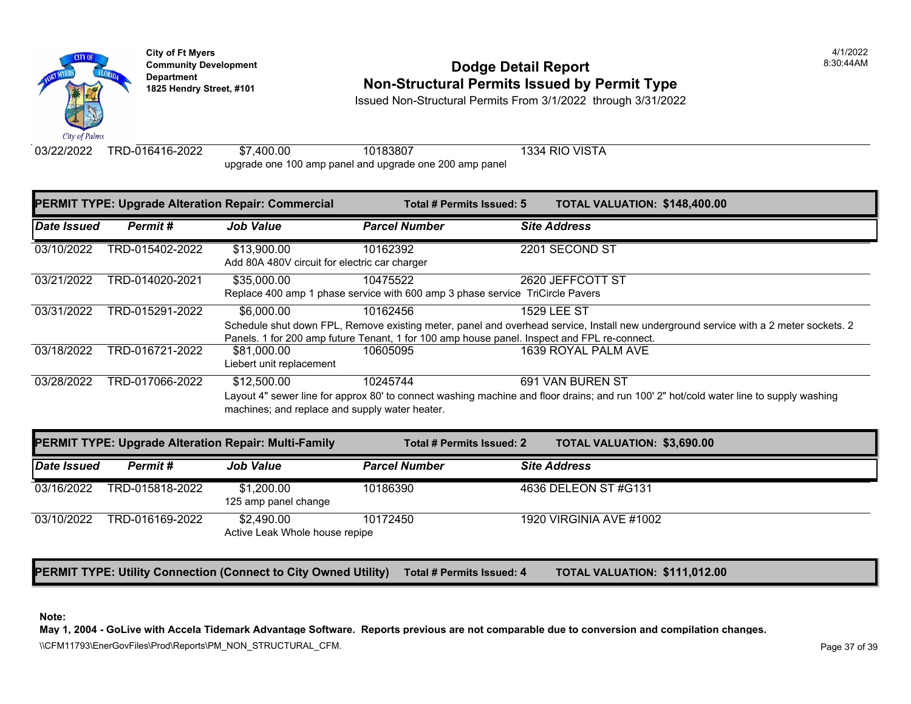

# **Community Development** 8:30:44AM **Dodge Detail Report Department Non-Structural Permits Issued by Permit Type 1825 Hendry Street, #101**

Issued Non-Structural Permits From 3/1/2022 through 3/31/2022

03/22/2022 TRD-016416-2022 \$7,400.00 10183807 1334 RIO VISTA upgrade one 100 amp panel and upgrade one 200 amp panel

| <b>PERMIT TYPE: Upgrade Alteration Repair: Commercial</b> |                 |                                                               | Total # Permits Issued: 5                                                                               | <b>TOTAL VALUATION: \$148,40</b>                                                                                              |
|-----------------------------------------------------------|-----------------|---------------------------------------------------------------|---------------------------------------------------------------------------------------------------------|-------------------------------------------------------------------------------------------------------------------------------|
| Date Issued                                               | Permit#         | <b>Job Value</b>                                              | <b>Parcel Number</b>                                                                                    | <b>Site Address</b>                                                                                                           |
| 03/10/2022                                                | TRD-015402-2022 | \$13,900.00<br>Add 80A 480V circuit for electric car charger  | 10162392                                                                                                | 2201 SECOND ST                                                                                                                |
| 03/21/2022                                                | TRD-014020-2021 | \$35,000.00                                                   | 10475522<br>Replace 400 amp 1 phase service with 600 amp 3 phase service TriCircle Pavers               | 2620 JEFFCOTT ST                                                                                                              |
| 03/31/2022                                                | TRD-015291-2022 | \$6,000.00                                                    | 10162456<br>Panels. 1 for 200 amp future Tenant, 1 for 100 amp house panel. Inspect and FPL re-connect. | <b>1529 LEE ST</b><br>Schedule shut down FPL, Remove existing meter, panel and overhead service, Install new underground      |
| 03/18/2022                                                | TRD-016721-2022 | \$81,000.00<br>Liebert unit replacement                       | 10605095                                                                                                | 1639 ROYAL PALM AVE                                                                                                           |
| 03/28/2022                                                | TRD-017066-2022 | \$12,500.00<br>machines; and replace and supply water heater. | 10245744                                                                                                | 691 VAN BUREN ST<br>Layout 4" sewer line for approx 80' to connect washing machine and floor drains; and run 100' 2" hot/cold |

| <b>PERMIT TYPE: Upgrade Alteration Repair: Multi-Family</b> |                 |                                              | Total # Permits Issued: 2 |                         | <b>TOTAL VALUATION: \$3,690.0</b> |
|-------------------------------------------------------------|-----------------|----------------------------------------------|---------------------------|-------------------------|-----------------------------------|
| Date Issued                                                 | Permit#         | <b>Job Value</b>                             | <b>Parcel Number</b>      | <b>Site Address</b>     |                                   |
| 03/16/2022                                                  | TRD-015818-2022 | \$1,200,00<br>125 amp panel change           | 10186390                  | 4636 DELEON ST #G131    |                                   |
| 03/10/2022                                                  | TRD-016169-2022 | \$2.490.00<br>Active Leak Whole house repipe | 10172450                  | 1920 VIRGINIA AVE #1002 |                                   |

**PERMIT TYPE: Utility Connection (Connect to City Owned Utility)** Total # Permits Issued: 4 TOTAL VALUATION: \$111,01

#### **Note:**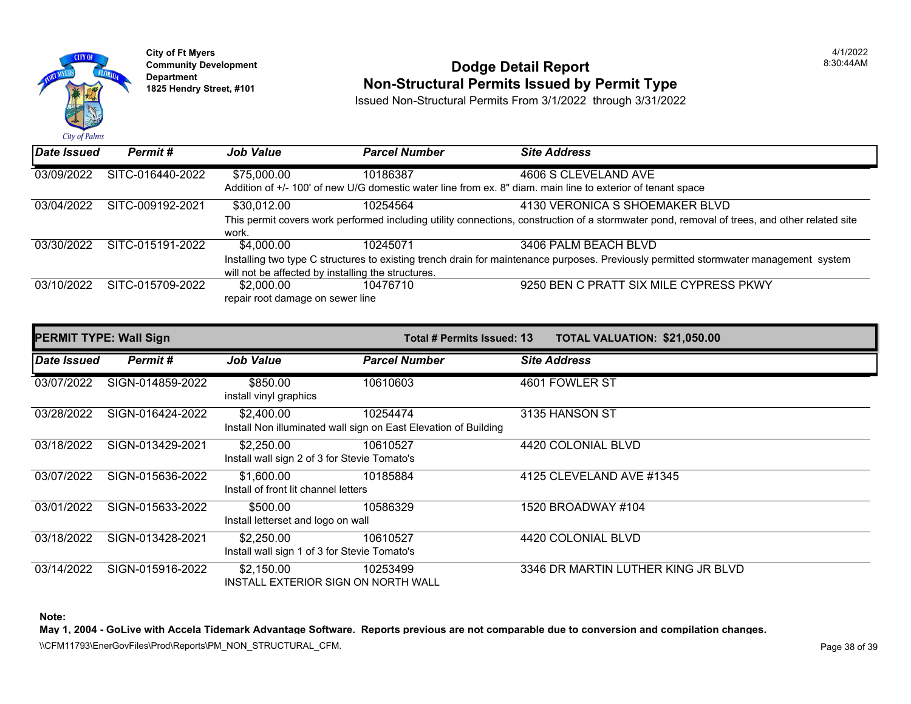

## **Community Development** 8:30:44AM **Dodge Detail Report Department Non-Structural Permits Issued by Permit Type 1825 Hendry Street, #101**

Issued Non-Structural Permits From 3/1/2022 through 3/31/2022

| Date Issued | Permit#          | <b>Job Value</b>                                                                                            | <b>Parcel Number</b> | <b>Site Address</b>           |  |  |
|-------------|------------------|-------------------------------------------------------------------------------------------------------------|----------------------|-------------------------------|--|--|
| 03/09/2022  | SITC-016440-2022 | \$75,000.00                                                                                                 | 10186387             | 4606 S CLEVELAND AVE          |  |  |
|             |                  | Addition of +/- 100' of new U/G domestic water line from ex. 8" diam. main line to exterior of tenant space |                      |                               |  |  |
| 03/04/2022  | SITC-009192-2021 | \$30,012.00                                                                                                 | 10254564             | 4130 VERONICA S SHOEMAKER E   |  |  |
|             |                  | This permit covers work performed including utility connections, construction of a stormwater pond, remot   |                      |                               |  |  |
|             |                  | work.                                                                                                       |                      |                               |  |  |
| 03/30/2022  | SITC-015191-2022 | \$4,000.00                                                                                                  | 10245071             | 3406 PALM BEACH BLVD          |  |  |
|             |                  | Installing two type C structures to existing trench drain for maintenance purposes. Previously permitted st |                      |                               |  |  |
|             |                  | will not be affected by installing the structures.                                                          |                      |                               |  |  |
| 03/10/2022  | SITC-015709-2022 | \$2,000.00                                                                                                  | 10476710             | 9250 BEN C PRATT SIX MILE CYP |  |  |
|             |                  | repair root damage on sewer line                                                                            |                      |                               |  |  |
|             |                  |                                                                                                             |                      |                               |  |  |

| <b>PERMIT TYPE: Wall Sign</b> |                  |                                                            | <b>Total # Permits Issued: 13</b>                                           |                               | <b>TOTAL VALUATION: \$21,050</b> |
|-------------------------------|------------------|------------------------------------------------------------|-----------------------------------------------------------------------------|-------------------------------|----------------------------------|
| Date Issued                   | Permit#          | <b>Job Value</b>                                           | <b>Parcel Number</b>                                                        | <b>Site Address</b>           |                                  |
| 03/07/2022                    | SIGN-014859-2022 | \$850.00<br>install vinyl graphics                         | 10610603                                                                    | 4601 FOWLER ST                |                                  |
| 03/28/2022                    | SIGN-016424-2022 | \$2,400.00                                                 | 10254474<br>Install Non illuminated wall sign on East Elevation of Building | 3135 HANSON ST                |                                  |
| 03/18/2022                    | SIGN-013429-2021 | \$2,250.00<br>Install wall sign 2 of 3 for Stevie Tomato's | 10610527                                                                    | 4420 COLONIAL BLVD            |                                  |
| 03/07/2022                    | SIGN-015636-2022 | \$1,600.00<br>Install of front lit channel letters         | 10185884                                                                    | 4125 CLEVELAND AVE #1345      |                                  |
| 03/01/2022                    | SIGN-015633-2022 | \$500.00<br>Install letterset and logo on wall             | 10586329                                                                    | 1520 BROADWAY #104            |                                  |
| 03/18/2022                    | SIGN-013428-2021 | \$2,250.00<br>Install wall sign 1 of 3 for Stevie Tomato's | 10610527                                                                    | 4420 COLONIAL BLVD            |                                  |
| 03/14/2022                    | SIGN-015916-2022 | \$2,150.00<br>INSTALL EXTERIOR SIGN ON NORTH WALL          | 10253499                                                                    | 3346 DR MARTIN LUTHER KING JI |                                  |

**Note:**